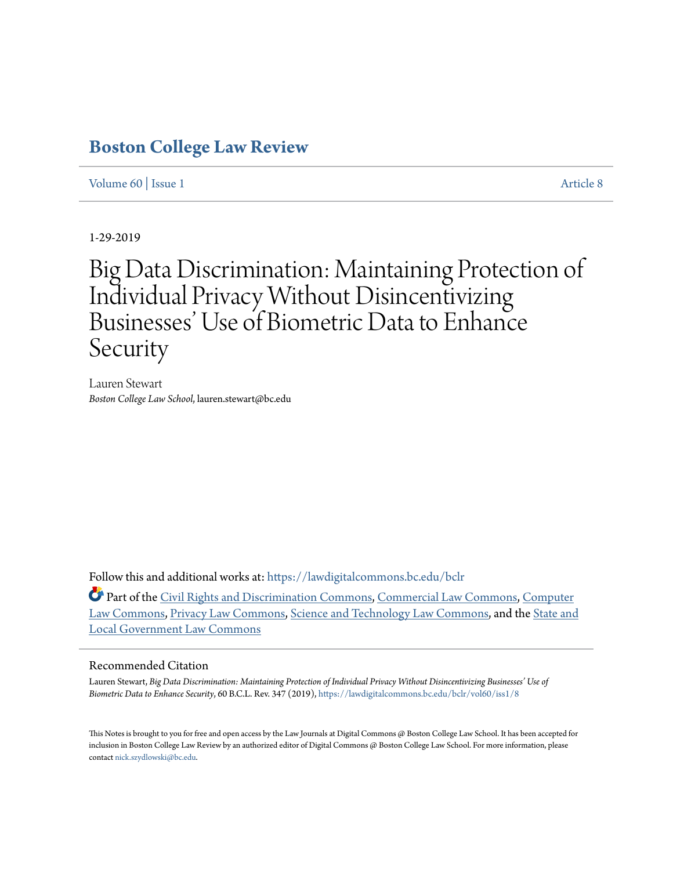# **[Boston College Law Review](https://lawdigitalcommons.bc.edu/bclr?utm_source=lawdigitalcommons.bc.edu%2Fbclr%2Fvol60%2Fiss1%2F8&utm_medium=PDF&utm_campaign=PDFCoverPages)**

# [Volume 60](https://lawdigitalcommons.bc.edu/bclr/vol60?utm_source=lawdigitalcommons.bc.edu%2Fbclr%2Fvol60%2Fiss1%2F8&utm_medium=PDF&utm_campaign=PDFCoverPages) | [Issue 1](https://lawdigitalcommons.bc.edu/bclr/vol60/iss1?utm_source=lawdigitalcommons.bc.edu%2Fbclr%2Fvol60%2Fiss1%2F8&utm_medium=PDF&utm_campaign=PDFCoverPages) [Article 8](https://lawdigitalcommons.bc.edu/bclr/vol60/iss1/8?utm_source=lawdigitalcommons.bc.edu%2Fbclr%2Fvol60%2Fiss1%2F8&utm_medium=PDF&utm_campaign=PDFCoverPages)

1-29-2019

# Big Data Discrimination: Maintaining Protection of Individual Privacy Without Disincentivizing Businesses' Use of Biometric Data to Enhance Security

Lauren Stewart *Boston College Law School*, lauren.stewart@bc.edu

Follow this and additional works at: [https://lawdigitalcommons.bc.edu/bclr](https://lawdigitalcommons.bc.edu/bclr?utm_source=lawdigitalcommons.bc.edu%2Fbclr%2Fvol60%2Fiss1%2F8&utm_medium=PDF&utm_campaign=PDFCoverPages)

Part of the [Civil Rights and Discrimination Commons,](http://network.bepress.com/hgg/discipline/585?utm_source=lawdigitalcommons.bc.edu%2Fbclr%2Fvol60%2Fiss1%2F8&utm_medium=PDF&utm_campaign=PDFCoverPages) [Commercial Law Commons,](http://network.bepress.com/hgg/discipline/586?utm_source=lawdigitalcommons.bc.edu%2Fbclr%2Fvol60%2Fiss1%2F8&utm_medium=PDF&utm_campaign=PDFCoverPages) [Computer](http://network.bepress.com/hgg/discipline/837?utm_source=lawdigitalcommons.bc.edu%2Fbclr%2Fvol60%2Fiss1%2F8&utm_medium=PDF&utm_campaign=PDFCoverPages) [Law Commons](http://network.bepress.com/hgg/discipline/837?utm_source=lawdigitalcommons.bc.edu%2Fbclr%2Fvol60%2Fiss1%2F8&utm_medium=PDF&utm_campaign=PDFCoverPages), [Privacy Law Commons,](http://network.bepress.com/hgg/discipline/1234?utm_source=lawdigitalcommons.bc.edu%2Fbclr%2Fvol60%2Fiss1%2F8&utm_medium=PDF&utm_campaign=PDFCoverPages) [Science and Technology Law Commons,](http://network.bepress.com/hgg/discipline/875?utm_source=lawdigitalcommons.bc.edu%2Fbclr%2Fvol60%2Fiss1%2F8&utm_medium=PDF&utm_campaign=PDFCoverPages) and the [State and](http://network.bepress.com/hgg/discipline/879?utm_source=lawdigitalcommons.bc.edu%2Fbclr%2Fvol60%2Fiss1%2F8&utm_medium=PDF&utm_campaign=PDFCoverPages) [Local Government Law Commons](http://network.bepress.com/hgg/discipline/879?utm_source=lawdigitalcommons.bc.edu%2Fbclr%2Fvol60%2Fiss1%2F8&utm_medium=PDF&utm_campaign=PDFCoverPages)

#### Recommended Citation

Lauren Stewart, *Big Data Discrimination: Maintaining Protection of Individual Privacy Without Disincentivizing Businesses' Use of Biometric Data to Enhance Security*, 60 B.C.L. Rev. 347 (2019), [https://lawdigitalcommons.bc.edu/bclr/vol60/iss1/8](https://lawdigitalcommons.bc.edu/bclr/vol60/iss1/8?utm_source=lawdigitalcommons.bc.edu%2Fbclr%2Fvol60%2Fiss1%2F8&utm_medium=PDF&utm_campaign=PDFCoverPages)

This Notes is brought to you for free and open access by the Law Journals at Digital Commons @ Boston College Law School. It has been accepted for inclusion in Boston College Law Review by an authorized editor of Digital Commons @ Boston College Law School. For more information, please contact [nick.szydlowski@bc.edu](mailto:nick.szydlowski@bc.edu).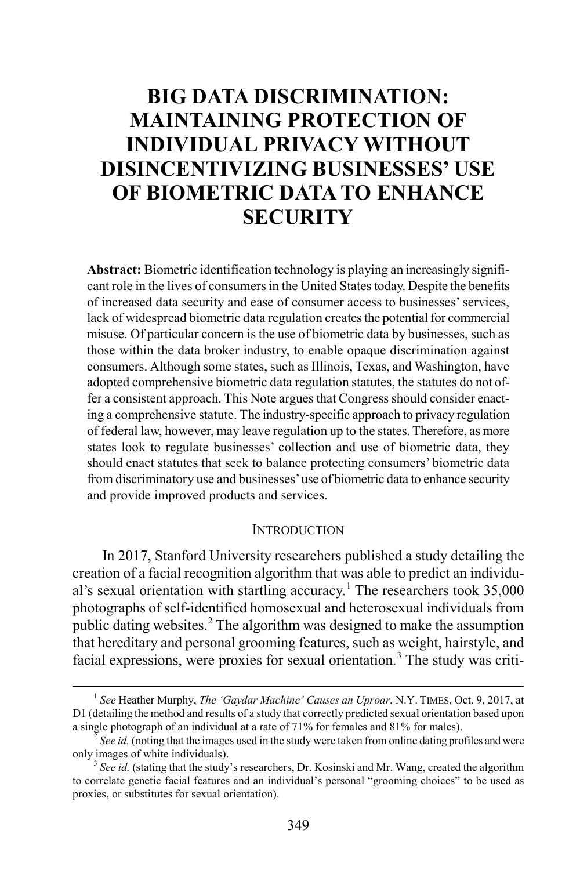# **BIG DATA DISCRIMINATION: MAINTAINING PROTECTION OF INDIVIDUAL PRIVACY WITHOUT DISINCENTIVIZING BUSINESSES' USE OF BIOMETRIC DATA TO ENHANCE SECURITY**

**Abstract:** Biometric identification technology is playing an increasingly significant role in the lives of consumers in the United States today. Despite the benefits of increased data security and ease of consumer access to businesses' services, lack of widespread biometric data regulation creates the potential for commercial misuse. Of particular concern is the use of biometric data by businesses, such as those within the data broker industry, to enable opaque discrimination against consumers. Although some states, such as Illinois, Texas, and Washington, have adopted comprehensive biometric data regulation statutes, the statutes do not offer a consistent approach. This Note argues that Congress should consider enacting a comprehensive statute. The industry-specific approach to privacy regulation of federal law, however, may leave regulation up to the states. Therefore, as more states look to regulate businesses' collection and use of biometric data, they should enact statutes that seek to balance protecting consumers' biometric data from discriminatory use and businesses' use of biometric data to enhance security and provide improved products and services.

#### **INTRODUCTION**

In 2017, Stanford University researchers published a study detailing the creation of a facial recognition algorithm that was able to predict an individu-al's sexual orientation with startling accuracy.<sup>[1](#page-1-0)</sup> The researchers took  $35,000$ photographs of self-identified homosexual and heterosexual individuals from public dating websites.<sup>[2](#page-1-1)</sup> The algorithm was designed to make the assumption that hereditary and personal grooming features, such as weight, hairstyle, and facial expressions, were proxies for sexual orientation.<sup>[3](#page-1-2)</sup> The study was criti-

<span id="page-1-0"></span> <sup>1</sup> *See* Heather Murphy, *The 'Gaydar Machine' Causes an Uproar*, N.Y. TIMES, Oct. 9, 2017, at D1 (detailing the method and results of a study that correctly predicted sexual orientation based upon a single photograph of an individual at a rate of 71% for females and 81% for males). <sup>2</sup> *See id.* (noting that the images used in the study were taken from online dating profiles and were

<span id="page-1-1"></span>only images of white individuals). <sup>3</sup> *See id.* (stating that the study's researchers, Dr. Kosinski and Mr. Wang, created the algorithm

<span id="page-1-2"></span>to correlate genetic facial features and an individual's personal "grooming choices" to be used as proxies, or substitutes for sexual orientation).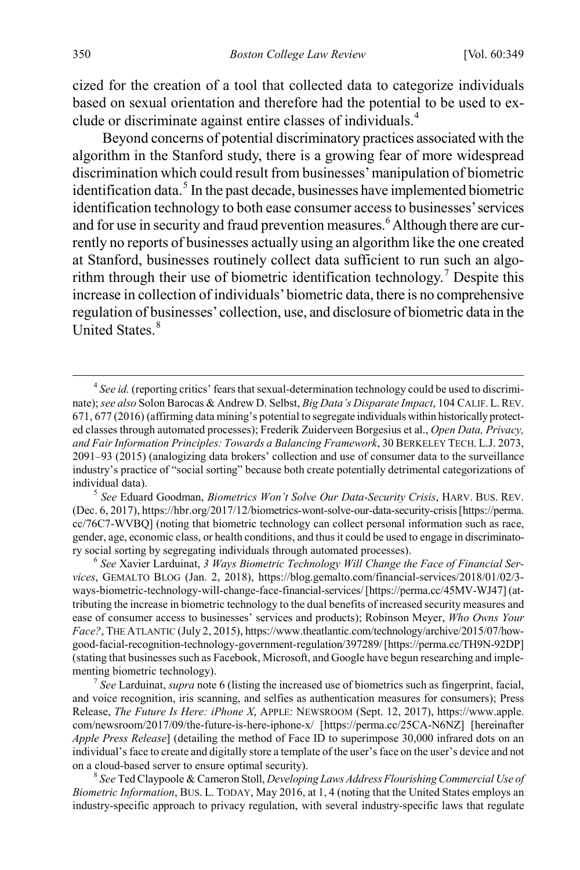cized for the creation of a tool that collected data to categorize individuals based on sexual orientation and therefore had the potential to be used to exclude or discriminate against entire classes of individuals.[4](#page-2-1)

<span id="page-2-9"></span><span id="page-2-6"></span><span id="page-2-0"></span>Beyond concerns of potential discriminatory practices associated with the algorithm in the Stanford study, there is a growing fear of more widespread discrimination which could result from businesses' manipulation of biometric identification data. $5$  In the past decade, businesses have implemented biometric identification technology to both ease consumer access to businesses' services and for use in security and fraud prevention measures.<sup>[6](#page-2-3)</sup> Although there are currently no reports of businesses actually using an algorithm like the one created at Stanford, businesses routinely collect data sufficient to run such an algo-rithm through their use of biometric identification technology.<sup>[7](#page-2-4)</sup> Despite this increase in collection of individuals' biometric data, there is no comprehensive regulation of businesses' collection, use, and disclosure of biometric data in the United States.<sup>[8](#page-2-5)</sup>

<span id="page-2-2"></span>(Dec. 6, 2017), https://hbr.org/2017/12/biometrics-wont-solve-our-data-security-crisis [https://perma. cc/76C7-WVBQ] (noting that biometric technology can collect personal information such as race, gender, age, economic class, or health conditions, and thus it could be used to engage in discriminatory social sorting by segregating individuals through automated processes). <sup>6</sup> *See* Xavier Larduinat, *3 Ways Biometric Technology Will Change the Face of Financial Ser-*

<span id="page-2-3"></span>*vices*, GEMALTO BLOG (Jan. 2, 2018), https://blog.gemalto.com/financial-services/2018/01/02/3 ways-biometric-technology-will-change-face-financial-services/ [https://perma.cc/45MV-WJ47] (attributing the increase in biometric technology to the dual benefits of increased security measures and ease of consumer access to businesses' services and products); Robinson Meyer, *Who Owns Your Face?*, THE ATLANTIC (July 2, 2015), https://www.theatlantic.com/technology/archive/2015/07/howgood-facial-recognition-technology-government-regulation/397289/ [https://perma.cc/TH9N-92DP] (stating that businesses such as Facebook, Microsoft, and Google have begun researching and implementing biometric technology). <sup>7</sup> *See* Larduinat, *supra* not[e 6](#page-2-0) (listing the increased use of biometrics such as fingerprint, facial,

<span id="page-2-4"></span>and voice recognition, iris scanning, and selfies as authentication measures for consumers); Press Release, *The Future Is Here: iPhone X*, APPLE: NEWSROOM (Sept. 12, 2017), https://www.apple. com/newsroom/2017/09/the-future-is-here-iphone-x/ [https://perma.cc/25CA-N6NZ] [hereinafter *Apple Press Release*] (detailing the method of Face ID to superimpose 30,000 infrared dots on an individual's face to create and digitally store a template of the user's face on the user's device and not on a cloud-based server to ensure optimal security). <sup>8</sup> *See* Ted Claypoole & Cameron Stoll, *Developing Laws Address Flourishing Commercial Use of* 

<span id="page-2-5"></span>*Biometric Information*, BUS. L. TODAY, May 2016, at 1, 4 (noting that the United States employs an industry-specific approach to privacy regulation, with several industry-specific laws that regulate

<span id="page-2-8"></span><span id="page-2-7"></span><span id="page-2-1"></span> <sup>4</sup> *See id.* (reporting critics' fears that sexual-determination technology could be used to discriminate); *see also* Solon Barocas & Andrew D. Selbst, *Big Data's Disparate Impact*, 104 CALIF. L.REV. 671, 677 (2016) (affirming data mining's potential to segregate individuals within historically protected classes through automated processes); Frederik Zuiderveen Borgesius et al., *Open Data, Privacy, and Fair Information Principles: Towards a Balancing Framework*, 30 BERKELEY TECH. L.J. 2073, 2091–93 (2015) (analogizing data brokers' collection and use of consumer data to the surveillance industry's practice of "social sorting" because both create potentially detrimental categorizations of individual data). <sup>5</sup> *See* Eduard Goodman, *Biometrics Won't Solve Our Data-Security Crisis*, HARV. BUS. REV.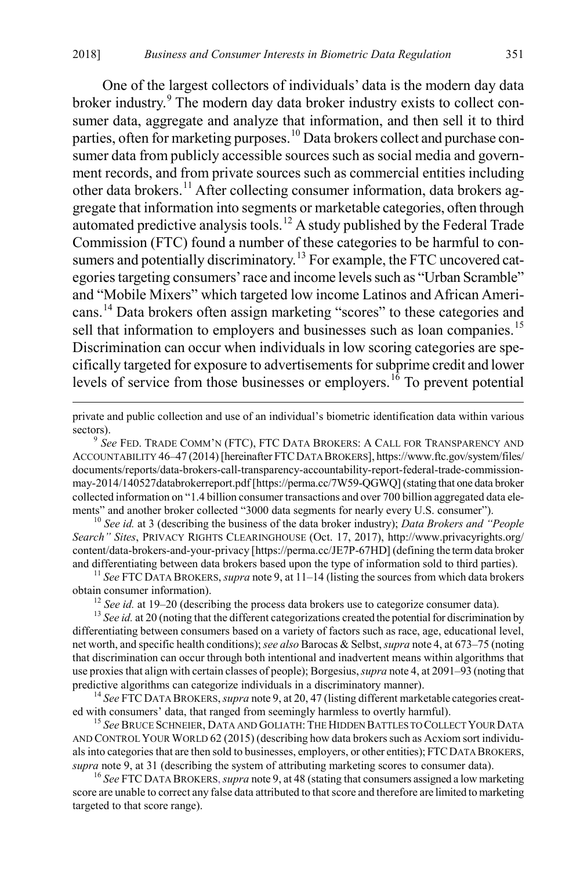<span id="page-3-9"></span><span id="page-3-0"></span>One of the largest collectors of individuals' data is the modern day data broker industry.<sup>[9](#page-3-1)</sup> The modern day data broker industry exists to collect consumer data, aggregate and analyze that information, and then sell it to third parties, often for marketing purposes.<sup>[10](#page-3-2)</sup> Data brokers collect and purchase consumer data from publicly accessible sources such as social media and government records, and from private sources such as commercial entities including other data brokers.[11](#page-3-3) After collecting consumer information, data brokers aggregate that information into segments or marketable categories, often through automated predictive analysis tools.<sup>[12](#page-3-4)</sup> A study published by the Federal Trade Commission (FTC) found a number of these categories to be harmful to con-sumers and potentially discriminatory.<sup>[13](#page-3-5)</sup> For example, the FTC uncovered categories targeting consumers' race and income levels such as "Urban Scramble" and "Mobile Mixers" which targeted low income Latinos and African Americans.[14](#page-3-6) Data brokers often assign marketing "scores" to these categories and sell that information to employers and businesses such as loan companies.<sup>[15](#page-3-7)</sup> Discrimination can occur when individuals in low scoring categories are specifically targeted for exposure to advertisements for subprime credit and lower levels of service from those businesses or employers.<sup>[16](#page-3-8)</sup> To prevent potential

<span id="page-3-10"></span> private and public collection and use of an individual's biometric identification data within various sectors).<br><sup>9</sup> *See* FED. TRADE COMM'N (FTC), FTC DATA BROKERS: A CALL FOR TRANSPARENCY AND

<span id="page-3-1"></span>ACCOUNTABILITY 46–47 (2014)[hereinafter FTCDATA BROKERS], https://www.ftc.gov/system/files/ documents/reports/data-brokers-call-transparency-accountability-report-federal-trade-commissionmay-2014/140527databrokerreport.pdf [https://perma.cc/7W59-QGWQ] (stating that one data broker collected information on "1.4 billion consumer transactions and over 700 billion aggregated data elements" and another broker collected "3000 data segments for nearly every U.S. consumer"). <sup>10</sup> *See id.* at 3 (describing the business of the data broker industry); *Data Brokers and "People* 

<span id="page-3-2"></span>*Search" Sites*, PRIVACY RIGHTS CLEARINGHOUSE (Oct. 17, 2017), http://www.privacyrights.org/ content/data-brokers-and-your-privacy [https://perma.cc/JE7P-67HD] (defining the term data broker and differentiating between data brokers based upon the type of information sold to third parties). <sup>11</sup> *See* FTC DATA BROKERS, *supra* not[e 9,](#page-3-0) at 11–14 (listing the sources from which data brokers

<span id="page-3-3"></span>obtain consumer information).<br><sup>12</sup> See id. at 19–20 (describing the process data brokers use to categorize consumer data).<br><sup>13</sup> See id. at 20 (noting that the different categorizations created the potential for discrimina

<span id="page-3-5"></span><span id="page-3-4"></span>differentiating between consumers based on a variety of factors such as race, age, educational level, net worth, and specific health conditions); *see also* Barocas & Selbst, *supra* not[e 4,](#page-2-6) at 673–75 (noting that discrimination can occur through both intentional and inadvertent means within algorithms that use proxies that align with certain classes of people); Borgesius, *supra* not[e 4,](#page-2-6) at 2091–93 (noting that predictive algorithms can categorize individuals in a discriminatory manner). <sup>14</sup> *See* FTC DATA BROKERS, *supra* not[e 9,](#page-3-0) at 20, 47 (listing different marketable categories creat-

<span id="page-3-6"></span>ed with consumers' data, that ranged from seemingly harmless to overtly harmful). <sup>15</sup> *See* BRUCE SCHNEIER, DATA AND GOLIATH: THE HIDDEN BATTLES TO COLLECT YOUR DATA

<span id="page-3-7"></span>AND CONTROL YOUR WORLD 62 (2015) (describing how data brokers such as Acxiom sort individuals into categories that are then sold to businesses, employers, or other entities); FTCDATA BROKERS, *supra* not[e 9,](#page-3-0) at 31 (describing the system of attributing marketing scores to consumer data). <sup>16</sup> *See* FTC DATA BROKERS,*supra* not[e 9,](#page-3-0) at 48 (stating that consumers assigned a low marketing

<span id="page-3-8"></span>score are unable to correct any false data attributed to that score and therefore are limited to marketing targeted to that score range).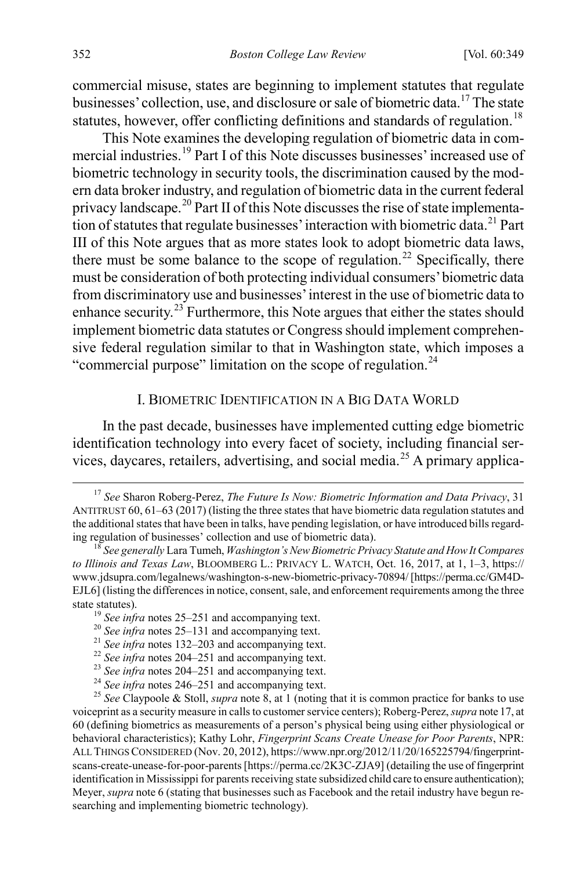<span id="page-4-1"></span>commercial misuse, states are beginning to implement statutes that regulate businesses' collection, use, and disclosure or sale of biometric data.<sup>[17](#page-4-2)</sup> The state statutes, however, offer conflicting definitions and standards of regulation.<sup>[18](#page-4-3)</sup>

<span id="page-4-11"></span>This Note examines the developing regulation of biometric data in commercial industries.[19](#page-4-4) Part I of this Note discusses businesses' increased use of biometric technology in security tools, the discrimination caused by the modern data broker industry, and regulation of biometric data in the current federal privacy landscape.[20](#page-4-5) Part II of this Note discusses the rise of state implementa-tion of statutes that regulate businesses' interaction with biometric data.<sup>[21](#page-4-6)</sup> Part III of this Note argues that as more states look to adopt biometric data laws, there must be some balance to the scope of regulation.<sup>[22](#page-4-7)</sup> Specifically, there must be consideration of both protecting individual consumers' biometric data from discriminatory use and businesses' interest in the use of biometric data to enhance security.<sup>23</sup> Furthermore, this Note argues that either the states should implement biometric data statutes or Congress should implement comprehensive federal regulation similar to that in Washington state, which imposes a "commercial purpose" limitation on the scope of regulation.<sup>[24](#page-4-9)</sup>

### <span id="page-4-0"></span>I. BIOMETRIC IDENTIFICATION IN A BIG DATA WORLD

In the past decade, businesses have implemented cutting edge biometric identification technology into every facet of society, including financial ser-vices, daycares, retailers, advertising, and social media.<sup>[25](#page-4-10)</sup> A primary applica-

<span id="page-4-2"></span> <sup>17</sup> *See* Sharon Roberg-Perez, *The Future Is Now: Biometric Information and Data Privacy*, 31 ANTITRUST 60, 61–63 (2017) (listing the three states that have biometric data regulation statutes and the additional states that have been in talks, have pending legislation, or have introduced bills regarding regulation of businesses' collection and use of biometric data). <sup>18</sup> *See generally* Lara Tumeh, *Washington's New Biometric Privacy Statute and How It Compares* 

<span id="page-4-3"></span>*to Illinois and Texas Law*, BLOOMBERG L.: PRIVACY L. WATCH, Oct. 16, 2017, at 1, 1–3, https:// www.jdsupra.com/legalnews/washington-s-new-biometric-privacy-70894/ [https://perma.cc/GM4D-EJL6] (listing the differences in notice, consent, sale, and enforcement requirements among the three state statutes).<br>
<sup>19</sup> See infra note[s 25–](#page-4-0)[251](#page-37-0) and accompanying text.<br>
<sup>20</sup> See infra notes 25–[131](#page-20-0) and accompanying text.<br>
<sup>21</sup> See infra note[s 132](#page-20-1)[–203](#page-30-0) and accompanying text.<br>
<sup>22</sup> See infra note[s 204](#page-30-1)[–251](#page-37-0) and accompanying

<span id="page-4-4"></span>

<span id="page-4-5"></span>

<span id="page-4-10"></span><span id="page-4-9"></span><span id="page-4-8"></span><span id="page-4-7"></span><span id="page-4-6"></span>voiceprint as a security measure in calls to customer service centers); Roberg-Perez, *supra* not[e 17,](#page-4-1) at 60 (defining biometrics as measurements of a person's physical being using either physiological or behavioral characteristics); Kathy Lohr, *Fingerprint Scans Create Unease for Poor Parents*, NPR: ALL THINGS CONSIDERED (Nov. 20, 2012), https://www.npr.org/2012/11/20/165225794/fingerprintscans-create-unease-for-poor-parents [https://perma.cc/2K3C-ZJA9] (detailing the use of fingerprint identification in Mississippi for parents receiving state subsidized child care to ensure authentication); Meyer, *supra* note [6](#page-2-0) (stating that businesses such as Facebook and the retail industry have begun researching and implementing biometric technology).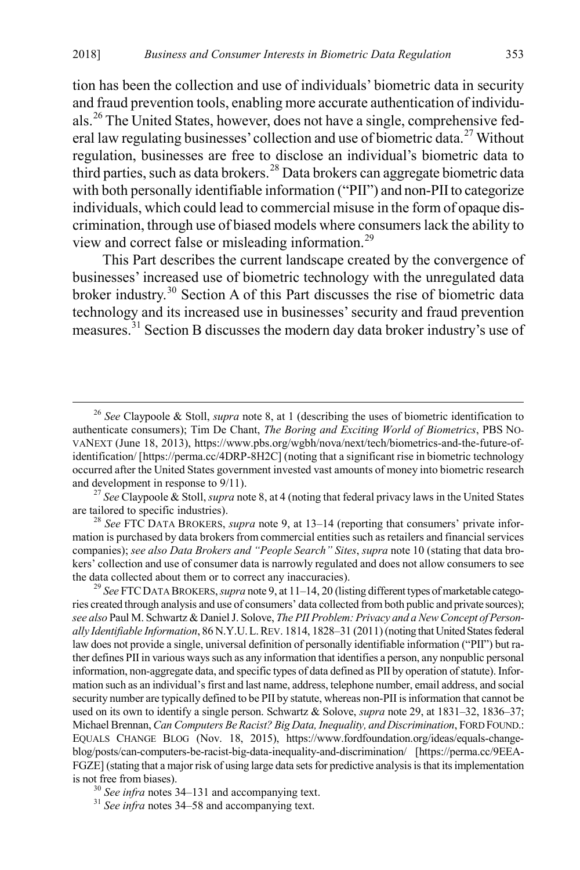tion has been the collection and use of individuals' biometric data in security and fraud prevention tools, enabling more accurate authentication of individuals.[26](#page-5-1) The United States, however, does not have a single, comprehensive federal law regulating businesses' collection and use of biometric data.[27](#page-5-2) Without regulation, businesses are free to disclose an individual's biometric data to third parties, such as data brokers.<sup>[28](#page-5-3)</sup> Data brokers can aggregate biometric data with both personally identifiable information ("PII") and non-PII to categorize individuals, which could lead to commercial misuse in the form of opaque discrimination, through use of biased models where consumers lack the ability to view and correct false or misleading information.[29](#page-5-4)

<span id="page-5-0"></span>This Part describes the current landscape created by the convergence of businesses' increased use of biometric technology with the unregulated data broker industry.<sup>[30](#page-5-5)</sup> Section A of this Part discusses the rise of biometric data technology and its increased use in businesses' security and fraud prevention measures.[31](#page-5-6) Section B discusses the modern day data broker industry's use of

<span id="page-5-3"></span>mation is purchased by data brokers from commercial entities such as retailers and financial services companies); *see also Data Brokers and "People Search" Sites*, *supra* not[e 10](#page-3-9) (stating that data brokers' collection and use of consumer data is narrowly regulated and does not allow consumers to see the data collected about them or to correct any inaccuracies). <sup>29</sup> *See* FTCDATA BROKERS, *supra* not[e 9,](#page-3-0) at 11–14, 20 (listing different types of marketable catego-

<span id="page-5-4"></span>ries created through analysis and use of consumers' data collected from both public and private sources); *see also* Paul M. Schwartz & Daniel J. Solove, *The PII Problem: Privacy and a New Concept of Personally Identifiable Information*, 86 N.Y.U.L.REV. 1814, 1828–31 (2011) (noting that United States federal law does not provide a single, universal definition of personally identifiable information ("PII") but rather defines PII in various ways such as any information that identifies a person, any nonpublic personal information, non-aggregate data, and specific types of data defined as PII by operation of statute). Information such as an individual's first and last name, address, telephone number, email address, and social security number are typically defined to be PII by statute, whereas non-PII is information that cannot be used on its own to identify a single person. Schwartz & Solove, *supra* not[e 29,](#page-5-0) at 1831–32, 1836–37; Michael Brennan, *Can Computers Be Racist? Big Data, Inequality, and Discrimination*, FORD FOUND.: EQUALS CHANGE BLOG (Nov. 18, 2015), https://www.fordfoundation.org/ideas/equals-changeblog/posts/can-computers-be-racist-big-data-inequality-and-discrimination/ [https://perma.cc/9EEA-FGZE] (stating that a major risk of using large data sets for predictive analysis is that its implementation is not free from biases). <sup>30</sup> *See infra* note[s 34–](#page-6-0)[131](#page-20-0) and accompanying text. <sup>31</sup> *See infra* note[s 34–](#page-6-0)[58](#page-9-0) and accompanying text.

<span id="page-5-6"></span><span id="page-5-5"></span>

<span id="page-5-1"></span> <sup>26</sup> *See* Claypoole & Stoll, *supra* not[e 8,](#page-2-7) at 1 (describing the uses of biometric identification to authenticate consumers); Tim De Chant, *The Boring and Exciting World of Biometrics*, PBS NO-VANEXT (June 18, 2013), https://www.pbs.org/wgbh/nova/next/tech/biometrics-and-the-future-ofidentification/ [https://perma.cc/4DRP-8H2C] (noting that a significant rise in biometric technology occurred after the United States government invested vast amounts of money into biometric research and development in response to 9/11). <sup>27</sup> *See* Claypoole & Stoll, *supra* not[e 8,](#page-2-7) at 4 (noting that federal privacy laws in the United States

<span id="page-5-2"></span>are tailored to specific industries). <sup>28</sup> *See* FTC DATA BROKERS, *supra* note [9,](#page-3-0) at 13–14 (reporting that consumers' private infor-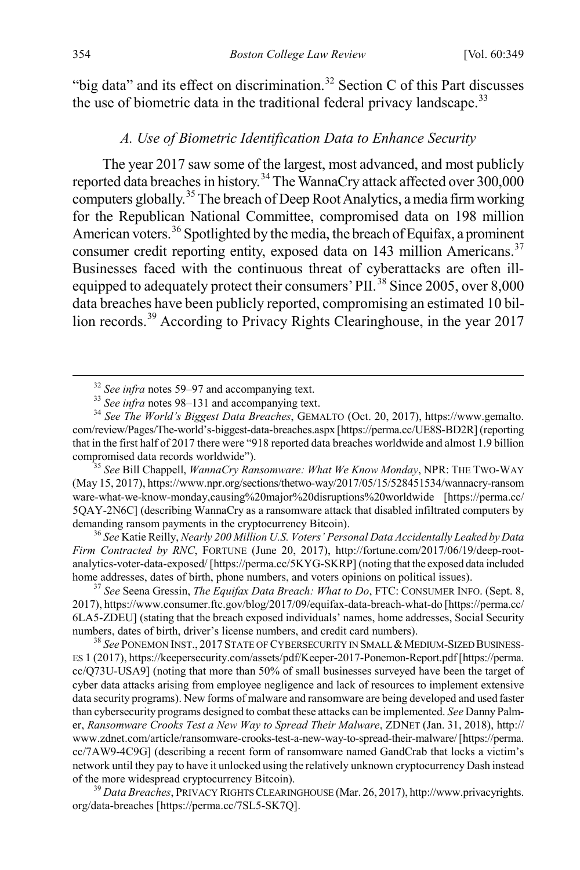"big data" and its effect on discrimination.<sup>[32](#page-6-1)</sup> Section C of this Part discusses the use of biometric data in the traditional federal privacy landscape.<sup>[33](#page-6-2)</sup>

# <span id="page-6-0"></span>*A. Use of Biometric Identification Data to Enhance Security*

The year 2017 saw some of the largest, most advanced, and most publicly reported data breaches in history.<sup>[34](#page-6-3)</sup> The WannaCry attack affected over 300,000 computers globally.[35](#page-6-4) The breach of Deep Root Analytics, a media firm working for the Republican National Committee, compromised data on 198 million American voters.<sup>[36](#page-6-5)</sup> Spotlighted by the media, the breach of Equifax, a prominent consumer credit reporting entity, exposed data on 143 million Americans.<sup>[37](#page-6-6)</sup> Businesses faced with the continuous threat of cyberattacks are often ill-equipped to adequately protect their consumers' PII.<sup>[38](#page-6-7)</sup> Since 2005, over 8,000 data breaches have been publicly reported, compromising an estimated 10 bil-lion records.<sup>[39](#page-6-8)</sup> According to Privacy Rights Clearinghouse, in the year 2017

<span id="page-6-4"></span>(May 15, 2017), https://www.npr.org/sections/thetwo-way/2017/05/15/528451534/wannacry-ransom ware-what-we-know-monday,causing%20major%20disruptions%20worldwide [https://perma.cc/ 5QAY-2N6C] (describing WannaCry as a ransomware attack that disabled infiltrated computers by demanding ransom payments in the cryptocurrency Bitcoin). <sup>36</sup> *See* Katie Reilly, *Nearly 200 Million U.S. Voters' Personal Data Accidentally Leaked by Data* 

<span id="page-6-5"></span>*Firm Contracted by RNC*, FORTUNE (June 20, 2017), http://fortune.com/2017/06/19/deep-rootanalytics-voter-data-exposed/ [https://perma.cc/5KYG-SKRP] (noting that the exposed data included home addresses, dates of birth, phone numbers, and voters opinions on political issues). <sup>37</sup> *See* Seena Gressin, *The Equifax Data Breach: What to Do*, FTC: CONSUMER INFO. (Sept. 8,

<span id="page-6-6"></span>2017), https://www.consumer.ftc.gov/blog/2017/09/equifax-data-breach-what-do [https://perma.cc/ 6LA5-ZDEU] (stating that the breach exposed individuals' names, home addresses, Social Security numbers, dates of birth, driver's license numbers, and credit card numbers).<br><sup>38</sup> *See* PONEMON INST., 2017 STATE OF CYBERSECURITY IN SMALL & MEDIUM-SIZED BUSINESS-

<span id="page-6-7"></span>ES 1 (2017), https://keepersecurity.com/assets/pdf/Keeper-2017-Ponemon-Report.pdf [https://perma. cc/Q73U-USA9] (noting that more than 50% of small businesses surveyed have been the target of cyber data attacks arising from employee negligence and lack of resources to implement extensive data security programs). New forms of malware and ransomware are being developed and used faster than cybersecurity programs designed to combat these attacks can be implemented. *See* Danny Palmer, *Ransomware Crooks Test a New Way to Spread Their Malware*, ZDNET (Jan. 31, 2018), http:// www.zdnet.com/article/ransomware-crooks-test-a-new-way-to-spread-their-malware/[https://perma. cc/7AW9-4C9G] (describing a recent form of ransomware named GandCrab that locks a victim's network until they pay to have it unlocked using the relatively unknown cryptocurrency Dash instead of the more widespread cryptocurrency Bitcoin). <sup>39</sup> *Data Breaches*, PRIVACY RIGHTS CLEARINGHOUSE (Mar. 26, 2017), http://www.privacyrights.

<span id="page-6-8"></span>org/data-breaches [https://perma.cc/7SL5-SK7Q].

<span id="page-6-3"></span><span id="page-6-2"></span><span id="page-6-1"></span><sup>32</sup> *See infra* note[s 59–](#page-9-1)[97](#page-15-0) and accompanying text. <sup>33</sup> *See infra* note[s 98–](#page-15-1)[131](#page-20-0) and accompanying text. <sup>34</sup> *See The World's Biggest Data Breaches*, GEMALTO (Oct. 20, 2017), https://www.gemalto. com/review/Pages/The-world's-biggest-data-breaches.aspx [https://perma.cc/UE8S-BD2R] (reporting that in the first half of 2017 there were "918 reported data breaches worldwide and almost 1.9 billion compromised data records worldwide"). <sup>35</sup> *See* Bill Chappell, *WannaCry Ransomware: What We Know Monday*, NPR: THE TWO-WAY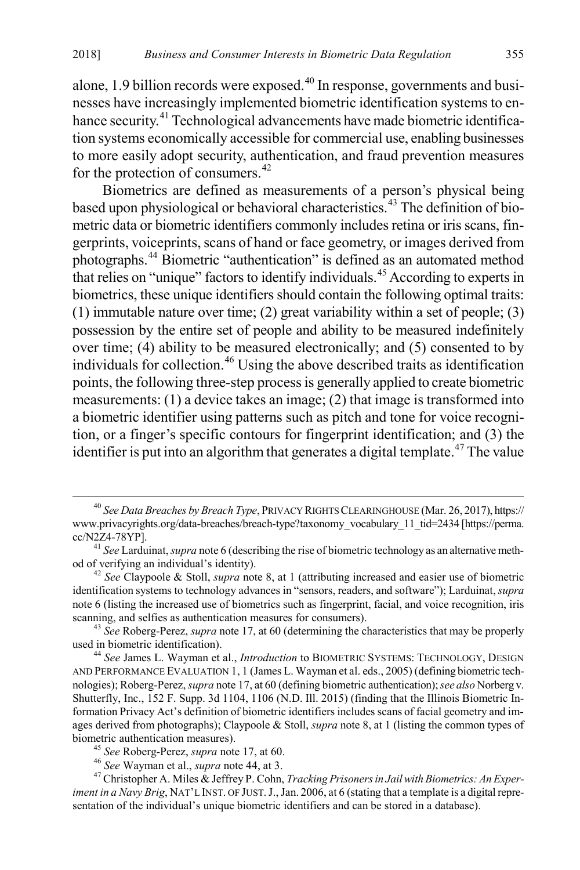alone, 1.9 billion records were exposed. $40$  In response, governments and businesses have increasingly implemented biometric identification systems to en-hance security.<sup>[41](#page-7-2)</sup> Technological advancements have made biometric identification systems economically accessible for commercial use, enabling businesses to more easily adopt security, authentication, and fraud prevention measures for the protection of consumers.<sup>[42](#page-7-3)</sup>

<span id="page-7-0"></span>Biometrics are defined as measurements of a person's physical being based upon physiological or behavioral characteristics.<sup>[43](#page-7-4)</sup> The definition of biometric data or biometric identifiers commonly includes retina or iris scans, fingerprints, voiceprints, scans of hand or face geometry, or images derived from photographs.[44](#page-7-5) Biometric "authentication" is defined as an automated method that relies on "unique" factors to identify individuals.[45](#page-7-6) According to experts in biometrics, these unique identifiers should contain the following optimal traits: (1) immutable nature over time; (2) great variability within a set of people; (3) possession by the entire set of people and ability to be measured indefinitely over time; (4) ability to be measured electronically; and (5) consented to by individuals for collection.<sup>[46](#page-7-7)</sup> Using the above described traits as identification points, the following three-step process is generally applied to create biometric measurements: (1) a device takes an image; (2) that image is transformed into a biometric identifier using patterns such as pitch and tone for voice recognition, or a finger's specific contours for fingerprint identification; and (3) the identifier is put into an algorithm that generates a digital template.<sup> $47$ </sup> The value

<span id="page-7-9"></span><span id="page-7-1"></span> <sup>40</sup> *See Data Breaches by Breach Type*, PRIVACY RIGHTS CLEARINGHOUSE (Mar. 26, 2017), https:// www.privacyrights.org/data-breaches/breach-type?taxonomy\_vocabulary\_11\_tid=2434 [https://perma. cc/N2Z4-78YP]. <sup>41</sup> *See* Larduinat, *supra* not[e 6](#page-2-0) (describing the rise of biometric technology as an alternative meth-

<span id="page-7-2"></span>od of verifying an individual's identity). <sup>42</sup> *See* Claypoole & Stoll, *supra* note [8,](#page-2-7) at 1 (attributing increased and easier use of biometric

<span id="page-7-3"></span>identification systems to technology advances in "sensors, readers, and software"); Larduinat, *supra* note [6](#page-2-0) (listing the increased use of biometrics such as fingerprint, facial, and voice recognition, iris

<span id="page-7-4"></span>scanning, and selfies as authentication measures for consumers).<br><sup>43</sup> *See* Roberg-Perez, *supra* not[e 17,](#page-4-1) at 60 (determining the characteristics that may be properly used in biometric identification).

<span id="page-7-5"></span><sup>&</sup>lt;sup>44</sup> *See* James L. Wayman et al., *Introduction* to BIOMETRIC SYSTEMS: TECHNOLOGY, DESIGN AND PERFORMANCE EVALUATION 1, 1 (James L. Wayman et al. eds., 2005) (defining biometric technologies); Roberg-Perez, *supra* not[e 17,](#page-4-1) at 60 (defining biometric authentication); *see also* Norberg v. Shutterfly, Inc., 152 F. Supp. 3d 1104, 1106 (N.D. Ill. 2015) (finding that the Illinois Biometric Information Privacy Act's definition of biometric identifiers includes scans of facial geometry and images derived from photographs); Claypoole & Stoll, *supra* not[e 8,](#page-2-7) at 1 (listing the common types of biometric authentication measures).<br><sup>45</sup> See Roberg-Perez, *supra* not[e 17,](#page-4-1) at 60.<br><sup>46</sup> See Wayman et al., *supra* not[e 44,](#page-7-0) at 3.<br><sup>47</sup> Christopher A. Miles & Jeffrey P. Cohn, *Tracking Prisoners in Jail with Biometrics: An* 

<span id="page-7-8"></span><span id="page-7-7"></span><span id="page-7-6"></span>*iment in a Navy Brig*, NAT'L INST. OF JUST. J., Jan. 2006, at 6 (stating that a template is a digital representation of the individual's unique biometric identifiers and can be stored in a database).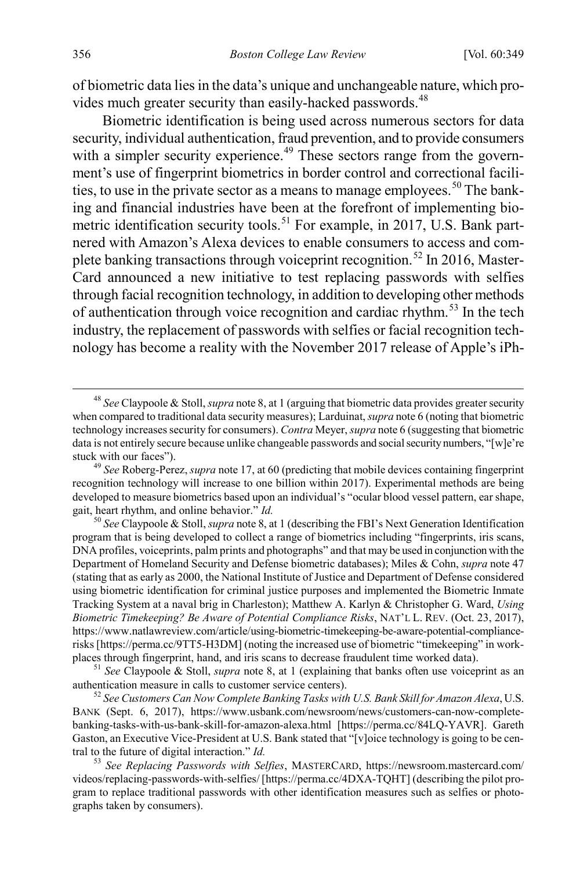of biometric data lies in the data's unique and unchangeable nature, which pro-vides much greater security than easily-hacked passwords.<sup>[48](#page-8-0)</sup>

Biometric identification is being used across numerous sectors for data security, individual authentication, fraud prevention, and to provide consumers with a simpler security experience.<sup>[49](#page-8-1)</sup> These sectors range from the government's use of fingerprint biometrics in border control and correctional facili-ties, to use in the private sector as a means to manage employees.<sup>[50](#page-8-2)</sup> The banking and financial industries have been at the forefront of implementing bio-metric identification security tools.<sup>[51](#page-8-3)</sup> For example, in 2017, U.S. Bank partnered with Amazon's Alexa devices to enable consumers to access and com-plete banking transactions through voiceprint recognition.<sup>[52](#page-8-4)</sup> In 2016, Master-Card announced a new initiative to test replacing passwords with selfies through facial recognition technology, in addition to developing other methods of authentication through voice recognition and cardiac rhythm.<sup>[53](#page-8-5)</sup> In the tech industry, the replacement of passwords with selfies or facial recognition technology has become a reality with the November 2017 release of Apple's iPh-

<span id="page-8-0"></span> <sup>48</sup> *See* Claypoole & Stoll, *supra* not[e 8,](#page-2-7) at 1 (arguing that biometric data provides greater security when compared to traditional data security measures); Larduinat, *supra* not[e 6](#page-2-0) (noting that biometric technology increases security for consumers). *Contra* Meyer, *supra* not[e 6](#page-2-0) (suggesting that biometric data is not entirely secure because unlike changeable passwords and social security numbers, "[w]e're stuck with our faces"). <sup>49</sup> *See* Roberg-Perez, *supra* not[e 17,](#page-4-1) at 60 (predicting that mobile devices containing fingerprint

<span id="page-8-1"></span>recognition technology will increase to one billion within 2017). Experimental methods are being developed to measure biometrics based upon an individual's "ocular blood vessel pattern, ear shape, gait, heart rhythm, and online behavior." *Id.* <sup>50</sup> *See* Claypoole & Stoll, *supra* not[e 8,](#page-2-7) at 1 (describing the FBI's Next Generation Identification

<span id="page-8-2"></span>program that is being developed to collect a range of biometrics including "fingerprints, iris scans, DNA profiles, voiceprints, palm prints and photographs" and that may be used in conjunction with the Department of Homeland Security and Defense biometric databases); Miles & Cohn, *supra* note [47](#page-7-9) (stating that as early as 2000, the National Institute of Justice and Department of Defense considered using biometric identification for criminal justice purposes and implemented the Biometric Inmate Tracking System at a naval brig in Charleston); Matthew A. Karlyn & Christopher G. Ward, *Using Biometric Timekeeping? Be Aware of Potential Compliance Risks*, NAT'L L. REV. (Oct. 23, 2017), https://www.natlawreview.com/article/using-biometric-timekeeping-be-aware-potential-compliancerisks [https://perma.cc/9TT5-H3DM] (noting the increased use of biometric "timekeeping" in workplaces through fingerprint, hand, and iris scans to decrease fraudulent time worked data). <sup>51</sup> *See* Claypoole & Stoll, *supra* not[e 8,](#page-2-7) at 1 (explaining that banks often use voiceprint as an

<span id="page-8-3"></span>authentication measure in calls to customer service centers). <sup>52</sup> *See Customers Can Now Complete Banking Tasks with U.S. Bank Skill for Amazon Alexa*, U.S.

<span id="page-8-4"></span>BANK (Sept. 6, 2017), https://www.usbank.com/newsroom/news/customers-can-now-completebanking-tasks-with-us-bank-skill-for-amazon-alexa.html [https://perma.cc/84LQ-YAVR]. Gareth Gaston, an Executive Vice-President at U.S. Bank stated that "[v]oice technology is going to be central to the future of digital interaction." *Id.* <sup>53</sup> *See Replacing Passwords with Selfies*, MASTERCARD, https://newsroom.mastercard.com/

<span id="page-8-5"></span>videos/replacing-passwords-with-selfies/ [https://perma.cc/4DXA-TQHT] (describing the pilot program to replace traditional passwords with other identification measures such as selfies or photographs taken by consumers).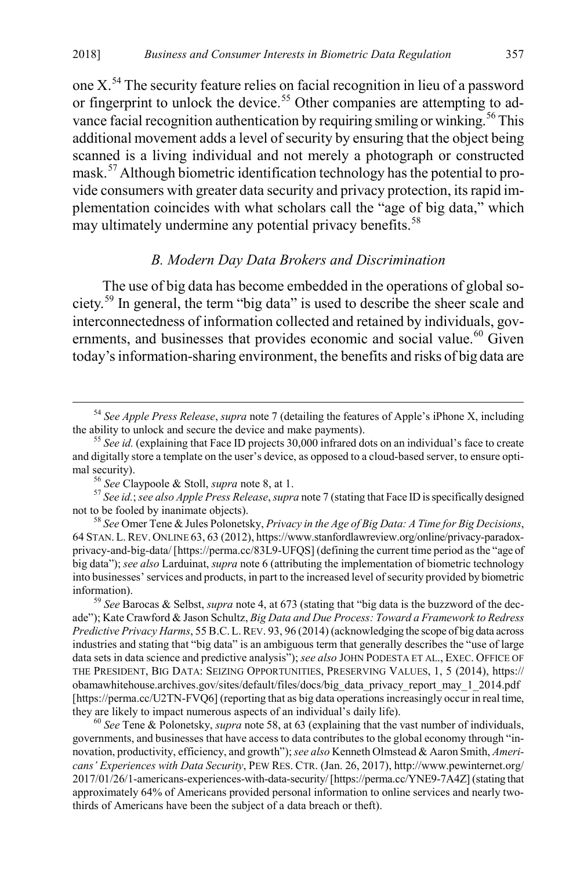one X.[54](#page-9-2) The security feature relies on facial recognition in lieu of a password or fingerprint to unlock the device.<sup>[55](#page-9-3)</sup> Other companies are attempting to ad-vance facial recognition authentication by requiring smiling or winking.<sup>[56](#page-9-4)</sup> This additional movement adds a level of security by ensuring that the object being scanned is a living individual and not merely a photograph or constructed mask.[57](#page-9-5) Although biometric identification technology has the potential to provide consumers with greater data security and privacy protection, its rapid implementation coincides with what scholars call the "age of big data," which may ultimately undermine any potential privacy benefits.<sup>[58](#page-9-6)</sup>

#### <span id="page-9-0"></span>*B. Modern Day Data Brokers and Discrimination*

<span id="page-9-1"></span>The use of big data has become embedded in the operations of global society.[59](#page-9-7) In general, the term "big data" is used to describe the sheer scale and interconnectedness of information collected and retained by individuals, gov-ernments, and businesses that provides economic and social value.<sup>[60](#page-9-8)</sup> Given today's information-sharing environment, the benefits and risks of big data are

<span id="page-9-2"></span><sup>&</sup>lt;sup>54</sup> *See Apple Press Release, supra* not[e 7](#page-2-8) (detailing the features of Apple's iPhone X, including the ability to unlock and secure the device and make payments).

<span id="page-9-3"></span> $\frac{55}{15}$  *See id.* (explaining that Face ID projects 30,000 infrared dots on an individual's face to create and digitally store a template on the user's device, as opposed to a cloud-based server, to ensure opti-

<span id="page-9-5"></span><span id="page-9-4"></span>mal security).<br><sup>56</sup> *See* Claypoole & Stoll, *supra* note [8,](#page-2-7) at 1.<br><sup>57</sup> *See id.*; *see also Apple Press Release*, *supra* not[e 7](#page-2-8) (stating that Face ID is specifically designed not to be fooled by inanimate objects).

<span id="page-9-6"></span><sup>&</sup>lt;sup>58</sup> See Omer Tene & Jules Polonetsky, *Privacy in the Age of Big Data: A Time for Big Decisions*, 64 STAN. L.REV. ONLINE 63, 63 (2012), https://www.stanfordlawreview.org/online/privacy-paradoxprivacy-and-big-data/ [https://perma.cc/83L9-UFQS] (defining the current time period as the "age of big data"); *see also* Larduinat, *supra* not[e 6](#page-2-0) (attributing the implementation of biometric technology into businesses' services and products, in part to the increased level of security provided by biometric information). <sup>59</sup> *See* Barocas & Selbst, *supra* not[e 4,](#page-2-6) at 673 (stating that "big data is the buzzword of the dec-

<span id="page-9-7"></span>ade"); Kate Crawford & Jason Schultz, *Big Data and Due Process: Toward a Framework to Redress Predictive Privacy Harms*, 55 B.C.L.REV. 93, 96 (2014) (acknowledging the scope of big data across industries and stating that "big data" is an ambiguous term that generally describes the "use of large data sets in data science and predictive analysis"); *see also* JOHN PODESTA ET AL., EXEC. OFFICE OF THE PRESIDENT, BIG DATA: SEIZING OPPORTUNITIES, PRESERVING VALUES, 1, 5 (2014), https:// obamawhitehouse.archives.gov/sites/default/files/docs/big\_data\_privacy\_report\_may\_1\_2014.pdf [https://perma.cc/U2TN-FVQ6] (reporting that as big data operations increasingly occur in real time, they are likely to impact numerous aspects of an individual's daily life).<br><sup>60</sup> *See* Tene & Polonetsky, *supra* not[e 58,](#page-9-0) at 63 (explaining that the vast number of individuals,

<span id="page-9-8"></span>governments, and businesses that have access to data contributes to the global economy through "innovation, productivity, efficiency, and growth"); *see also* Kenneth Olmstead & Aaron Smith, *Americans' Experiences with Data Security*, PEW RES. CTR. (Jan. 26, 2017), http://www.pewinternet.org/ 2017/01/26/1-americans-experiences-with-data-security/ [https://perma.cc/YNE9-7A4Z] (stating that approximately 64% of Americans provided personal information to online services and nearly twothirds of Americans have been the subject of a data breach or theft).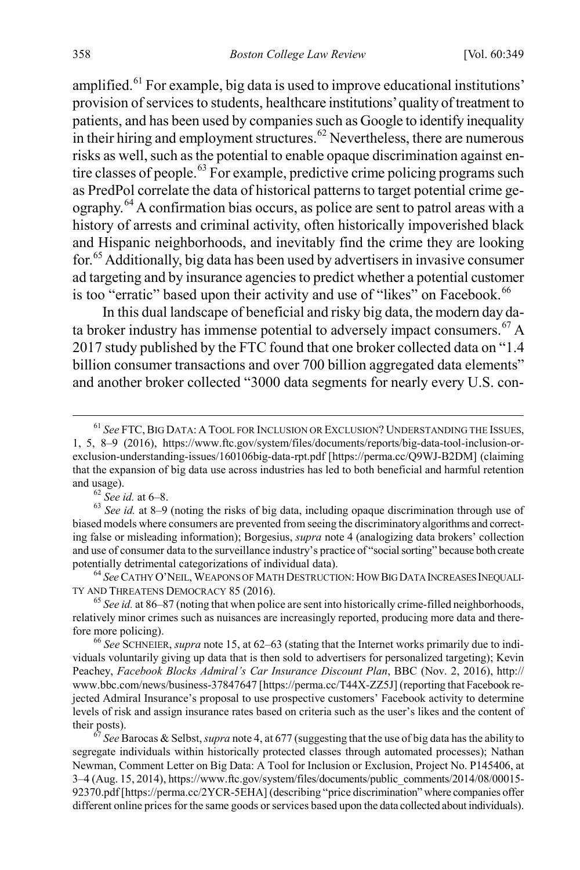amplified. $61$  For example, big data is used to improve educational institutions' provision of services to students, healthcare institutions' quality of treatment to patients, and has been used by companies such as Google to identify inequality in their hiring and employment structures. $62$  Nevertheless, there are numerous risks as well, such as the potential to enable opaque discrimination against en-tire classes of people.<sup>[63](#page-10-2)</sup> For example, predictive crime policing programs such as PredPol correlate the data of historical patterns to target potential crime geography.[64](#page-10-3) A confirmation bias occurs, as police are sent to patrol areas with a history of arrests and criminal activity, often historically impoverished black and Hispanic neighborhoods, and inevitably find the crime they are looking for.[65](#page-10-4) Additionally, big data has been used by advertisers in invasive consumer ad targeting and by insurance agencies to predict whether a potential customer is too "erratic" based upon their activity and use of "likes" on Facebook.<sup>[66](#page-10-5)</sup>

<span id="page-10-8"></span><span id="page-10-7"></span>In this dual landscape of beneficial and risky big data, the modern day data broker industry has immense potential to adversely impact consumers.  $^{67}$  $^{67}$  $^{67}$  A 2017 study published by the FTC found that one broker collected data on "1.4 billion consumer transactions and over 700 billion aggregated data elements" and another broker collected "3000 data segments for nearly every U.S. con-

<span id="page-10-2"></span><span id="page-10-1"></span>and usage).<br><sup>62</sup> *See id.* at 6–8.<br><sup>63</sup> *See id.* at 8–9 (noting the risks of big data, including opaque discrimination through use of biased models where consumers are prevented from seeing the discriminatory algorithms and correcting false or misleading information); Borgesius, *supra* not[e 4](#page-2-6) (analogizing data brokers' collection and use of consumer data to the surveillance industry's practice of "social sorting" because both create potentially detrimental categorizations of individual data). <sup>64</sup> *See* CATHY O'NEIL, WEAPONS OF MATH DESTRUCTION:HOW BIG DATA INCREASES INEQUALI-

<span id="page-10-3"></span>TY AND THREATENS DEMOCRACY 85 (2016). <sup>65</sup> *See id.* at 86–87 (noting that when police are sent into historically crime-filled neighborhoods,

<span id="page-10-4"></span>relatively minor crimes such as nuisances are increasingly reported, producing more data and therefore more policing). <sup>66</sup> *See* SCHNEIER, *supra* not[e 15,](#page-3-10) at 62–63 (stating that the Internet works primarily due to indi-

<span id="page-10-5"></span>viduals voluntarily giving up data that is then sold to advertisers for personalized targeting); Kevin Peachey, *Facebook Blocks Admiral's Car Insurance Discount Plan*, BBC (Nov. 2, 2016), http:// www.bbc.com/news/business-37847647 [https://perma.cc/T44X-ZZ5J] (reporting that Facebook rejected Admiral Insurance's proposal to use prospective customers' Facebook activity to determine levels of risk and assign insurance rates based on criteria such as the user's likes and the content of their posts). <sup>67</sup> *See* Barocas & Selbst, *supra* not[e 4,](#page-2-6) at 677 (suggesting that the use of big data has the ability to

<span id="page-10-6"></span>segregate individuals within historically protected classes through automated processes); Nathan Newman, Comment Letter on Big Data: A Tool for Inclusion or Exclusion, Project No. P145406, at 3–4 (Aug. 15, 2014), https://www.ftc.gov/system/files/documents/public\_comments/2014/08/00015- 92370.pdf [https://perma.cc/2YCR-5EHA] (describing "price discrimination" where companies offer different online prices for the same goods or services based upon the data collected about individuals).

<span id="page-10-0"></span> <sup>61</sup> *See* FTC,BIG DATA: <sup>A</sup> TOOL FOR INCLUSION OR EXCLUSION? UNDERSTANDING THE ISSUES, 1, 5, 8–9 (2016), https://www.ftc.gov/system/files/documents/reports/big-data-tool-inclusion-orexclusion-understanding-issues/160106big-data-rpt.pdf [https://perma.cc/Q9WJ-B2DM] (claiming that the expansion of big data use across industries has led to both beneficial and harmful retention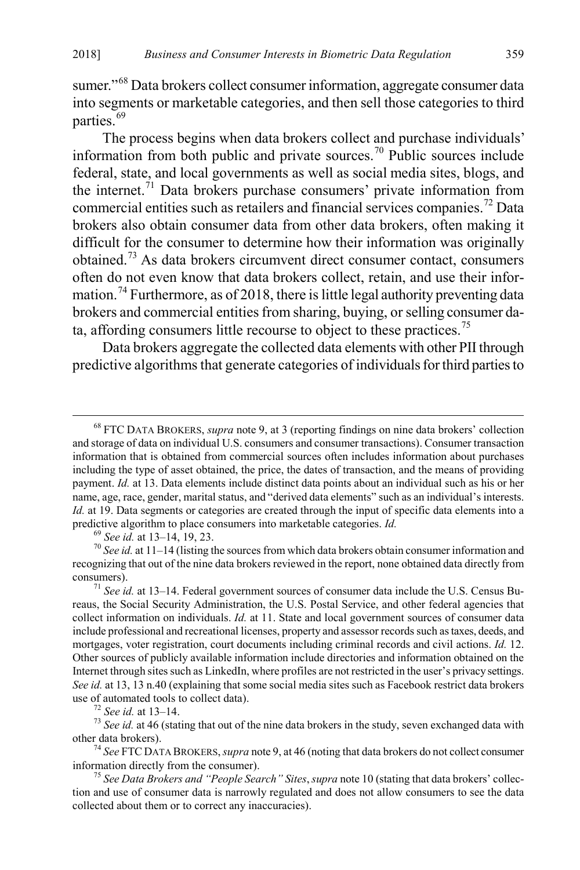<span id="page-11-8"></span>sumer."<sup>[68](#page-11-0)</sup> Data brokers collect consumer information, aggregate consumer data into segments or marketable categories, and then sell those categories to third parties.<sup>[69](#page-11-1)</sup>

The process begins when data brokers collect and purchase individuals' information from both public and private sources.[70](#page-11-2) Public sources include federal, state, and local governments as well as social media sites, blogs, and the internet.<sup>[71](#page-11-3)</sup> Data brokers purchase consumers' private information from commercial entities such as retailers and financial services companies.[72](#page-11-4) Data brokers also obtain consumer data from other data brokers, often making it difficult for the consumer to determine how their information was originally obtained.[73](#page-11-5) As data brokers circumvent direct consumer contact, consumers often do not even know that data brokers collect, retain, and use their infor-mation.<sup>[74](#page-11-6)</sup> Furthermore, as of 2018, there is little legal authority preventing data brokers and commercial entities from sharing, buying, or selling consumer da-ta, affording consumers little recourse to object to these practices.<sup>[75](#page-11-7)</sup>

Data brokers aggregate the collected data elements with other PII through predictive algorithms that generate categories of individuals for third parties to

<span id="page-11-2"></span><span id="page-11-1"></span><sup>69</sup> *See id.* at 13–14, 19, 23. *I*<br><sup>70</sup> *See id.* at 11–14 (listing the sources from which data brokers obtain consumer information and recognizing that out of the nine data brokers reviewed in the report, none obtained data directly from consumers). <sup>71</sup> *See id.* at 13–14. Federal government sources of consumer data include the U.S. Census Bu-

<span id="page-11-0"></span> <sup>68</sup> FTC DATA BROKERS, *supra* note [9,](#page-3-0) at 3 (reporting findings on nine data brokers' collection and storage of data on individual U.S. consumers and consumer transactions). Consumer transaction information that is obtained from commercial sources often includes information about purchases including the type of asset obtained, the price, the dates of transaction, and the means of providing payment. *Id.* at 13. Data elements include distinct data points about an individual such as his or her name, age, race, gender, marital status, and "derived data elements" such as an individual's interests. *Id.* at 19. Data segments or categories are created through the input of specific data elements into a predictive algorithm to place consumers into marketable categories. *Id.* 

<span id="page-11-3"></span>reaus, the Social Security Administration, the U.S. Postal Service, and other federal agencies that collect information on individuals. *Id.* at 11. State and local government sources of consumer data include professional and recreational licenses, property and assessor records such as taxes, deeds, and mortgages, voter registration, court documents including criminal records and civil actions. *Id.* 12. Other sources of publicly available information include directories and information obtained on the Internet through sites such as LinkedIn, where profiles are not restricted in the user's privacy settings. See id. at 13, 13 n.40 (explaining that some social media sites such as Facebook restrict data brokers use of automated tools to collect data).

<span id="page-11-5"></span><span id="page-11-4"></span><sup>&</sup>lt;sup>72</sup> *See id.* at 13–14. *T*<sup>3</sup> *See id.* at 46 (stating that out of the nine data brokers in the study, seven exchanged data with other data brokers).

<span id="page-11-6"></span><sup>&</sup>lt;sup>74</sup> See FTC DATA BROKERS, *supra* not[e 9,](#page-3-0) at 46 (noting that data brokers do not collect consumer information directly from the consumer). <sup>75</sup> *See Data Brokers and "People Search" Sites*,*supra* not[e 10](#page-3-9) (stating that data brokers' collec-

<span id="page-11-7"></span>tion and use of consumer data is narrowly regulated and does not allow consumers to see the data collected about them or to correct any inaccuracies).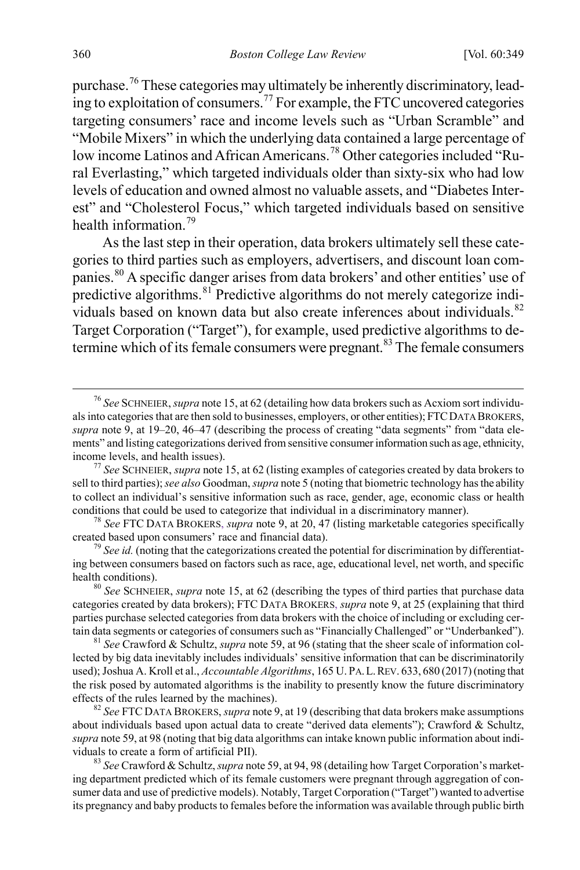purchase.<sup>[76](#page-12-0)</sup> These categories may ultimately be inherently discriminatory, lead-ing to exploitation of consumers.<sup>[77](#page-12-1)</sup> For example, the FTC uncovered categories targeting consumers' race and income levels such as "Urban Scramble" and "Mobile Mixers" in which the underlying data contained a large percentage of low income Latinos and African Americans.<sup>[78](#page-12-2)</sup> Other categories included "Rural Everlasting," which targeted individuals older than sixty-six who had low levels of education and owned almost no valuable assets, and "Diabetes Interest" and "Cholesterol Focus," which targeted individuals based on sensitive health information.<sup>[79](#page-12-3)</sup>

As the last step in their operation, data brokers ultimately sell these categories to third parties such as employers, advertisers, and discount loan companies.[80](#page-12-4) A specific danger arises from data brokers' and other entities' use of predictive algorithms.  $81$  Predictive algorithms do not merely categorize indi-viduals based on known data but also create inferences about individuals.<sup>[82](#page-12-6)</sup> Target Corporation ("Target"), for example, used predictive algorithms to de-termine which of its female consumers were pregnant.<sup>[83](#page-12-7)</sup> The female consumers

<span id="page-12-8"></span><span id="page-12-0"></span> <sup>76</sup> *See* SCHNEIER, *supra* not[e 15,](#page-3-10) at 62 (detailing how data brokers such as Acxiom sort individuals into categories that are then sold to businesses, employers, or other entities); FTCDATA BROKERS, *supra* note [9,](#page-3-0) at 19–20, 46–47 (describing the process of creating "data segments" from "data elements" and listing categorizations derived from sensitive consumer information such as age, ethnicity, income levels, and health issues). <sup>77</sup> *See* SCHNEIER, *supra* not[e 15,](#page-3-10) at 62 (listing examples of categories created by data brokers to

<span id="page-12-1"></span>sell to third parties); *see also* Goodman, *supra* not[e 5](#page-2-9) (noting that biometric technology has the ability to collect an individual's sensitive information such as race, gender, age, economic class or health

<span id="page-12-2"></span>conditions that could be used to categorize that individual in a discriminatory manner).<br><sup>78</sup> *See* FTC DATA BROKERS, *supra* not[e 9,](#page-3-0) at 20, 47 (listing marketable categories specifically created based upon consumers' race

<span id="page-12-3"></span><sup>&</sup>lt;sup>79</sup> *See id.* (noting that the categorizations created the potential for discrimination by differentiating between consumers based on factors such as race, age, educational level, net worth, and specific health conditions).<br><sup>80</sup> *See* SCHNEIER, *supra* note [15,](#page-3-10) at 62 (describing the types of third parties that purchase data

<span id="page-12-4"></span>categories created by data brokers); FTC DATA BROKERS, *supra* not[e 9,](#page-3-0) at 25 (explaining that third parties purchase selected categories from data brokers with the choice of including or excluding certain data segments or categories of consumers such as "Financially Challenged" or "Underbanked"). <sup>81</sup> *See* Crawford & Schultz, *supra* not[e 59,](#page-9-1) at 96 (stating that the sheer scale of information col-

<span id="page-12-5"></span>lected by big data inevitably includes individuals' sensitive information that can be discriminatorily used); Joshua A. Kroll et al., *Accountable Algorithms*, 165 U. PA.L.REV. 633, 680 (2017) (noting that the risk posed by automated algorithms is the inability to presently know the future discriminatory effects of the rules learned by the machines).

<span id="page-12-6"></span><sup>&</sup>lt;sup>82</sup> *See* FTC DATA BROKERS, *supra* not[e 9,](#page-3-0) at 19 (describing that data brokers make assumptions about individuals based upon actual data to create "derived data elements"); Crawford & Schultz, *supra* not[e 59,](#page-9-1) at 98 (noting that big data algorithms can intake known public information about individuals to create a form of artificial PII). <sup>83</sup> *See* Crawford & Schultz, *supra* not[e 59,](#page-9-1) at 94, 98 (detailing how Target Corporation's market-

<span id="page-12-7"></span>ing department predicted which of its female customers were pregnant through aggregation of consumer data and use of predictive models). Notably, Target Corporation ("Target") wanted to advertise its pregnancy and baby products to females before the information was available through public birth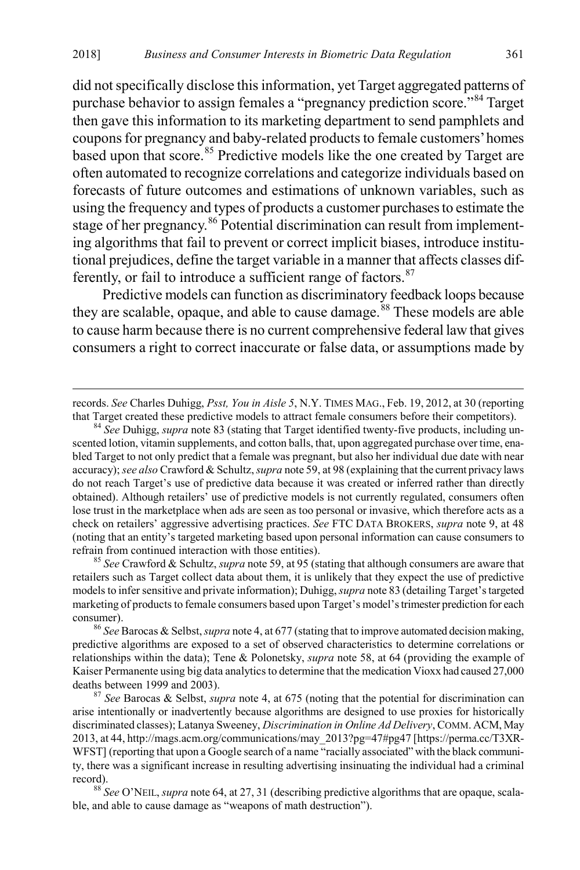did not specifically disclose this information, yet Target aggregated patterns of purchase behavior to assign females a "pregnancy prediction score."<sup>[84](#page-13-0)</sup> Target then gave this information to its marketing department to send pamphlets and coupons for pregnancy and baby-related products to female customers' homes based upon that score.<sup>[85](#page-13-1)</sup> Predictive models like the one created by Target are often automated to recognize correlations and categorize individuals based on forecasts of future outcomes and estimations of unknown variables, such as using the frequency and types of products a customer purchases to estimate the stage of her pregnancy.<sup>[86](#page-13-2)</sup> Potential discrimination can result from implementing algorithms that fail to prevent or correct implicit biases, introduce institutional prejudices, define the target variable in a manner that affects classes differently, or fail to introduce a sufficient range of factors. $87$ 

Predictive models can function as discriminatory feedback loops because they are scalable, opaque, and able to cause damage.<sup>[88](#page-13-4)</sup> These models are able to cause harm because there is no current comprehensive federal law that gives consumers a right to correct inaccurate or false data, or assumptions made by

<span id="page-13-1"></span>retailers such as Target collect data about them, it is unlikely that they expect the use of predictive models to infer sensitive and private information); Duhigg, *supra* not[e 83](#page-12-8) (detailing Target's targeted marketing of products to female consumers based upon Target's model's trimester prediction for each consumer). <sup>86</sup> *See* Barocas & Selbst,*supra* not[e 4,](#page-2-6) at 677 (stating that to improve automated decision making,

records. *See* Charles Duhigg, *Psst, You in Aisle 5*, N.Y. TIMES MAG., Feb. 19, 2012, at 30 (reporting that Target created these predictive models to attract female consumers before their competitors). <sup>84</sup> *See* Duhigg, *supra* note [83](#page-12-8) (stating that Target identified twenty-five products, including un-

<span id="page-13-0"></span>scented lotion, vitamin supplements, and cotton balls, that, upon aggregated purchase over time, enabled Target to not only predict that a female was pregnant, but also her individual due date with near accuracy); *see also* Crawford & Schultz, *supra* not[e 59,](#page-9-1) at 98 (explaining that the current privacy laws do not reach Target's use of predictive data because it was created or inferred rather than directly obtained). Although retailers' use of predictive models is not currently regulated, consumers often lose trust in the marketplace when ads are seen as too personal or invasive, which therefore acts as a check on retailers' aggressive advertising practices. *See* FTC DATA BROKERS, *supra* note [9,](#page-3-0) at 48 (noting that an entity's targeted marketing based upon personal information can cause consumers to refrain from continued interaction with those entities). <sup>85</sup> *See* Crawford & Schultz, *supra* not[e 59,](#page-9-1) at 95 (stating that although consumers are aware that

<span id="page-13-2"></span>predictive algorithms are exposed to a set of observed characteristics to determine correlations or relationships within the data); Tene & Polonetsky, *supra* note [58,](#page-9-0) at 64 (providing the example of Kaiser Permanente using big data analytics to determine that the medication Vioxx had caused 27,000 deaths between 1999 and 2003). <sup>87</sup> *See* Barocas & Selbst, *supra* note [4,](#page-2-6) at 675 (noting that the potential for discrimination can

<span id="page-13-3"></span>arise intentionally or inadvertently because algorithms are designed to use proxies for historically discriminated classes); Latanya Sweeney, *Discrimination in Online Ad Delivery*, COMM. ACM, May 2013, at 44, http://mags.acm.org/communications/may\_2013?pg=47#pg47 [https://perma.cc/T3XR-WFST] (reporting that upon a Google search of a name "racially associated" with the black community, there was a significant increase in resulting advertising insinuating the individual had a criminal record). <sup>88</sup> *See* O'NEIL, *supra* not[e 64,](#page-10-7) at 27, 31 (describing predictive algorithms that are opaque, scala-

<span id="page-13-4"></span>ble, and able to cause damage as "weapons of math destruction").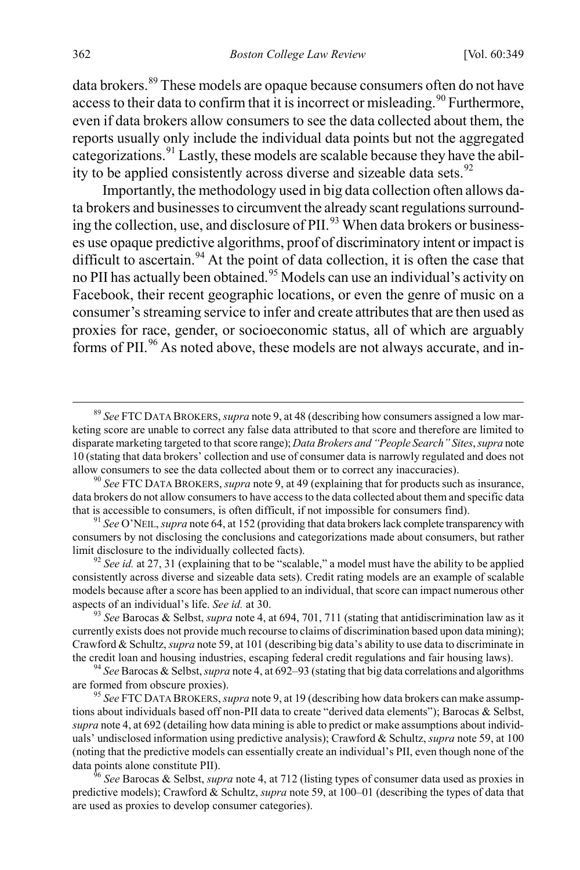data brokers.<sup>[89](#page-14-0)</sup> These models are opaque because consumers often do not have access to their data to confirm that it is incorrect or misleading.<sup>[90](#page-14-1)</sup> Furthermore, even if data brokers allow consumers to see the data collected about them, the reports usually only include the individual data points but not the aggregated categorizations.[91](#page-14-2) Lastly, these models are scalable because they have the ability to be applied consistently across diverse and sizeable data sets. $92$ 

Importantly, the methodology used in big data collection often allows data brokers and businesses to circumvent the already scant regulations surround-ing the collection, use, and disclosure of PII.<sup>[93](#page-14-4)</sup> When data brokers or businesses use opaque predictive algorithms, proof of discriminatory intent or impact is difficult to ascertain.<sup>[94](#page-14-5)</sup> At the point of data collection, it is often the case that no PII has actually been obtained.<sup>[95](#page-14-6)</sup> Models can use an individual's activity on Facebook, their recent geographic locations, or even the genre of music on a consumer's streaming service to infer and create attributes that are then used as proxies for race, gender, or socioeconomic status, all of which are arguably forms of PII.<sup>[96](#page-14-7)</sup> As noted above, these models are not always accurate, and in-

<span id="page-14-0"></span> <sup>89</sup> *See* FTC DATA BROKERS, *supra* not[e 9,](#page-3-0) at 48 (describing how consumers assigned a low marketing score are unable to correct any false data attributed to that score and therefore are limited to disparate marketing targeted to that score range); *Data Brokers and "People Search" Sites*, *supra* note [10](#page-3-9) (stating that data brokers' collection and use of consumer data is narrowly regulated and does not allow consumers to see the data collected about them or to correct any inaccuracies). <sup>90</sup> *See* FTC DATA BROKERS, *supra* not[e 9,](#page-3-0) at 49 (explaining that for products such as insurance,

<span id="page-14-1"></span>data brokers do not allow consumers to have access to the data collected about them and specific data that is accessible to consumers, is often difficult, if not impossible for consumers find). <sup>91</sup> *See* O'NEIL, *supra* not[e 64,](#page-10-7) at 152 (providing that data brokers lack complete transparency with

<span id="page-14-2"></span>consumers by not disclosing the conclusions and categorizations made about consumers, but rather limit disclosure to the individually collected facts). <sup>92</sup> *See id.* at 27, 31 (explaining that to be "scalable," a model must have the ability to be applied

<span id="page-14-3"></span>consistently across diverse and sizeable data sets). Credit rating models are an example of scalable models because after a score has been applied to an individual, that score can impact numerous other aspects of an individual's life. *See id.* at 30. <sup>93</sup> *See* Barocas & Selbst, *supra* not[e 4,](#page-2-6) at 694, 701, 711 (stating that antidiscrimination law as it

<span id="page-14-4"></span>currently exists does not provide much recourse to claims of discrimination based upon data mining); Crawford & Schultz, *supra* not[e 59,](#page-9-1) at 101 (describing big data's ability to use data to discriminate in the credit loan and housing industries, escaping federal credit regulations and fair housing laws). <sup>94</sup> *See* Barocas & Selbst,*supra* not[e 4,](#page-2-6) at 692–93 (stating that big data correlations and algorithms

<span id="page-14-5"></span>are formed from obscure proxies). <sup>95</sup> *See* FTC DATA BROKERS, *supra* not[e 9,](#page-3-0) at 19 (describing how data brokers can make assump-

<span id="page-14-6"></span>tions about individuals based off non-PII data to create "derived data elements"); Barocas & Selbst, *supra* not[e 4,](#page-2-6) at 692 (detailing how data mining is able to predict or make assumptions about individuals' undisclosed information using predictive analysis); Crawford & Schultz, *supra* not[e 59,](#page-9-1) at 100 (noting that the predictive models can essentially create an individual's PII, even though none of the data points alone constitute PII). <sup>96</sup> *See* Barocas & Selbst, *supra* not[e 4,](#page-2-6) at 712 (listing types of consumer data used as proxies in

<span id="page-14-7"></span>predictive models); Crawford & Schultz, *supra* not[e 59,](#page-9-1) at 100–01 (describing the types of data that are used as proxies to develop consumer categories).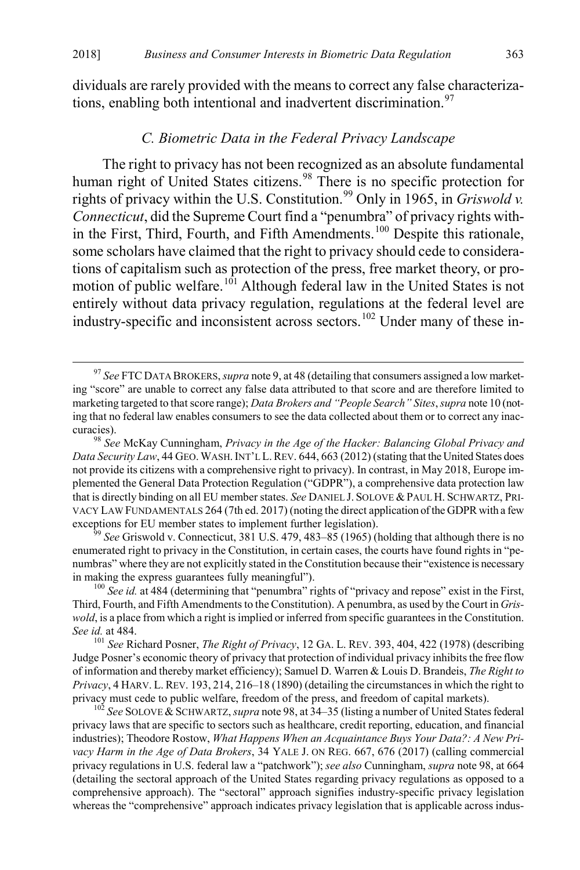dividuals are rarely provided with the means to correct any false characteriza-tions, enabling both intentional and inadvertent discrimination.<sup>[97](#page-15-2)</sup>

#### <span id="page-15-8"></span><span id="page-15-1"></span><span id="page-15-0"></span>*C. Biometric Data in the Federal Privacy Landscape*

The right to privacy has not been recognized as an absolute fundamental human right of United States citizens.<sup>[98](#page-15-3)</sup> There is no specific protection for rights of privacy within the U.S. Constitution.<sup>[99](#page-15-4)</sup> Only in 1965, in *Griswold v. Connecticut*, did the Supreme Court find a "penumbra" of privacy rights with-in the First, Third, Fourth, and Fifth Amendments.<sup>[100](#page-15-5)</sup> Despite this rationale, some scholars have claimed that the right to privacy should cede to considerations of capitalism such as protection of the press, free market theory, or pro-motion of public welfare.<sup>[101](#page-15-6)</sup> Although federal law in the United States is not entirely without data privacy regulation, regulations at the federal level are industry-specific and inconsistent across sectors.<sup>[102](#page-15-7)</sup> Under many of these in-

<span id="page-15-4"></span>enumerated right to privacy in the Constitution, in certain cases, the courts have found rights in "penumbras" where they are not explicitly stated in the Constitution because their "existence is necessary in making the express guarantees fully meaningful").<br><sup>100</sup> *See id.* at 484 (determining that "penumbra" rights of "privacy and repose" exist in the First,

<span id="page-15-5"></span>Third, Fourth, and Fifth Amendments to the Constitution). A penumbra, as used by the Court in *Griswold*, is a place from which a right is implied or inferred from specific guarantees in the Constitution. *See id.* at 484. <sup>101</sup> *See* Richard Posner, *The Right of Privacy*, 12 GA. L. REV. 393, 404, 422 (1978) (describing

<span id="page-15-6"></span>Judge Posner's economic theory of privacy that protection of individual privacy inhibits the free flow of information and thereby market efficiency); Samuel D. Warren & Louis D. Brandeis, *The Right to Privacy*, 4 HARV. L. REV. 193, 214, 216–18 (1890) (detailing the circumstances in which the right to privacy must cede to public welfare, freedom of the press, and freedom of capital markets). <sup>102</sup> *See* SOLOVE &SCHWARTZ, *supra* not[e 98,](#page-15-1) at 34–35 (listing a number of United States federal

<span id="page-15-7"></span>privacy laws that are specific to sectors such as healthcare, credit reporting, education, and financial industries); Theodore Rostow, *What Happens When an Acquaintance Buys Your Data?: A New Privacy Harm in the Age of Data Brokers*, 34 YALE J. ON REG. 667, 676 (2017) (calling commercial privacy regulations in U.S. federal law a "patchwork"); *see also* Cunningham, *supra* not[e 98,](#page-15-1) at 664 (detailing the sectoral approach of the United States regarding privacy regulations as opposed to a comprehensive approach). The "sectoral" approach signifies industry-specific privacy legislation whereas the "comprehensive" approach indicates privacy legislation that is applicable across indus-

<span id="page-15-2"></span> <sup>97</sup> *See* FTC DATA BROKERS, *supra* not[e 9,](#page-3-0) at 48 (detailing that consumers assigned a low marketing "score" are unable to correct any false data attributed to that score and are therefore limited to marketing targeted to that score range); *Data Brokers and "People Search" Sites*, *supra* not[e 10](#page-3-9) (noting that no federal law enables consumers to see the data collected about them or to correct any inaccuracies). <sup>98</sup> *See* McKay Cunningham, *Privacy in the Age of the Hacker: Balancing Global Privacy and* 

<span id="page-15-3"></span>*Data Security Law*, 44 GEO. WASH.INT'L L.REV. 644, 663 (2012) (stating that the United States does not provide its citizens with a comprehensive right to privacy). In contrast, in May 2018, Europe implemented the General Data Protection Regulation ("GDPR"), a comprehensive data protection law that is directly binding on all EU member states. *See* DANIEL J. SOLOVE &PAUL H. SCHWARTZ, PRI-VACY LAW FUNDAMENTALS 264 (7th ed. 2017) (noting the direct application of the GDPR with a few exceptions for EU member states to implement further legislation).<br><sup>99</sup> *See* Griswold v. Connecticut, 381 U.S. 479, 483–85 (1965) (holding that although there is no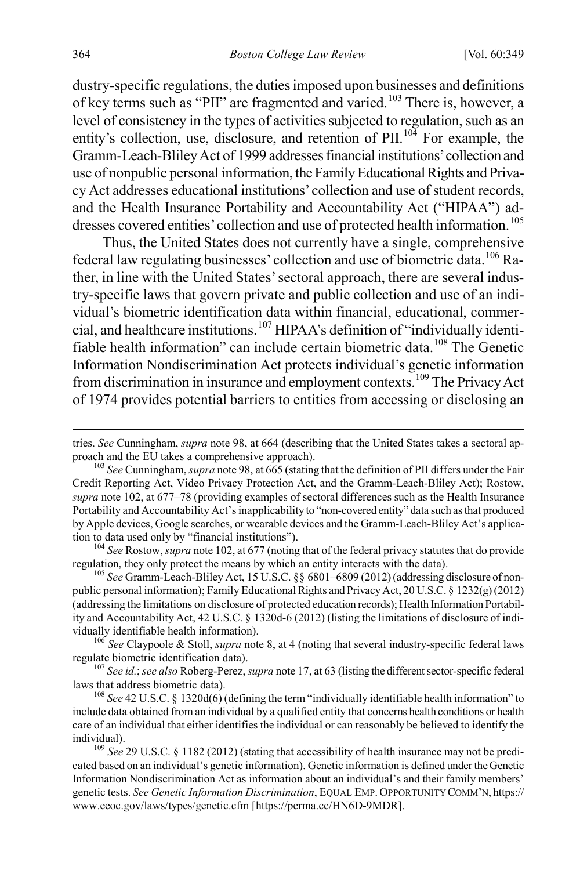dustry-specific regulations, the duties imposed upon businesses and definitions of key terms such as "PII" are fragmented and varied.<sup>[103](#page-16-0)</sup> There is, however, a level of consistency in the types of activities subjected to regulation, such as an entity's collection, use, disclosure, and retention of  $\text{PII}$ .<sup>[104](#page-16-1)</sup> For example, the Gramm-Leach-Bliley Act of 1999 addresses financial institutions' collection and use of nonpublic personal information, the Family Educational Rights and Privacy Act addresses educational institutions' collection and use of student records, and the Health Insurance Portability and Accountability Act ("HIPAA") ad-dresses covered entities' collection and use of protected health information.<sup>[105](#page-16-2)</sup>

Thus, the United States does not currently have a single, comprehensive federal law regulating businesses' collection and use of biometric data.<sup>[106](#page-16-3)</sup> Rather, in line with the United States' sectoral approach, there are several industry-specific laws that govern private and public collection and use of an individual's biometric identification data within financial, educational, commercial, and healthcare institutions.[107](#page-16-4) HIPAA's definition of "individually identi-fiable health information" can include certain biometric data.<sup>[108](#page-16-5)</sup> The Genetic Information Nondiscrimination Act protects individual's genetic information from discrimination in insurance and employment contexts.[109](#page-16-6) The Privacy Act of 1974 provides potential barriers to entities from accessing or disclosing an

<span id="page-16-1"></span>

<span id="page-16-2"></span>regulation, they only protect the means by which an entity interacts with the data). <sup>105</sup> *See* Gramm-Leach-Bliley Act, 15 U.S.C. §§ 6801–6809 (2012) (addressing disclosure of nonpublic personal information); Family Educational Rights and Privacy Act, 20 U.S.C. § 1232(g) (2012) (addressing the limitations on disclosure of protected education records); Health Information Portability and Accountability Act, 42 U.S.C. § 1320d-6 (2012) (listing the limitations of disclosure of individually identifiable health information). <sup>106</sup> *See* Claypoole & Stoll, *supra* not[e 8,](#page-2-7) at 4 (noting that several industry-specific federal laws

<span id="page-16-3"></span>

<span id="page-16-4"></span>regulate biometric identification data).<br><sup>107</sup> *See id.*; *see also* Roberg-Perez, *supra* not[e 17](#page-4-1), at 63 (listing the different sector-specific federal laws that address biometric data).

<span id="page-16-5"></span><sup>108</sup> *See* 42 U.S.C. § 1320d(6) (defining the term "individually identifiable health information" to include data obtained from an individual by a qualified entity that concerns health conditions or health care of an individual that either identifies the individual or can reasonably be believed to identify the

<span id="page-16-6"></span>individual). <sup>109</sup> *See* 29 U.S.C. § 1182 (2012) (stating that accessibility of health insurance may not be predicated based on an individual's genetic information). Genetic information is defined under the Genetic Information Nondiscrimination Act as information about an individual's and their family members' genetic tests. *See Genetic Information Discrimination*, EQUAL EMP. OPPORTUNITY COMM'N, https:// www.eeoc.gov/laws/types/genetic.cfm [https://perma.cc/HN6D-9MDR].

tries. *See* Cunningham, *supra* not[e 98,](#page-15-1) at 664 (describing that the United States takes a sectoral approach and the EU takes a comprehensive approach). <sup>103</sup> *See* Cunningham, *supra* not[e 98,](#page-15-1) at 665 (stating that the definition of PII differs under the Fair

<span id="page-16-0"></span>Credit Reporting Act, Video Privacy Protection Act, and the Gramm-Leach-Bliley Act); Rostow, *supra* not[e 102,](#page-15-8) at 677–78 (providing examples of sectoral differences such as the Health Insurance Portability and Accountability Act's inapplicability to "non-covered entity" data such as that produced by Apple devices, Google searches, or wearable devices and the Gramm-Leach-Bliley Act's application to data used only by "financial institutions").<br><sup>104</sup> *See* Rostow, *supra* not[e 102,](#page-15-8) at 677 (noting that of the federal privacy statutes that do provide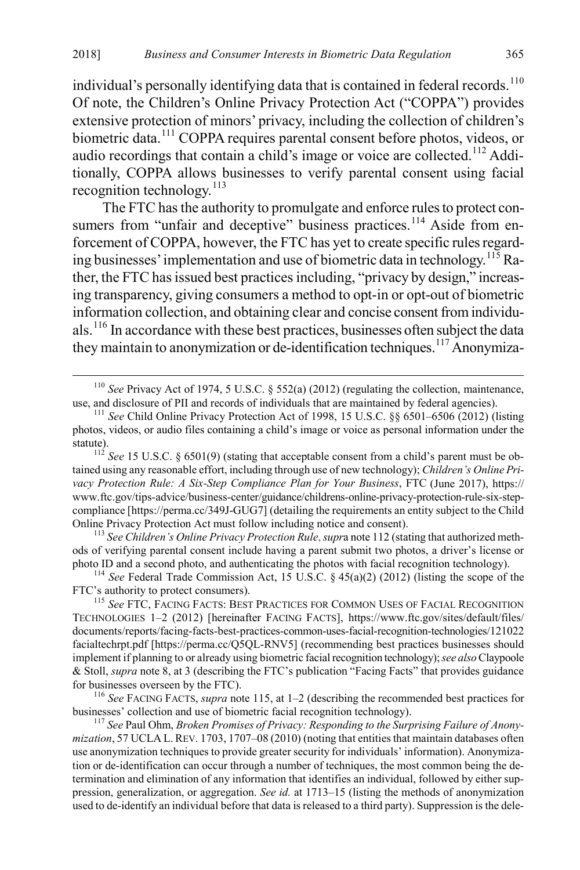individual's personally identifying data that is contained in federal records.<sup>[110](#page-17-2)</sup> Of note, the Children's Online Privacy Protection Act ("COPPA") provides extensive protection of minors' privacy, including the collection of children's biometric data.<sup>[111](#page-17-3)</sup> COPPA requires parental consent before photos, videos, or audio recordings that contain a child's image or voice are collected.<sup>[112](#page-17-4)</sup> Additionally, COPPA allows businesses to verify parental consent using facial recognition technology. $^{113}$  $^{113}$  $^{113}$ 

<span id="page-17-1"></span><span id="page-17-0"></span>The FTC has the authority to promulgate and enforce rules to protect con-sumers from "unfair and deceptive" business practices.<sup>[114](#page-17-6)</sup> Aside from enforcement of COPPA, however, the FTC has yet to create specific rules regarding businesses' implementation and use of biometric data in technology.<sup>115</sup> Rather, the FTC has issued best practices including, "privacy by design," increasing transparency, giving consumers a method to opt-in or opt-out of biometric information collection, and obtaining clear and concise consent from individuals.[116](#page-17-8) In accordance with these best practices, businesses often subject the data they maintain to anonymization or de-identification techniques.<sup>[117](#page-17-9)</sup> Anonymiza-

<span id="page-17-5"></span>ods of verifying parental consent include having a parent submit two photos, a driver's license or photo ID and a second photo, and authenticating the photos with facial recognition technology). <sup>114</sup> *See* Federal Trade Commission Act, 15 U.S.C. § 45(a)(2) (2012) (listing the scope of the

<span id="page-17-6"></span>FTC's authority to protect consumers).

<span id="page-17-7"></span><sup>115</sup> *See* FTC, FACING FACTS: BEST PRACTICES FOR COMMON USES OF FACIAL RECOGNITION TECHNOLOGIES 1–2 (2012) [hereinafter FACING FACTS], https://www.ftc.gov/sites/default/files/ documents/reports/facing-facts-best-practices-common-uses-facial-recognition-technologies/121022 facialtechrpt.pdf [https://perma.cc/Q5QL-RNV5] (recommending best practices businesses should implement if planning to or already using biometric facial recognition technology); *see also*Claypoole & Stoll, *supra* note [8,](#page-2-7) at 3 (describing the FTC's publication "Facing Facts" that provides guidance for businesses overseen by the FTC). <sup>116</sup> *See* FACING FACTS, *supra* not[e 115,](#page-17-1) at 1–2 (describing the recommended best practices for

<span id="page-17-8"></span>businesses' collection and use of biometric facial recognition technology).<br><sup>117</sup> *See* Paul Ohm, *Broken Promises of Privacy: Responding to the Surprising Failure of Anony-*

<span id="page-17-9"></span>*mization*, 57 UCLA L. REV. 1703, 1707–08 (2010) (noting that entities that maintain databases often use anonymization techniques to provide greater security for individuals' information). Anonymization or de-identification can occur through a number of techniques, the most common being the determination and elimination of any information that identifies an individual, followed by either suppression, generalization, or aggregation. *See id.* at 1713–15 (listing the methods of anonymization used to de-identify an individual before that data is released to a third party). Suppression is the dele-

<span id="page-17-10"></span><span id="page-17-2"></span><sup>&</sup>lt;sup>110</sup> *See* Privacy Act of 1974, 5 U.S.C. § 552(a) (2012) (regulating the collection, maintenance, use, and disclosure of PII and records of individuals that are maintained by federal agencies).

<span id="page-17-3"></span><sup>&</sup>lt;sup>111</sup> See Child Online Privacy Protection Act of 1998, 15 U.S.C. §§ 6501–6506 (2012) (listing photos, videos, or audio files containing a child's image or voice as personal information under the

<span id="page-17-4"></span>statute).<br><sup>112</sup> *See* 15 U.S.C. § 6501(9) (stating that acceptable consent from a child's parent must be obtained using any reasonable effort, including through use of new technology); *Children's Online Privacy Protection Rule: A Six-Step Compliance Plan for Your Business*, FTC (June 2017), https:// www.ftc.gov/tips-advice/business-center/guidance/childrens-online-privacy-protection-rule-six-stepcompliance [https://perma.cc/349J-GUG7] (detailing the requirements an entity subject to the Child Online Privacy Protection Act must follow including notice and consent). <sup>113</sup> *See Children's Online Privacy Protection Rule*, *supr*a not[e 112](#page-17-0) (stating that authorized meth-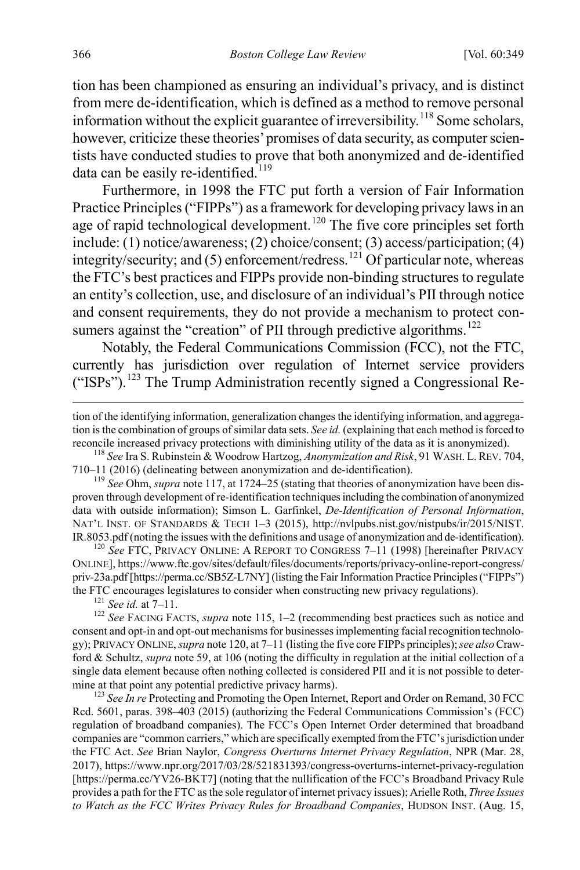tion has been championed as ensuring an individual's privacy, and is distinct from mere de-identification, which is defined as a method to remove personal information without the explicit guarantee of irreversibility.<sup>[118](#page-18-1)</sup> Some scholars, however, criticize these theories' promises of data security, as computer scientists have conducted studies to prove that both anonymized and de-identified data can be easily re-identified.<sup>[119](#page-18-2)</sup>

<span id="page-18-0"></span>Furthermore, in 1998 the FTC put forth a version of Fair Information Practice Principles ("FIPPs") as a framework for developing privacy laws in an age of rapid technological development.<sup>[120](#page-18-3)</sup> The five core principles set forth include: (1) notice/awareness; (2) choice/consent; (3) access/participation; (4) integrity/security; and (5) enforcement/redress.<sup>[121](#page-18-4)</sup> Of particular note, whereas the FTC's best practices and FIPPs provide non-binding structures to regulate an entity's collection, use, and disclosure of an individual's PII through notice and consent requirements, they do not provide a mechanism to protect consumers against the "creation" of PII through predictive algorithms. $^{122}$  $^{122}$  $^{122}$ 

Notably, the Federal Communications Commission (FCC), not the FTC, currently has jurisdiction over regulation of Internet service providers ("ISPs").<sup>[123](#page-18-6)</sup> The Trump Administration recently signed a Congressional Re-

<span id="page-18-2"></span><span id="page-18-1"></span>710–11 (2016) (delineating between anonymization and de-identification). <sup>119</sup> *See* Ohm, *supra* not[e 117,](#page-17-10) at 1724–25 (stating that theories of anonymization have been dis-

proven through development of re-identification techniques including the combination of anonymized data with outside information); Simson L. Garfinkel, *De-Identification of Personal Information*, NAT'L INST. OF STANDARDS & TECH 1–3 (2015), http://nvlpubs.nist.gov/nistpubs/ir/2015/NIST.

<span id="page-18-3"></span>IR.8053.pdf (noting the issues with the definitions and usage of anonymization and de-identification). <sup>120</sup> *See* FTC, PRIVACY ONLINE: <sup>A</sup> REPORT TO CONGRESS 7–11 (1998) [hereinafter PRIVACY ONLINE], https://www.ftc.gov/sites/default/files/documents/reports/privacy-online-report-congress/ priv-23a.pdf [https://perma.cc/SB5Z-L7NY] (listing the Fair Information Practice Principles ("FIPPs")

<span id="page-18-5"></span><span id="page-18-4"></span>the FTC encourages legislatures to consider when constructing new privacy regulations).<br><sup>121</sup> *See id.* at 7–11.<br><sup>122</sup> *See* FACING FACTS, *supra* note [115,](#page-17-1) 1–2 (recommending best practices such as notice and consent and opt-in and opt-out mechanisms for businesses implementing facial recognition technology); PRIVACY ONLINE, *supra* not[e 120,](#page-18-0) at 7–11 (listing the five core FIPPs principles); *see also*Crawford & Schultz, *supra* not[e 59,](#page-9-1) at 106 (noting the difficulty in regulation at the initial collection of a single data element because often nothing collected is considered PII and it is not possible to determine at that point any potential predictive privacy harms). <sup>123</sup> *See In re* Protecting and Promoting the Open Internet, Report and Order on Remand, 30 FCC

<span id="page-18-6"></span>Rcd. 5601, paras. 398–403 (2015) (authorizing the Federal Communications Commission's (FCC) regulation of broadband companies). The FCC's Open Internet Order determined that broadband companies are "common carriers," which are specifically exempted from the FTC's jurisdiction under the FTC Act. *See* Brian Naylor, *Congress Overturns Internet Privacy Regulation*, NPR (Mar. 28, 2017), https://www.npr.org/2017/03/28/521831393/congress-overturns-internet-privacy-regulation [https://perma.cc/YV26-BKT7] (noting that the nullification of the FCC's Broadband Privacy Rule provides a path for the FTC as the sole regulator of internet privacy issues); Arielle Roth, *Three Issues to Watch as the FCC Writes Privacy Rules for Broadband Companies*, HUDSON INST. (Aug. 15,

tion of the identifying information, generalization changes the identifying information, and aggregation is the combination of groups of similar data sets. *See id.* (explaining that each method is forced to reconcile increased privacy protections with diminishing utility of the data as it is anonymized). <sup>118</sup> *See* Ira S. Rubinstein & Woodrow Hartzog, *Anonymization and Risk*, 91 WASH. L. REV. 704,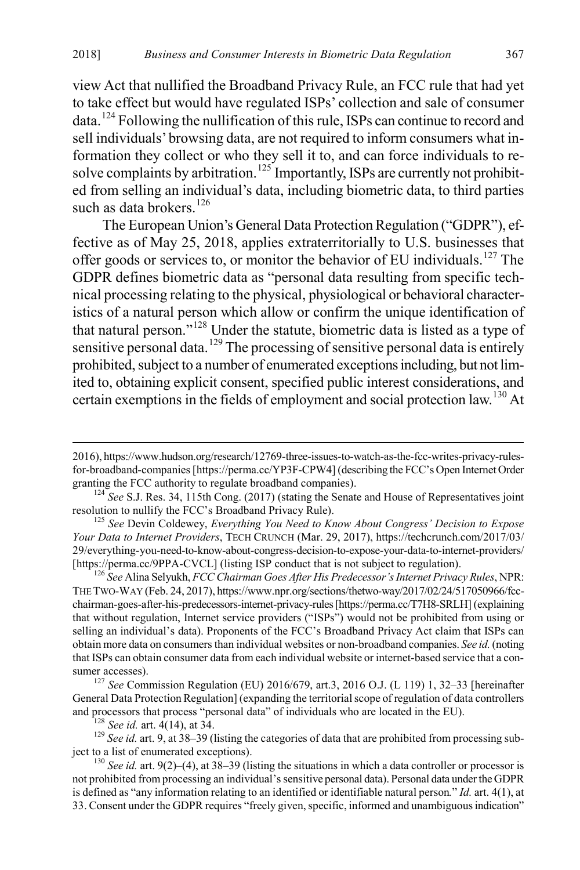view Act that nullified the Broadband Privacy Rule, an FCC rule that had yet to take effect but would have regulated ISPs' collection and sale of consumer data.[124](#page-19-0) Following the nullification of this rule, ISPs can continue to record and sell individuals' browsing data, are not required to inform consumers what information they collect or who they sell it to, and can force individuals to re-solve complaints by arbitration.<sup>[125](#page-19-1)</sup> Importantly, ISPs are currently not prohibited from selling an individual's data, including biometric data, to third parties such as data brokers.<sup>[126](#page-19-2)</sup>

The European Union's General Data Protection Regulation ("GDPR"), effective as of May 25, 2018, applies extraterritorially to U.S. businesses that offer goods or services to, or monitor the behavior of EU individuals.<sup>[127](#page-19-3)</sup> The GDPR defines biometric data as "personal data resulting from specific technical processing relating to the physical, physiological or behavioral characteristics of a natural person which allow or confirm the unique identification of that natural person."[128](#page-19-4) Under the statute, biometric data is listed as a type of sensitive personal data.<sup>[129](#page-19-5)</sup> The processing of sensitive personal data is entirely prohibited, subject to a number of enumerated exceptions including, but not limited to, obtaining explicit consent, specified public interest considerations, and certain exemptions in the fields of employment and social protection law.<sup>[130](#page-19-6)</sup> At

<span id="page-19-3"></span>sumer accesses). <sup>127</sup> *See* Commission Regulation (EU) 2016/679, art.3, 2016 O.J. (L 119) 1, 32–33 [hereinafter General Data Protection Regulation] (expanding the territorial scope of regulation of data controllers and processors that process "personal data" of individuals who are located in the EU).<br><sup>128</sup> See id. art. 4(14), at 34.<br><sup>129</sup> See id. art. 9, at 38–39 (listing the categories of data that are prohibited from processing su

<span id="page-19-5"></span><span id="page-19-4"></span>ject to a list of enumerated exceptions). <sup>130</sup> *See id.* art. 9(2)–(4), at 38–39 (listing the situations in which a data controller or processor is

 <sup>2016),</sup> https://www.hudson.org/research/12769-three-issues-to-watch-as-the-fcc-writes-privacy-rulesfor-broadband-companies [https://perma.cc/YP3F-CPW4] (describing the FCC's Open Internet Order granting the FCC authority to regulate broadband companies).<br><sup>124</sup> *See* S.J. Res. 34, 115th Cong. (2017) (stating the Senate and House of Representatives joint

<span id="page-19-0"></span>resolution to nullify the FCC's Broadband Privacy Rule). <sup>125</sup> *See* Devin Coldewey, *Everything You Need to Know About Congress' Decision to Expose* 

<span id="page-19-1"></span>*Your Data to Internet Providers*, TECH CRUNCH (Mar. 29, 2017), https://techcrunch.com/2017/03/ 29/everything-you-need-to-know-about-congress-decision-to-expose-your-data-to-internet-providers/

<span id="page-19-2"></span><sup>[</sup>https://perma.cc/9PPA-CVCL] (listing ISP conduct that is not subject to regulation). <sup>126</sup> *See* Alina Selyukh, *FCC Chairman Goes After His Predecessor's Internet Privacy Rules*, NPR: THE TWO-WAY (Feb. 24, 2017), https://www.npr.org/sections/thetwo-way/2017/02/24/517050966/fccchairman-goes-after-his-predecessors-internet-privacy-rules [https://perma.cc/T7H8-SRLH] (explaining that without regulation, Internet service providers ("ISPs") would not be prohibited from using or selling an individual's data). Proponents of the FCC's Broadband Privacy Act claim that ISPs can obtain more data on consumers than individual websites or non-broadband companies. *See id.*(noting that ISPs can obtain consumer data from each individual website or internet-based service that a con-

<span id="page-19-6"></span>not prohibited from processing an individual's sensitive personal data). Personal data under the GDPR is defined as "any information relating to an identified or identifiable natural person*.*" *Id.* art. 4(1), at 33. Consent under the GDPR requires "freely given, specific, informed and unambiguous indication"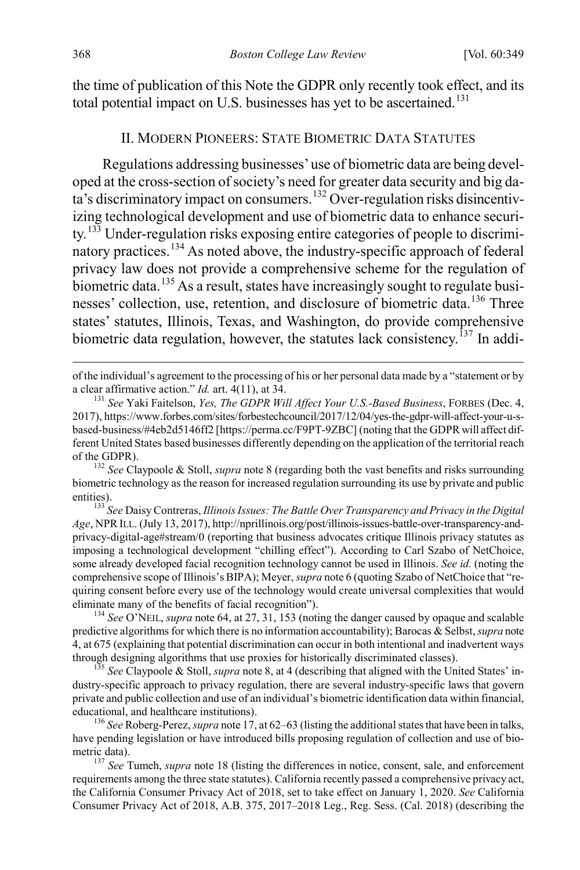the time of publication of this Note the GDPR only recently took effect, and its total potential impact on U.S. businesses has yet to be ascertained.<sup>[131](#page-20-2)</sup>

#### <span id="page-20-1"></span><span id="page-20-0"></span>II. MODERN PIONEERS: STATE BIOMETRIC DATA STATUTES

<span id="page-20-9"></span>Regulations addressing businesses' use of biometric data are being developed at the cross-section of society's need for greater data security and big da- $\frac{1}{32}$  discriminatory impact on consumers.<sup>[132](#page-20-3)</sup> Over-regulation risks disincentivizing technological development and use of biometric data to enhance security.[133](#page-20-4) Under-regulation risks exposing entire categories of people to discrimi-natory practices.<sup>[134](#page-20-5)</sup> As noted above, the industry-specific approach of federal privacy law does not provide a comprehensive scheme for the regulation of biometric data.<sup>[135](#page-20-6)</sup> As a result, states have increasingly sought to regulate busi-nesses' collection, use, retention, and disclosure of biometric data.<sup>[136](#page-20-7)</sup> Three states' statutes, Illinois, Texas, and Washington, do provide comprehensive biometric data regulation, however, the statutes lack consistency.<sup>[137](#page-20-8)</sup> In addi-

<span id="page-20-5"></span>predictive algorithms for which there is no information accountability); Barocas & Selbst, *supra* note [4,](#page-2-6) at 675 (explaining that potential discrimination can occur in both intentional and inadvertent ways through designing algorithms that use proxies for historically discriminated classes). <sup>135</sup> *See* Claypoole & Stoll, *supra* not[e 8,](#page-2-7) at 4 (describing that aligned with the United States' in-

<span id="page-20-6"></span>dustry-specific approach to privacy regulation, there are several industry-specific laws that govern private and public collection and use of an individual's biometric identification data within financial, educational, and healthcare institutions). <sup>136</sup> *See* Roberg-Perez, *supra* not[e 17,](#page-4-1) at 62–63 (listing the additional states that have been in talks,

<span id="page-20-7"></span>have pending legislation or have introduced bills proposing regulation of collection and use of biometric data).<br><sup>137</sup> *See* Tumeh, *supra* not[e 18](#page-4-11) (listing the differences in notice, consent, sale, and enforcement

<span id="page-20-8"></span>requirements among the three state statutes). California recently passed a comprehensive privacy act, the California Consumer Privacy Act of 2018, set to take effect on January 1, 2020. *See* California Consumer Privacy Act of 2018, A.B. 375, 2017–2018 Leg., Reg. Sess. (Cal. 2018) (describing the

of the individual's agreement to the processing of his or her personal data made by a "statement or by a clear affirmative action." *Id.* art. 4(11), at 34.<br><sup>131</sup> *See* Yaki Faitelson, *Yes, The GDPR Will Affect Your U.S.-Based Business*, FORBES (Dec. 4,

<span id="page-20-2"></span><sup>2017),</sup> https://www.forbes.com/sites/forbestechcouncil/2017/12/04/yes-the-gdpr-will-affect-your-u-sbased-business/#4eb2d5146ff2 [https://perma.cc/F9PT-9ZBC] (noting that the GDPR will affect different United States based businesses differently depending on the application of the territorial reach of the GDPR). <sup>132</sup> *See* Claypoole & Stoll, *supra* not[e 8](#page-2-7) (regarding both the vast benefits and risks surrounding

<span id="page-20-3"></span>biometric technology as the reason for increased regulation surrounding its use by private and public entities). <sup>133</sup> *See* Daisy Contreras, *Illinois Issues: The Battle Over Transparency and Privacy in the Digital* 

<span id="page-20-4"></span>*Age*, NPRILL. (July 13, 2017), http://nprillinois.org/post/illinois-issues-battle-over-transparency-andprivacy-digital-age#stream/0 (reporting that business advocates critique Illinois privacy statutes as imposing a technological development "chilling effect"). According to Carl Szabo of NetChoice, some already developed facial recognition technology cannot be used in Illinois. *See id.* (noting the comprehensive scope of Illinois's BIPA); Meyer, *supra* not[e 6](#page-2-0) (quoting Szabo of NetChoice that "requiring consent before every use of the technology would create universal complexities that would eliminate many of the benefits of facial recognition"). <sup>134</sup> *See* O'NEIL, *supra* note [64,](#page-10-7) at 27, 31, 153 (noting the danger caused by opaque and scalable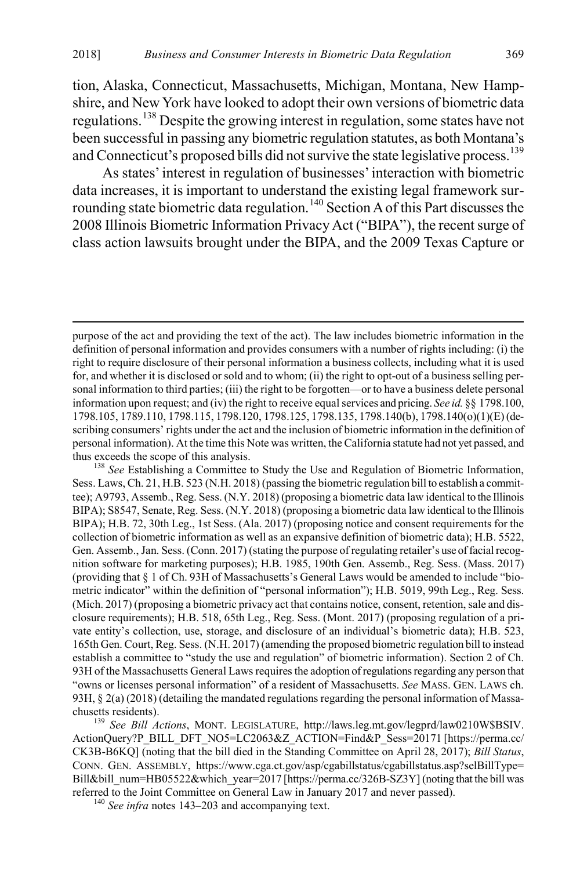tion, Alaska, Connecticut, Massachusetts, Michigan, Montana, New Hampshire, and New York have looked to adopt their own versions of biometric data regulations.<sup>[138](#page-21-0)</sup> Despite the growing interest in regulation, some states have not been successful in passing any biometric regulation statutes, as both Montana's and Connecticut's proposed bills did not survive the state legislative process.<sup>[139](#page-21-1)</sup>

As states' interest in regulation of businesses' interaction with biometric data increases, it is important to understand the existing legal framework sur-rounding state biometric data regulation.<sup>[140](#page-21-2)</sup> Section A of this Part discusses the 2008 Illinois Biometric Information Privacy Act ("BIPA"), the recent surge of class action lawsuits brought under the BIPA, and the 2009 Texas Capture or

<span id="page-21-0"></span>Sess. Laws, Ch. 21, H.B. 523 (N.H. 2018) (passing the biometric regulation bill to establish a committee); A9793, Assemb., Reg. Sess. (N.Y. 2018) (proposing a biometric data law identical to the Illinois BIPA); S8547, Senate, Reg. Sess. (N.Y. 2018) (proposing a biometric data law identical to the Illinois BIPA); H.B. 72, 30th Leg., 1st Sess. (Ala. 2017) (proposing notice and consent requirements for the collection of biometric information as well as an expansive definition of biometric data); H.B. 5522, Gen. Assemb., Jan. Sess. (Conn. 2017) (stating the purpose of regulating retailer's use of facial recognition software for marketing purposes); H.B. 1985, 190th Gen. Assemb., Reg. Sess. (Mass. 2017) (providing that § 1 of Ch. 93H of Massachusetts's General Laws would be amended to include "biometric indicator" within the definition of "personal information"); H.B. 5019, 99th Leg., Reg. Sess. (Mich. 2017) (proposing a biometric privacy act that contains notice, consent, retention, sale and disclosure requirements); H.B. 518, 65th Leg., Reg. Sess. (Mont. 2017) (proposing regulation of a private entity's collection, use, storage, and disclosure of an individual's biometric data); H.B. 523, 165th Gen. Court, Reg. Sess. (N.H. 2017) (amending the proposed biometric regulation bill to instead establish a committee to "study the use and regulation" of biometric information). Section 2 of Ch. 93H of the Massachusetts General Laws requires the adoption of regulations regarding any person that "owns or licenses personal information" of a resident of Massachusetts. *See* MASS. GEN. LAWS ch. 93H, § 2(a) (2018) (detailing the mandated regulations regarding the personal information of Massachusetts residents). <sup>139</sup> *See Bill Actions*, MONT. LEGISLATURE, http://laws.leg.mt.gov/legprd/law0210W\$BSIV.

<span id="page-21-1"></span>ActionQuery?P\_BILL\_DFT\_NO5=LC2063&Z\_ACTION=Find&P\_Sess=20171 [https://perma.cc/ CK3B-B6KQ] (noting that the bill died in the Standing Committee on April 28, 2017); *Bill Status*, CONN. GEN. ASSEMBLY, https://www.cga.ct.gov/asp/cgabillstatus/cgabillstatus.asp?selBillType= Bill&bill\_num=HB05522&which\_year=2017 [https://perma.cc/326B-SZ3Y] (noting that the bill was referred to the Joint Committee on General Law in January 2017 and never passed). <sup>140</sup> *See infra* notes [143–](#page-22-0)[203](#page-30-0) and accompanying text.

<span id="page-21-2"></span>

purpose of the act and providing the text of the act). The law includes biometric information in the definition of personal information and provides consumers with a number of rights including: (i) the right to require disclosure of their personal information a business collects, including what it is used for, and whether it is disclosed or sold and to whom; (ii) the right to opt-out of a business selling personal information to third parties; (iii) the right to be forgotten—or to have a business delete personal information upon request; and (iv) the right to receive equal services and pricing. *See id.* §§ 1798.100, 1798.105, 1789.110, 1798.115, 1798.120, 1798.125, 1798.135, 1798.140(b), 1798.140(o)(1)(E) (describing consumers' rights under the act and the inclusion of biometric information in the definition of personal information). At the time this Note was written, the California statute had not yet passed, and thus exceeds the scope of this analysis.<br><sup>138</sup> *See* Establishing a Committee to Study the Use and Regulation of Biometric Information,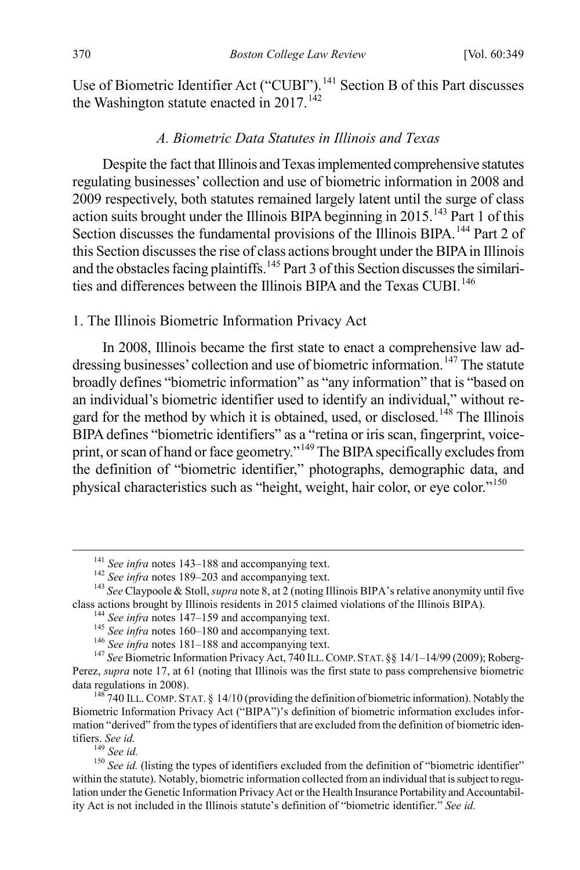Use of Biometric Identifier Act ("CUBI").<sup>[141](#page-22-2)</sup> Section B of this Part discusses the Washington statute enacted in  $2017$ .<sup>[142](#page-22-3)</sup>

#### <span id="page-22-1"></span><span id="page-22-0"></span>*A. Biometric Data Statutes in Illinois and Texas*

Despite the fact that Illinois and Texas implemented comprehensive statutes regulating businesses' collection and use of biometric information in 2008 and 2009 respectively, both statutes remained largely latent until the surge of class action suits brought under the Illinois BIPA beginning in 2015.<sup>[143](#page-22-4)</sup> Part 1 of this Section discusses the fundamental provisions of the Illinois BIPA.<sup>[144](#page-22-5)</sup> Part 2 of this Section discusses the rise of class actions brought under the BIPA in Illinois and the obstacles facing plaintiffs.<sup>[145](#page-22-6)</sup> Part 3 of this Section discusses the similari-ties and differences between the Illinois BIPA and the Texas CUBI.<sup>[146](#page-22-7)</sup>

#### 1. The Illinois Biometric Information Privacy Act

In 2008, Illinois became the first state to enact a comprehensive law ad-dressing businesses' collection and use of biometric information.<sup>[147](#page-22-8)</sup> The statute broadly defines "biometric information" as "any information" that is "based on an individual's biometric identifier used to identify an individual," without re-gard for the method by which it is obtained, used, or disclosed.<sup>[148](#page-22-9)</sup> The Illinois BIPA defines "biometric identifiers" as a "retina or iris scan, fingerprint, voice-print, or scan of hand or face geometry."<sup>[149](#page-22-10)</sup> The BIPA specifically excludes from the definition of "biometric identifier," photographs, demographic data, and physical characteristics such as "height, weight, hair color, or eye color."[150](#page-22-11)

<span id="page-22-3"></span><span id="page-22-2"></span><sup>&</sup>lt;sup>141</sup> See infra notes [143–](#page-22-0)[188](#page-28-0) and accompanying text.<br><sup>142</sup> See infra notes [189–](#page-28-1)[203](#page-30-0) and accompanying text.<br><sup>143</sup> See Claypoole & Stoll, *supra* not[e 8,](#page-2-7) at 2 (noting Illinois BIPA's relative anonymity until five class actio

<span id="page-22-8"></span><span id="page-22-7"></span><span id="page-22-6"></span><span id="page-22-5"></span><span id="page-22-4"></span><sup>&</sup>lt;sup>144</sup> See infra notes [147–](#page-22-1)[159](#page-23-0) and accompanying text.<br><sup>145</sup> See infra notes [160–](#page-23-1)[180](#page-27-0) and accompanying text.<br><sup>146</sup> See infra notes [181–](#page-27-1)[188](#page-28-0) and accompanying text.<br><sup>147</sup> See Biometric Information Privacy Act, 740 ILL. COMP. ST Perez, *supra* note [17,](#page-4-1) at 61 (noting that Illinois was the first state to pass comprehensive biometric data regulations in 2008).<br><sup>148</sup> 740 ILL. COMP. STAT. § 14/10 (providing the definition of biometric information). Notably the

<span id="page-22-9"></span>Biometric Information Privacy Act ("BIPA")'s definition of biometric information excludes information "derived" from the types of identifiers that are excluded from the definition of biometric identifiers. See id.

<span id="page-22-11"></span><span id="page-22-10"></span><sup>&</sup>lt;sup>149</sup> *See id.*<br><sup>150</sup> *See id.* (listing the types of identifiers excluded from the definition of "biometric identifier" within the statute). Notably, biometric information collected from an individual that is subject to regulation under the Genetic Information Privacy Act or the Health Insurance Portability and Accountability Act is not included in the Illinois statute's definition of "biometric identifier." *See id.*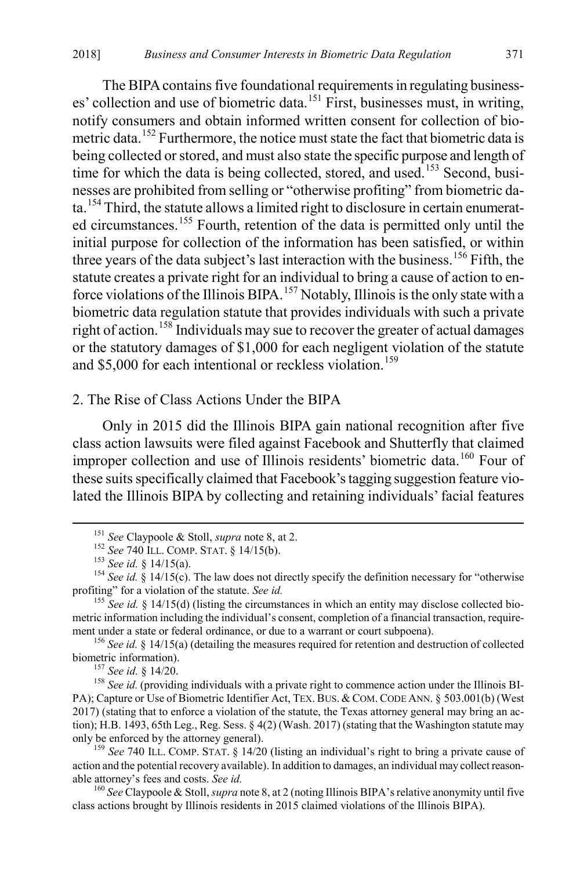The BIPA contains five foundational requirements in regulating businesses' collection and use of biometric data.<sup>151</sup> First, businesses must, in writing, notify consumers and obtain informed written consent for collection of bio-metric data.<sup>[152](#page-23-3)</sup> Furthermore, the notice must state the fact that biometric data is being collected or stored, and must also state the specific purpose and length of time for which the data is being collected, stored, and used.<sup>[153](#page-23-4)</sup> Second, businesses are prohibited from selling or "otherwise profiting" from biometric data.[154](#page-23-5) Third, the statute allows a limited right to disclosure in certain enumerated circumstances.[155](#page-23-6) Fourth, retention of the data is permitted only until the initial purpose for collection of the information has been satisfied, or within three years of the data subject's last interaction with the business.<sup>[156](#page-23-7)</sup> Fifth, the statute creates a private right for an individual to bring a cause of action to en-force violations of the Illinois BIPA.<sup>[157](#page-23-8)</sup> Notably, Illinois is the only state with a biometric data regulation statute that provides individuals with such a private right of action.<sup>[158](#page-23-9)</sup> Individuals may sue to recover the greater of actual damages or the statutory damages of \$1,000 for each negligent violation of the statute and \$5,000 for each intentional or reckless violation.<sup>[159](#page-23-10)</sup>

## <span id="page-23-0"></span>2. The Rise of Class Actions Under the BIPA

Only in 2015 did the Illinois BIPA gain national recognition after five class action lawsuits were filed against Facebook and Shutterfly that claimed improper collection and use of Illinois residents' biometric data.<sup>[160](#page-23-11)</sup> Four of these suits specifically claimed that Facebook's tagging suggestion feature violated the Illinois BIPA by collecting and retaining individuals' facial features

<span id="page-23-7"></span>ment under a state or federal ordinance, or due to a warrant or court subpoena).<br><sup>156</sup> *See id.* § 14/15(a) (detailing the measures required for retention and destruction of collected biometric information).<br><sup>157</sup> *See id.* 

<span id="page-23-9"></span><span id="page-23-8"></span><sup>158</sup> See id. (providing individuals with a private right to commence action under the Illinois BI-PA); Capture or Use of Biometric Identifier Act, TEX. BUS. & COM. CODE ANN. § 503.001(b) (West 2017) (stating that to enforce a violation of the statute, the Texas attorney general may bring an action); H.B. 1493, 65th Leg., Reg. Sess. § 4(2) (Wash. 2017) (stating that the Washington statute may only be enforced by the attorney general).

<span id="page-23-10"></span><sup>159</sup> See 740 ILL. COMP. STAT. § 14/20 (listing an individual's right to bring a private cause of action and the potential recovery available). In addition to damages, an individual may collect reasonable attorney's fees and costs. *See id.* <sup>160</sup> *See* Claypoole & Stoll, *supra* not[e 8,](#page-2-7) at 2 (noting Illinois BIPA's relative anonymity until five

<span id="page-23-11"></span>class actions brought by Illinois residents in 2015 claimed violations of the Illinois BIPA).

<span id="page-23-1"></span>

<span id="page-23-4"></span><span id="page-23-3"></span><span id="page-23-2"></span><sup>&</sup>lt;sup>151</sup> See Claypoole & Stoll, *supra* not[e 8,](#page-2-7) at 2.<br>
<sup>152</sup> See 740 ILL. COMP. STAT. § 14/15(b).<br>
<sup>153</sup> See id. § 14/15(a).<br>
<sup>154</sup> See id. § 14/15(c). The law does not directly specify the definition necessary for "otherwis profiting" for a violation of the statute. *See id.* 155 *See id.* 155 *See id.* 14/15(d) (listing the circumstances in which an entity may disclose collected bio-

<span id="page-23-6"></span><span id="page-23-5"></span>metric information including the individual's consent, completion of a financial transaction, require-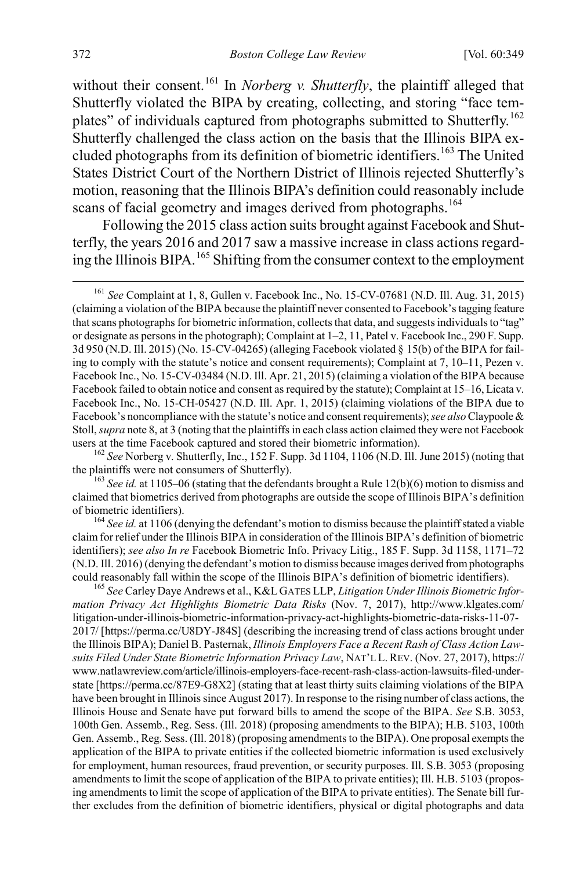<span id="page-24-5"></span>without their consent.<sup>[161](#page-24-0)</sup> In *Norberg v. Shutterfly*, the plaintiff alleged that Shutterfly violated the BIPA by creating, collecting, and storing "face tem-plates" of individuals captured from photographs submitted to Shutterfly.<sup>[162](#page-24-1)</sup> Shutterfly challenged the class action on the basis that the Illinois BIPA ex-cluded photographs from its definition of biometric identifiers.<sup>[163](#page-24-2)</sup> The United States District Court of the Northern District of Illinois rejected Shutterfly's motion, reasoning that the Illinois BIPA's definition could reasonably include scans of facial geometry and images derived from photographs.<sup>[164](#page-24-3)</sup>

<span id="page-24-6"></span>Following the 2015 class action suits brought against Facebook and Shutterfly, the years 2016 and 2017 saw a massive increase in class actions regarding the Illinois BIPA.[165](#page-24-4) Shifting from the consumer context to the employment

<span id="page-24-1"></span><sup>162</sup> *See* Norberg v. Shutterfly, Inc., 152 F. Supp. 3d 1104, 1106 (N.D. Ill. June 2015) (noting that the plaintiffs were not consumers of Shutterfly).

<span id="page-24-2"></span><sup>163</sup> See *id.* at 1105–06 (stating that the defendants brought a Rule 12(b)(6) motion to dismiss and claimed that biometrics derived from photographs are outside the scope of Illinois BIPA's definition

<span id="page-24-3"></span>of biometric identifiers). <sup>164</sup> *See id.* at 1106 (denying the defendant's motion to dismiss because the plaintiff stated a viable claim for relief under the Illinois BIPA in consideration of the Illinois BIPA's definition of biometric identifiers); *see also In re* Facebook Biometric Info. Privacy Litig., 185 F. Supp. 3d 1158, 1171–72 (N.D. Ill. 2016) (denying the defendant's motion to dismiss because images derived from photographs could reasonably fall within the scope of the Illinois BIPA's definition of biometric identifiers). <sup>165</sup> *See* Carley Daye Andrews et al., K&L GATES LLP, *Litigation Under Illinois Biometric Infor-*

<span id="page-24-4"></span>*mation Privacy Act Highlights Biometric Data Risks* (Nov. 7, 2017), http://www.klgates.com/ litigation-under-illinois-biometric-information-privacy-act-highlights-biometric-data-risks-11-07- 2017/ [https://perma.cc/U8DY-J84S] (describing the increasing trend of class actions brought under the Illinois BIPA); Daniel B. Pasternak, *Illinois Employers Face a Recent Rash of Class Action Lawsuits Filed Under State Biometric Information Privacy Law*, NAT'L L. REV. (Nov. 27, 2017), https:// www.natlawreview.com/article/illinois-employers-face-recent-rash-class-action-lawsuits-filed-understate [https://perma.cc/87E9-G8X2] (stating that at least thirty suits claiming violations of the BIPA have been brought in Illinois since August 2017). In response to the rising number of class actions, the Illinois House and Senate have put forward bills to amend the scope of the BIPA. *See* S.B. 3053, 100th Gen. Assemb., Reg. Sess. (Ill. 2018) (proposing amendments to the BIPA); H.B. 5103, 100th Gen. Assemb., Reg. Sess. (Ill. 2018) (proposing amendments to the BIPA). One proposal exempts the application of the BIPA to private entities if the collected biometric information is used exclusively for employment, human resources, fraud prevention, or security purposes. Ill. S.B. 3053 (proposing amendments to limit the scope of application of the BIPA to private entities); Ill. H.B. 5103 (proposing amendments to limit the scope of application of the BIPA to private entities). The Senate bill further excludes from the definition of biometric identifiers, physical or digital photographs and data

<span id="page-24-0"></span> <sup>161</sup> *See* Complaint at 1, 8, Gullen v. Facebook Inc., No. 15-CV-07681 (N.D. Ill. Aug. 31, 2015) (claiming a violation of the BIPA because the plaintiff never consented to Facebook's tagging feature that scans photographs for biometric information, collects that data, and suggests individuals to "tag" or designate as persons in the photograph); Complaint at 1–2, 11, Patel v. Facebook Inc., 290 F. Supp. 3d 950 (N.D. Ill. 2015) (No. 15-CV-04265) (alleging Facebook violated § 15(b) of the BIPA for failing to comply with the statute's notice and consent requirements); Complaint at 7, 10–11, Pezen v. Facebook Inc., No. 15-CV-03484 (N.D. Ill. Apr. 21, 2015) (claiming a violation of the BIPA because Facebook failed to obtain notice and consent as required by the statute); Complaint at 15–16, Licata v. Facebook Inc., No. 15-CH-05427 (N.D. Ill. Apr. 1, 2015) (claiming violations of the BIPA due to Facebook's noncompliance with the statute's notice and consent requirements); *see also*Claypoole & Stoll, *supra* not[e 8,](#page-2-7) at 3 (noting that the plaintiffs in each class action claimed they were not Facebook users at the time Facebook captured and stored their biometric information).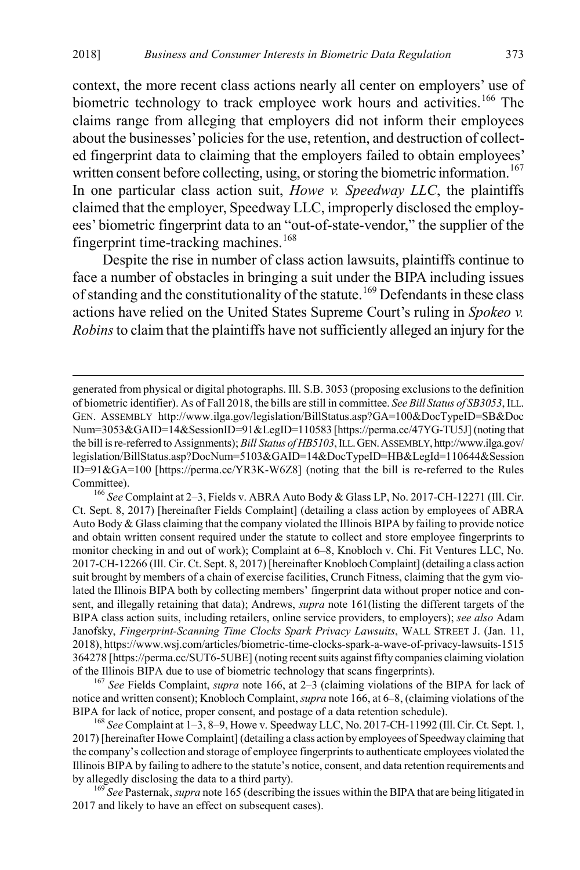<span id="page-25-0"></span>context, the more recent class actions nearly all center on employers' use of biometric technology to track employee work hours and activities.<sup>[166](#page-25-1)</sup> The claims range from alleging that employers did not inform their employees about the businesses' policies for the use, retention, and destruction of collected fingerprint data to claiming that the employers failed to obtain employees' written consent before collecting, using, or storing the biometric information.<sup>[167](#page-25-2)</sup> In one particular class action suit, *Howe v. Speedway LLC*, the plaintiffs claimed that the employer, Speedway LLC, improperly disclosed the employees' biometric fingerprint data to an "out-of-state-vendor," the supplier of the fingerprint time-tracking machines.<sup>[168](#page-25-3)</sup>

<span id="page-25-5"></span>Despite the rise in number of class action lawsuits, plaintiffs continue to face a number of obstacles in bringing a suit under the BIPA including issues of standing and the constitutionality of the statute.<sup>[169](#page-25-4)</sup> Defendants in these class actions have relied on the United States Supreme Court's ruling in *Spokeo v. Robins*to claim that the plaintiffs have not sufficiently alleged an injury for the

<span id="page-25-1"></span>Committee). <sup>166</sup> *See* Complaint at 2–3, Fields v. ABRA Auto Body & Glass LP, No. 2017-CH-12271 (Ill. Cir. Ct. Sept. 8, 2017) [hereinafter Fields Complaint] (detailing a class action by employees of ABRA Auto Body & Glass claiming that the company violated the Illinois BIPA by failing to provide notice and obtain written consent required under the statute to collect and store employee fingerprints to monitor checking in and out of work); Complaint at 6–8, Knobloch v. Chi. Fit Ventures LLC, No. 2017-CH-12266 (Ill. Cir. Ct. Sept. 8, 2017) [hereinafter Knobloch Complaint] (detailing a class action suit brought by members of a chain of exercise facilities, Crunch Fitness, claiming that the gym violated the Illinois BIPA both by collecting members' fingerprint data without proper notice and consent, and illegally retaining that data); Andrews, *supra* note [161\(](#page-24-5)listing the different targets of the BIPA class action suits, including retailers, online service providers, to employers); *see also* Adam Janofsky, *Fingerprint-Scanning Time Clocks Spark Privacy Lawsuits*, WALL STREET J. (Jan. 11, 2018), https://www.wsj.com/articles/biometric-time-clocks-spark-a-wave-of-privacy-lawsuits-1515 364278 [https://perma.cc/SUT6-5UBE] (noting recent suits against fifty companies claiming violation of the Illinois BIPA due to use of biometric technology that scans fingerprints). <sup>167</sup> *See* Fields Complaint, *supra* not[e 166,](#page-25-0) at 2–3 (claiming violations of the BIPA for lack of

<span id="page-25-2"></span>notice and written consent); Knobloch Complaint, *supra* not[e 166,](#page-25-0) at 6–8, (claiming violations of the BIPA for lack of notice, proper consent, and postage of a data retention schedule). <sup>168</sup> *See* Complaint at 1–3, 8–9, Howe v. Speedway LLC, No. 2017-CH-11992 (Ill. Cir. Ct. Sept. 1,

<span id="page-25-3"></span>2017) [hereinafter Howe Complaint] (detailing a class action by employees of Speedway claiming that the company's collection and storage of employee fingerprints to authenticate employees violated the Illinois BIPA by failing to adhere to the statute's notice, consent, and data retention requirements and by allegedly disclosing the data to a third party). <sup>169</sup> *See* Pasternak, *supra* not[e 165](#page-24-6) (describing the issues within the BIPA that are being litigated in

<span id="page-25-4"></span>2017 and likely to have an effect on subsequent cases).

generated from physical or digital photographs. Ill. S.B. 3053 (proposing exclusions to the definition of biometric identifier). As of Fall 2018, the bills are still in committee. *See Bill Status of SB3053*, ILL. GEN. ASSEMBLY http://www.ilga.gov/legislation/BillStatus.asp?GA=100&DocTypeID=SB&Doc Num=3053&GAID=14&SessionID=91&LegID=110583 [https://perma.cc/47YG-TU5J] (noting that the bill is re-referred to Assignments); *Bill Status of HB5103*, ILL.GEN.ASSEMBLY,http://www.ilga.gov/ legislation/BillStatus.asp?DocNum=5103&GAID=14&DocTypeID=HB&LegId=110644&Session ID=91&GA=100 [https://perma.cc/YR3K-W6Z8] (noting that the bill is re-referred to the Rules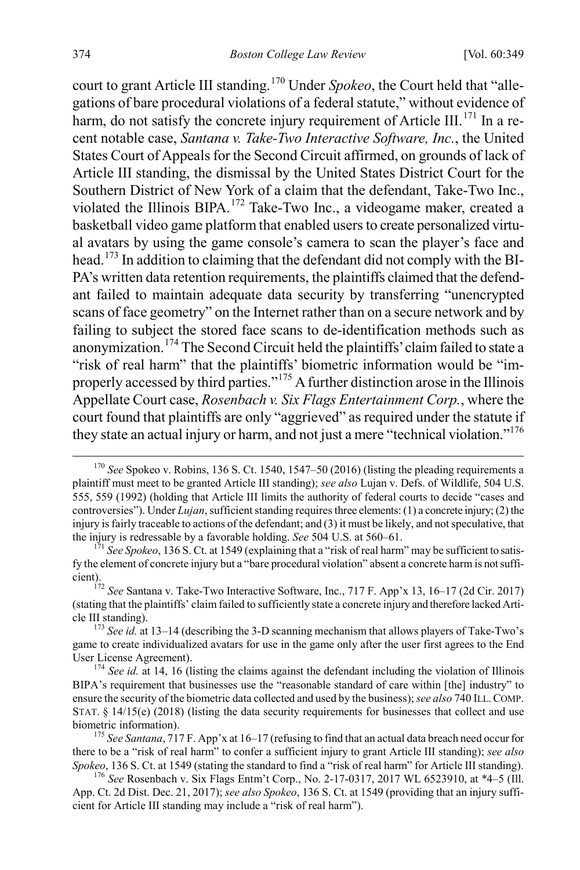court to grant Article III standing.[170](#page-26-0) Under *Spokeo*, the Court held that "allegations of bare procedural violations of a federal statute," without evidence of harm, do not satisfy the concrete injury requirement of Article III.<sup>[171](#page-26-1)</sup> In a recent notable case, *Santana v. Take-Two Interactive Software, Inc.*, the United States Court of Appeals for the Second Circuit affirmed, on grounds of lack of Article III standing, the dismissal by the United States District Court for the Southern District of New York of a claim that the defendant, Take-Two Inc., violated the Illinois BIPA.[172](#page-26-2) Take-Two Inc., a videogame maker, created a basketball video game platform that enabled users to create personalized virtual avatars by using the game console's camera to scan the player's face and head.<sup>[173](#page-26-3)</sup> In addition to claiming that the defendant did not comply with the BI-PA's written data retention requirements, the plaintiffs claimed that the defendant failed to maintain adequate data security by transferring "unencrypted scans of face geometry" on the Internet rather than on a secure network and by failing to subject the stored face scans to de-identification methods such as anonymization.[174](#page-26-4) The Second Circuit held the plaintiffs' claim failed to state a "risk of real harm" that the plaintiffs' biometric information would be "improperly accessed by third parties."[175](#page-26-5) A further distinction arose in the Illinois Appellate Court case, *Rosenbach v. Six Flags Entertainment Corp.*, where the court found that plaintiffs are only "aggrieved" as required under the statute if they state an actual injury or harm, and not just a mere "technical violation."<sup>[176](#page-26-6)</sup>

<span id="page-26-0"></span> <sup>170</sup> *See* Spokeo v. Robins, 136 S. Ct. 1540, 1547–50 (2016) (listing the pleading requirements a plaintiff must meet to be granted Article III standing); *see also* Lujan v. Defs. of Wildlife, 504 U.S. 555, 559 (1992) (holding that Article III limits the authority of federal courts to decide "cases and controversies"). Under *Lujan*, sufficient standing requires three elements: (1) a concrete injury; (2) the injury is fairly traceable to actions of the defendant; and (3) it must be likely, and not speculative, that the injury is redressable by a favorable holding. *See* 504 U.S. at 560–61.<br><sup>171</sup> *See Spokeo*, 136 S. Ct. at 1549 (explaining that a "risk of real harm" may be sufficient to satis-

<span id="page-26-1"></span>fy the element of concrete injury but a "bare procedural violation" absent a concrete harm is not sufficient). <sup>172</sup> *See* Santana v. Take-Two Interactive Software, Inc., 717 F. App'x 13, 16–17 (2d Cir. 2017)

<span id="page-26-2"></span><sup>(</sup>stating that the plaintiffs' claim failed to sufficiently state a concrete injury and therefore lacked Article III standing). <sup>173</sup> *See id.* at 13–14 (describing the 3-D scanning mechanism that allows players of Take-Two's

<span id="page-26-3"></span>game to create individualized avatars for use in the game only after the user first agrees to the End User License Agreement). <sup>174</sup> *See id.* at 14, 16 (listing the claims against the defendant including the violation of Illinois

<span id="page-26-4"></span>BIPA's requirement that businesses use the "reasonable standard of care within [the] industry" to ensure the security of the biometric data collected and used by the business); *see also* 740 ILL.COMP. STAT. § 14/15(e) (2018) (listing the data security requirements for businesses that collect and use biometric information). <sup>175</sup> *See Santana*, 717 F. App'x at 16–17 (refusing to find that an actual data breach need occur for

<span id="page-26-5"></span>there to be a "risk of real harm" to confer a sufficient injury to grant Article III standing); *see also*

<span id="page-26-6"></span><sup>&</sup>lt;sup>176</sup> See Rosenbach v. Six Flags Entm't Corp., No. 2-17-0317, 2017 WL 6523910, at \*4–5 (Ill. App. Ct. 2d Dist. Dec. 21, 2017); *see also Spokeo*, 136 S. Ct. at 1549 (providing that an injury sufficient for Article III standing may include a "risk of real harm").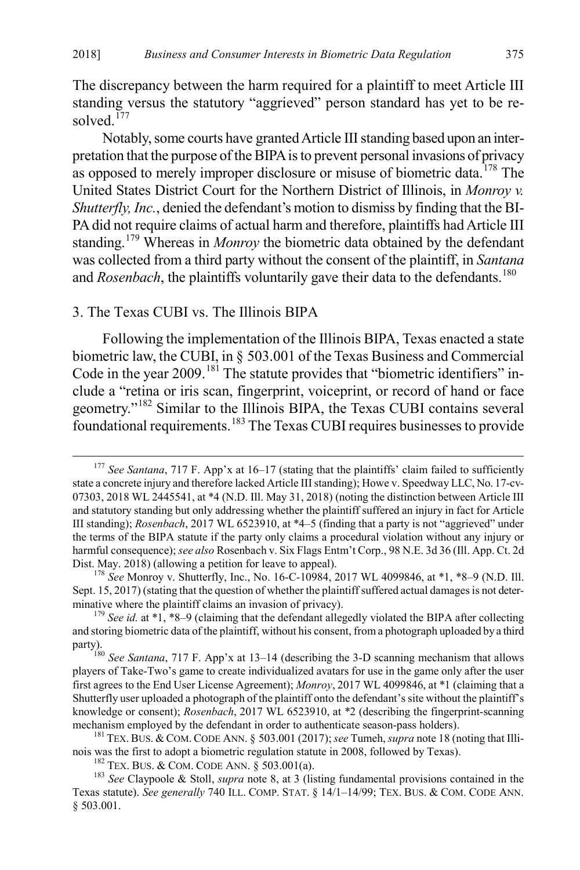The discrepancy between the harm required for a plaintiff to meet Article III standing versus the statutory "aggrieved" person standard has yet to be re-solved.<sup>[177](#page-27-2)</sup>

Notably, some courts have granted Article III standing based upon an interpretation that the purpose of the BIPA is to prevent personal invasions of privacy as opposed to merely improper disclosure or misuse of biometric data.<sup>[178](#page-27-3)</sup> The United States District Court for the Northern District of Illinois, in *Monroy v. Shutterfly, Inc.*, denied the defendant's motion to dismiss by finding that the BI-PA did not require claims of actual harm and therefore, plaintiffs had Article III standing.<sup>[179](#page-27-4)</sup> Whereas in *Monroy* the biometric data obtained by the defendant was collected from a third party without the consent of the plaintiff, in *Santana* and *Rosenbach*, the plaintiffs voluntarily gave their data to the defendants.<sup>[180](#page-27-5)</sup>

#### <span id="page-27-0"></span>3. The Texas CUBI vs. The Illinois BIPA

<span id="page-27-1"></span>Following the implementation of the Illinois BIPA, Texas enacted a state biometric law, the CUBI, in § 503.001 of the Texas Business and Commercial Code in the year 2009.<sup>[181](#page-27-6)</sup> The statute provides that "biometric identifiers" include a "retina or iris scan, fingerprint, voiceprint, or record of hand or face geometry."[182](#page-27-7) Similar to the Illinois BIPA, the Texas CUBI contains several foundational requirements.[183](#page-27-8) The Texas CUBI requires businesses to provide

<span id="page-27-2"></span><sup>&</sup>lt;sup>177</sup> See Santana, 717 F. App'x at 16–17 (stating that the plaintiffs' claim failed to sufficiently state a concrete injury and therefore lacked Article III standing); Howe v. Speedway LLC, No. 17-cv-07303, 2018 WL 2445541, at \*4 (N.D. Ill. May 31, 2018) (noting the distinction between Article III and statutory standing but only addressing whether the plaintiff suffered an injury in fact for Article III standing); *Rosenbach*, 2017 WL 6523910, at \*4–5 (finding that a party is not "aggrieved" under the terms of the BIPA statute if the party only claims a procedural violation without any injury or harmful consequence); *see also* Rosenbach v. Six Flags Entm't Corp., 98 N.E. 3d 36 (Ill. App. Ct. 2d Dist. May. 2018) (allowing a petition for leave to appeal). <sup>178</sup> *See* Monroy v. Shutterfly, Inc., No. 16-C-10984, 2017 WL 4099846, at \*1, \*8–9 (N.D. Ill.

<span id="page-27-3"></span>Sept. 15, 2017) (stating that the question of whether the plaintiff suffered actual damages is not determinative where the plaintiff claims an invasion of privacy).<br><sup>179</sup> *See id.* at \*1, \*8–9 (claiming that the defendant allegedly violated the BIPA after collecting

<span id="page-27-4"></span>and storing biometric data of the plaintiff, without his consent, from a photograph uploaded by a third

<span id="page-27-5"></span>party).<br><sup>180</sup> *See Santana*, 717 F. App'x at 13–14 (describing the 3-D scanning mechanism that allows players of Take-Two's game to create individualized avatars for use in the game only after the user first agrees to the End User License Agreement); *Monroy*, 2017 WL 4099846, at \*1 (claiming that a Shutterfly user uploaded a photograph of the plaintiff onto the defendant's site without the plaintiff's knowledge or consent); *Rosenbach*, 2017 WL 6523910, at \*2 (describing the fingerprint-scanning mechanism employed by the defendant in order to authenticate season-pass holders).

<span id="page-27-6"></span><sup>&</sup>lt;sup>181</sup> TEX. BUS. & COM. CODE ANN. § 503.001 (2017); see Tumeh, *supra* not[e 18](#page-4-11) (noting that Illinois was the first to adopt a biometric regulation statute in 2008, followed by Texas).<br><sup>182</sup> TEX. BUS. & COM. CODE ANN. § 503.001(a).<br><sup>183</sup> *See* Claypoole & Stoll, *supra* note [8,](#page-2-7) at 3 (listing fundamental provisions con

<span id="page-27-8"></span><span id="page-27-7"></span>Texas statute). *See generally* 740 ILL. COMP. STAT. § 14/1–14/99; TEX. BUS. & COM. CODE ANN. § 503.001.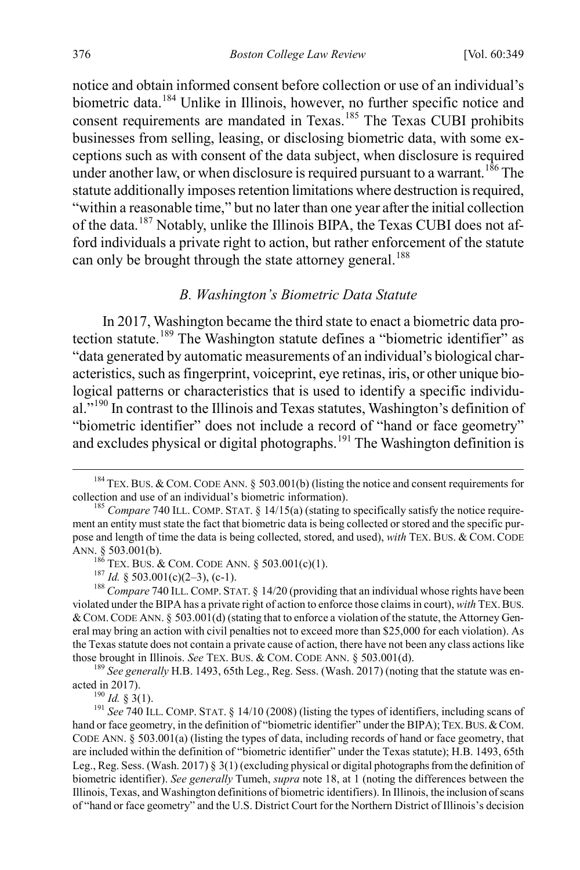notice and obtain informed consent before collection or use of an individual's biometric data.<sup>[184](#page-28-2)</sup> Unlike in Illinois, however, no further specific notice and consent requirements are mandated in Texas.<sup>[185](#page-28-3)</sup> The Texas CUBI prohibits businesses from selling, leasing, or disclosing biometric data, with some exceptions such as with consent of the data subject, when disclosure is required under another law, or when disclosure is required pursuant to a warrant.<sup>[186](#page-28-4)</sup> The statute additionally imposes retention limitations where destruction is required, "within a reasonable time," but no later than one year after the initial collection of the data.[187](#page-28-5) Notably, unlike the Illinois BIPA, the Texas CUBI does not afford individuals a private right to action, but rather enforcement of the statute can only be brought through the state attorney general.<sup>[188](#page-28-6)</sup>

#### <span id="page-28-1"></span><span id="page-28-0"></span>*B. Washington's Biometric Data Statute*

In 2017, Washington became the third state to enact a biometric data pro-tection statute.<sup>[189](#page-28-7)</sup> The Washington statute defines a "biometric identifier" as "data generated by automatic measurements of an individual's biological characteristics, such as fingerprint, voiceprint, eye retinas, iris, or other unique biological patterns or characteristics that is used to identify a specific individu-al."<sup>[190](#page-28-8)</sup> In contrast to the Illinois and Texas statutes, Washington's definition of "biometric identifier" does not include a record of "hand or face geometry" and excludes physical or digital photographs.<sup>[191](#page-28-9)</sup> The Washington definition is

<span id="page-28-2"></span><sup>&</sup>lt;sup>184</sup> TEX. BUS. & COM. CODE ANN. § 503.001(b) (listing the notice and consent requirements for collection and use of an individual's biometric information). <sup>185</sup> *Compare* 740 ILL. COMP. STAT. § 14/15(a) (stating to specifically satisfy the notice require-

<span id="page-28-3"></span>ment an entity must state the fact that biometric data is being collected or stored and the specific purpose and length of time the data is being collected, stored, and used), *with* TEX. BUS. & COM. CODE ANN. § 503.001(b).<br><sup>186</sup> TEX. BUS. & COM. CODE ANN. § 503.001(c)(1).<br><sup>187</sup> *Id.* § 503.001(c)(2–3), (c-1).<br><sup>188</sup> *Compare* 740 ILL. COMP. STAT. § 14/20 (providing that an individual whose rights have been

<span id="page-28-6"></span><span id="page-28-5"></span><span id="page-28-4"></span>violated under the BIPA has a private right of action to enforce those claims in court), *with* TEX.BUS. &COM.CODE ANN. § 503.001(d) (stating that to enforce a violation of the statute, the Attorney General may bring an action with civil penalties not to exceed more than \$25,000 for each violation). As the Texas statute does not contain a private cause of action, there have not been any class actions like

<span id="page-28-7"></span>those brought in Illinois. *See* TEX. BUS. & COM. CODE ANN. § 503.001(d).<br><sup>189</sup> *See generally* H.B. 1493, 65th Leg., Reg. Sess. (Wash. 2017) (noting that the statute was enacted in 2017).

<span id="page-28-9"></span><span id="page-28-8"></span><sup>&</sup>lt;sup>190</sup> *Id.* § 3(1).<br><sup>191</sup> *See* 740 ILL. COMP. STAT. § 14/10 (2008) (listing the types of identifiers, including scans of hand or face geometry, in the definition of "biometric identifier" under the BIPA); TEX. BUS. & COM. CODE ANN. § 503.001(a) (listing the types of data, including records of hand or face geometry, that are included within the definition of "biometric identifier" under the Texas statute); H.B. 1493, 65th Leg., Reg. Sess. (Wash. 2017) § 3(1) (excluding physical or digital photographs from the definition of biometric identifier). *See generally* Tumeh, *supra* not[e 18,](#page-4-11) at 1 (noting the differences between the Illinois, Texas, and Washington definitions of biometric identifiers). In Illinois, the inclusion of scans of "hand or face geometry" and the U.S. District Court for the Northern District of Illinois's decision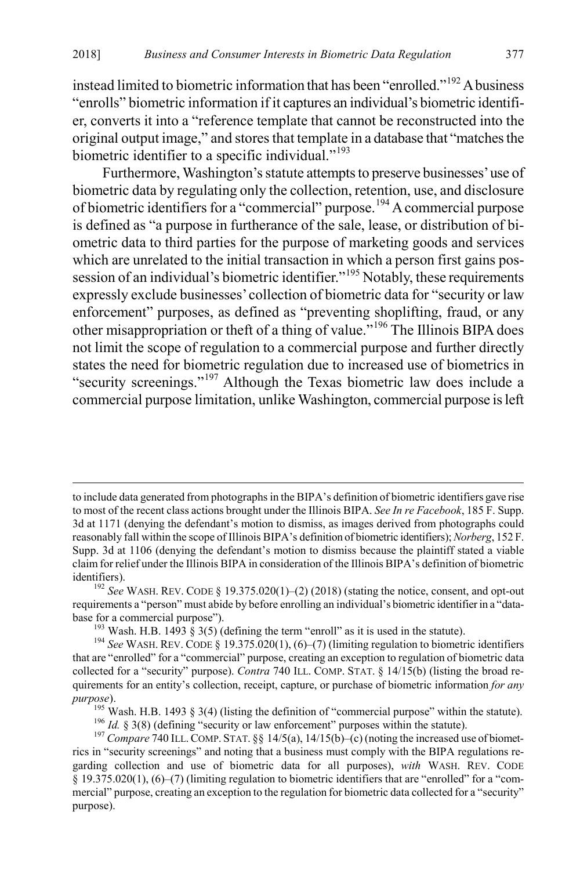instead limited to biometric information that has been "enrolled."<sup>[192](#page-29-0)</sup> A business "enrolls" biometric information if it captures an individual's biometric identifier, converts it into a "reference template that cannot be reconstructed into the original output image," and stores that template in a database that "matches the biometric identifier to a specific individual."<sup>[193](#page-29-1)</sup>

Furthermore, Washington's statute attempts to preserve businesses' use of biometric data by regulating only the collection, retention, use, and disclosure of biometric identifiers for a "commercial" purpose.<sup>[194](#page-29-2)</sup> A commercial purpose is defined as "a purpose in furtherance of the sale, lease, or distribution of biometric data to third parties for the purpose of marketing goods and services which are unrelated to the initial transaction in which a person first gains pos-session of an individual's biometric identifier."<sup>[195](#page-29-3)</sup> Notably, these requirements expressly exclude businesses' collection of biometric data for "security or law enforcement" purposes, as defined as "preventing shoplifting, fraud, or any other misappropriation or theft of a thing of value."[196](#page-29-4) The Illinois BIPA does not limit the scope of regulation to a commercial purpose and further directly states the need for biometric regulation due to increased use of biometrics in "security screenings."[197](#page-29-5) Although the Texas biometric law does include a commercial purpose limitation, unlike Washington, commercial purpose is left

to include data generated from photographs in the BIPA's definition of biometric identifiers gave rise to most of the recent class actions brought under the Illinois BIPA. *See In re Facebook*, 185 F. Supp. 3d at 1171 (denying the defendant's motion to dismiss, as images derived from photographs could reasonably fall within the scope of Illinois BIPA's definition of biometric identifiers); *Norberg*, 152 F. Supp. 3d at 1106 (denying the defendant's motion to dismiss because the plaintiff stated a viable claim for relief under the Illinois BIPA in consideration of the Illinois BIPA's definition of biometric identifiers).<br><sup>192</sup> *See* WASH. REV. CODE § 19.375.020(1)–(2) (2018) (stating the notice, consent, and opt-out

<span id="page-29-0"></span>requirements a "person" must abide by before enrolling an individual's biometric identifier in a "database for a commercial purpose").<br><sup>193</sup> Wash. H.B. 1493 § 3(5) (defining the term "enroll" as it is used in the statute).<br><sup>194</sup> *See* WASH. REV. CODE § 19.375.020(1), (6)–(7) (limiting regulation to biometric identifiers

<span id="page-29-2"></span><span id="page-29-1"></span>that are "enrolled" for a "commercial" purpose, creating an exception to regulation of biometric data collected for a "security" purpose). *Contra* 740 ILL. COMP. STAT. § 14/15(b) (listing the broad requirements for an entity's collection, receipt, capture, or purchase of biometric information *for any* 

<span id="page-29-3"></span>purpose).<br>
<sup>195</sup> Wash. H.B. 1493 § 3(4) (listing the definition of "commercial purpose" within the statute).<br>
<sup>196</sup> *Id.* § 3(8) (defining "security or law enforcement" purposes within the statute).<br>
<sup>197</sup> Compare 740 ILL

<span id="page-29-5"></span><span id="page-29-4"></span>rics in "security screenings" and noting that a business must comply with the BIPA regulations regarding collection and use of biometric data for all purposes), *with* WASH. REV. CODE § 19.375.020(1), (6)–(7) (limiting regulation to biometric identifiers that are "enrolled" for a "commercial" purpose, creating an exception to the regulation for biometric data collected for a "security" purpose).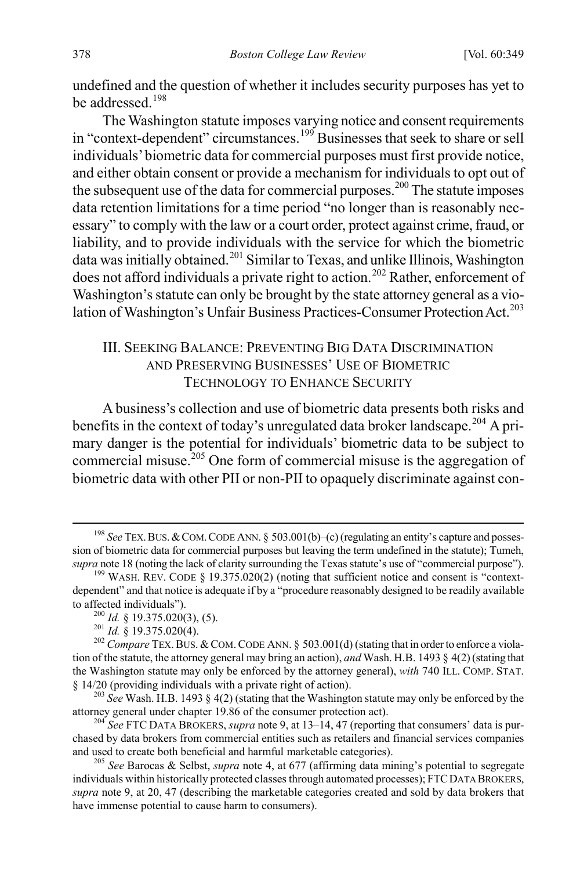undefined and the question of whether it includes security purposes has yet to be addressed.<sup>[198](#page-30-2)</sup>

The Washington statute imposes varying notice and consent requirements in "context-dependent" circumstances.[199](#page-30-3) Businesses that seek to share or sell individuals' biometric data for commercial purposes must first provide notice, and either obtain consent or provide a mechanism for individuals to opt out of the subsequent use of the data for commercial purposes.<sup>[200](#page-30-4)</sup> The statute imposes data retention limitations for a time period "no longer than is reasonably necessary" to comply with the law or a court order, protect against crime, fraud, or liability, and to provide individuals with the service for which the biometric data was initially obtained.<sup>[201](#page-30-5)</sup> Similar to Texas, and unlike Illinois, Washington does not afford individuals a private right to action.<sup>[202](#page-30-6)</sup> Rather, enforcement of Washington's statute can only be brought by the state attorney general as a vio-lation of Washington's Unfair Business Practices-Consumer Protection Act.<sup>[203](#page-30-7)</sup>

## <span id="page-30-1"></span><span id="page-30-0"></span>III. SEEKING BALANCE: PREVENTING BIG DATA DISCRIMINATION AND PRESERVING BUSINESSES' USE OF BIOMETRIC TECHNOLOGY TO ENHANCE SECURITY

A business's collection and use of biometric data presents both risks and benefits in the context of today's unregulated data broker landscape.<sup>[204](#page-30-8)</sup> A primary danger is the potential for individuals' biometric data to be subject to commercial misuse.<sup>[205](#page-30-9)</sup> One form of commercial misuse is the aggregation of biometric data with other PII or non-PII to opaquely discriminate against con-

<span id="page-30-2"></span><sup>&</sup>lt;sup>198</sup> See TEX. BUS. & COM. CODE ANN. § 503.001(b)–(c) (regulating an entity's capture and possession of biometric data for commercial purposes but leaving the term undefined in the statute); Tumeh,

<span id="page-30-3"></span>*supra* not[e 18](#page-4-11) (noting the lack of clarity surrounding the Texas statute's use of "commercial purpose"). <sup>199</sup> WASH. REV. CODE § 19.375.020(2) (noting that sufficient notice and consent is "contextdependent" and that notice is adequate if by a "procedure reasonably designed to be readily available to affected individuals").<br>
<sup>200</sup> *Id.* § 19.375.020(3), (5).<br>
<sup>201</sup> *Id.* § 19.375.020(4).<br>
<sup>202</sup> *Compare* TEX. BUS. & COM. CODE ANN. § 503.001(d) (stating that in order to enforce a viola-

<span id="page-30-6"></span><span id="page-30-5"></span><span id="page-30-4"></span>tion of the statute, the attorney general may bring an action), *and* Wash. H.B. 1493 § 4(2) (stating that the Washington statute may only be enforced by the attorney general), *with* 740 ILL. COMP. STAT.

<span id="page-30-7"></span><sup>§ 14/20 (</sup>providing individuals with a private right of action).<br><sup>203</sup> *See* Wash. H.B. 1493 § 4(2) (stating that the Washington statute may only be enforced by the attorney general under chapter 19.86 of the consumer prote

<span id="page-30-8"></span><sup>&</sup>lt;sup>204</sup> See FTC DATA BROKERS, *supra* not[e 9,](#page-3-0) at 13–14, 47 (reporting that consumers' data is purchased by data brokers from commercial entities such as retailers and financial services companies and used to create both beneficial and harmful marketable categories). <sup>205</sup> *See* Barocas & Selbst, *supra* note [4,](#page-2-6) at 677 (affirming data mining's potential to segregate

<span id="page-30-9"></span>individuals within historically protected classes through automated processes); FTCDATA BROKERS, *supra* not[e 9,](#page-3-0) at 20, 47 (describing the marketable categories created and sold by data brokers that have immense potential to cause harm to consumers).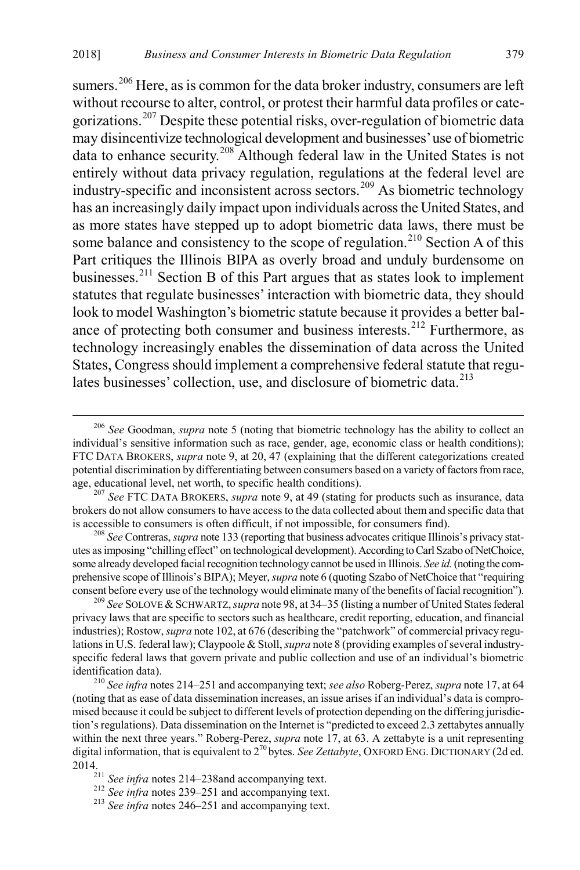sumers.<sup>[206](#page-31-0)</sup> Here, as is common for the data broker industry, consumers are left without recourse to alter, control, or protest their harmful data profiles or cate-gorizations.<sup>[207](#page-31-1)</sup> Despite these potential risks, over-regulation of biometric data may disincentivize technological development and businesses' use of biometric data to enhance security.[208](#page-31-2) Although federal law in the United States is not entirely without data privacy regulation, regulations at the federal level are industry-specific and inconsistent across sectors.<sup>209</sup> As biometric technology has an increasingly daily impact upon individuals across the United States, and as more states have stepped up to adopt biometric data laws, there must be some balance and consistency to the scope of regulation.<sup>[210](#page-31-4)</sup> Section A of this Part critiques the Illinois BIPA as overly broad and unduly burdensome on businesses.[211](#page-31-5) Section B of this Part argues that as states look to implement statutes that regulate businesses' interaction with biometric data, they should look to model Washington's biometric statute because it provides a better bal-ance of protecting both consumer and business interests.<sup>[212](#page-31-6)</sup> Furthermore, as technology increasingly enables the dissemination of data across the United States, Congress should implement a comprehensive federal statute that regu-lates businesses' collection, use, and disclosure of biometric data.<sup>[213](#page-31-7)</sup>

<span id="page-31-2"></span>utes as imposing "chilling effect" on technological development). According to Carl Szabo of NetChoice, some already developed facial recognition technology cannot be used in Illinois. *See id.*(noting the comprehensive scope of Illinois's BIPA); Meyer, *supra* not[e 6](#page-2-0) (quoting Szabo of NetChoice that "requiring consent before every use of the technology would eliminate many of the benefits of facial recognition").

<span id="page-31-3"></span><sup>209</sup> See SOLOVE & SCHWARTZ, *supra* not[e 98,](#page-15-1) at 34–35 (listing a number of United States federal privacy laws that are specific to sectors such as healthcare, credit reporting, education, and financial industries); Rostow, *supra* not[e 102,](#page-15-8) at 676 (describing the "patchwork" of commercial privacy regulations in U.S. federal law); Claypoole & Stoll, *supra* not[e 8](#page-2-7) (providing examples of several industryspecific federal laws that govern private and public collection and use of an individual's biometric identification data). <sup>210</sup> *See infra* note[s 214](#page-32-0)[–251](#page-37-0) and accompanying text; *see also* Roberg-Perez, *supra* not[e 17,](#page-4-1) at <sup>64</sup>

<span id="page-31-4"></span>(noting that as ease of data dissemination increases, an issue arises if an individual's data is compromised because it could be subject to different levels of protection depending on the differing jurisdiction's regulations). Data dissemination on the Internet is "predicted to exceed 2.3 zettabytes annually within the next three years." Roberg-Perez, *supra* note [17,](#page-4-1) at 63. A zettabyte is a unit representing digital information, that is equivalent to 2<sup>70</sup> bytes. *See Zettabyte*, OXFORD ENG. DICTIONARY (2d ed. 2014.211 *See infra* notes [214–](#page-32-0)[238a](#page-35-0)nd accompanying text. <sup>212</sup> *See infra* notes [239–](#page-35-1)[251](#page-37-0) and accompanying text. <sup>213</sup> *See infra* notes [246–](#page-37-1)[251](#page-37-0) and accompanying text.

<span id="page-31-0"></span> <sup>206</sup> *See* Goodman, *supra* note [5](#page-2-9) (noting that biometric technology has the ability to collect an individual's sensitive information such as race, gender, age, economic class or health conditions); FTC DATA BROKERS, *supra* not[e 9,](#page-3-0) at 20, 47 (explaining that the different categorizations created potential discrimination by differentiating between consumers based on a variety of factors from race, age, educational level, net worth, to specific health conditions). <sup>207</sup> *See* FTC DATA BROKERS, *supra* not[e 9,](#page-3-0) at 49 (stating for products such as insurance, data

<span id="page-31-1"></span>brokers do not allow consumers to have access to the data collected about them and specific data that is accessible to consumers is often difficult, if not impossible, for consumers find). <sup>208</sup> *See* Contreras, *supra* not[e 133](#page-20-9) (reporting that business advocates critique Illinois's privacy stat-

<span id="page-31-5"></span>

<span id="page-31-7"></span><span id="page-31-6"></span>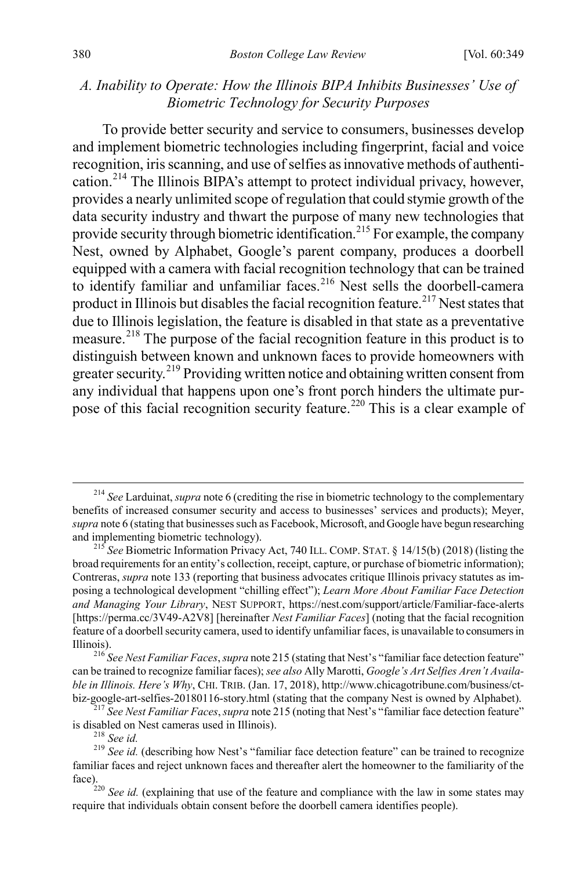# *A. Inability to Operate: How the Illinois BIPA Inhibits Businesses' Use of Biometric Technology for Security Purposes*

<span id="page-32-1"></span><span id="page-32-0"></span>To provide better security and service to consumers, businesses develop and implement biometric technologies including fingerprint, facial and voice recognition, iris scanning, and use of selfies as innovative methods of authentication.[214](#page-32-2) The Illinois BIPA's attempt to protect individual privacy, however, provides a nearly unlimited scope of regulation that could stymie growth of the data security industry and thwart the purpose of many new technologies that provide security through biometric identification.<sup>[215](#page-32-3)</sup> For example, the company Nest, owned by Alphabet, Google's parent company, produces a doorbell equipped with a camera with facial recognition technology that can be trained to identify familiar and unfamiliar faces.<sup>[216](#page-32-4)</sup> Nest sells the doorbell-camera product in Illinois but disables the facial recognition feature.<sup>[217](#page-32-5)</sup> Nest states that due to Illinois legislation, the feature is disabled in that state as a preventative measure.[218](#page-32-6) The purpose of the facial recognition feature in this product is to distinguish between known and unknown faces to provide homeowners with greater security.<sup>[219](#page-32-7)</sup> Providing written notice and obtaining written consent from any individual that happens upon one's front porch hinders the ultimate pur-pose of this facial recognition security feature.<sup>[220](#page-32-8)</sup> This is a clear example of

<span id="page-32-2"></span> <sup>214</sup> *See* Larduinat, *supra* not[e 6](#page-2-0) (crediting the rise in biometric technology to the complementary benefits of increased consumer security and access to businesses' services and products); Meyer, *supra* not[e 6](#page-2-0) (stating that businesses such as Facebook, Microsoft, and Google have begun researching and implementing biometric technology). <sup>215</sup> *See* Biometric Information Privacy Act, 740 ILL. COMP. STAT. § 14/15(b) (2018) (listing the

<span id="page-32-3"></span>broad requirements for an entity's collection, receipt, capture, or purchase of biometric information); Contreras, *supra* not[e 133](#page-20-9) (reporting that business advocates critique Illinois privacy statutes as imposing a technological development "chilling effect"); *Learn More About Familiar Face Detection and Managing Your Library*, NEST SUPPORT, https://nest.com/support/article/Familiar-face-alerts [https://perma.cc/3V49-A2V8] [hereinafter *Nest Familiar Faces*] (noting that the facial recognition feature of a doorbell security camera, used to identify unfamiliar faces, is unavailable to consumers in Illinois). <sup>216</sup> *See Nest Familiar Faces*, *supra* not[e 215](#page-32-1) (stating that Nest's "familiar face detection feature"

<span id="page-32-4"></span>can be trained to recognize familiar faces); *see also* Ally Marotti, *Google's Art Selfies Aren't Available in Illinois. Here's Why*, CHI. TRIB. (Jan. 17, 2018), http://www.chicagotribune.com/business/ct-

<span id="page-32-5"></span>biz-google-art-selfies-20180116-story.html (stating that the company Nest is owned by Alphabet).<br><sup>217</sup> *See Nest Familiar Faces*, *supra* not[e 215](#page-32-1) (noting that Nest's "familiar face detection feature" is disabled on Nest c

<span id="page-32-7"></span><span id="page-32-6"></span><sup>&</sup>lt;sup>218</sup> *See id.* (describing how Nest's "familiar face detection feature" can be trained to recognize <sup>219</sup> *See id.* (describing how Nest's "familiar face detection feature" can be trained to recognize familiar faces and reject unknown faces and thereafter alert the homeowner to the familiarity of the

<span id="page-32-8"></span>face).<br><sup>220</sup> *See id.* (explaining that use of the feature and compliance with the law in some states may require that individuals obtain consent before the doorbell camera identifies people).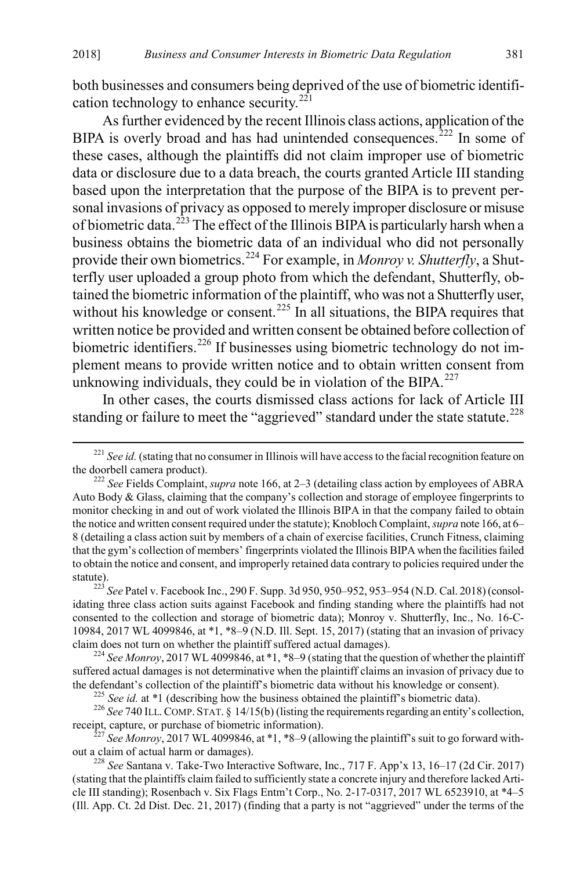both businesses and consumers being deprived of the use of biometric identifi-cation technology to enhance security.<sup>[221](#page-33-0)</sup>

As further evidenced by the recent Illinois class actions, application of the BIPA is overly broad and has had unintended consequences.<sup>[222](#page-33-1)</sup> In some of these cases, although the plaintiffs did not claim improper use of biometric data or disclosure due to a data breach, the courts granted Article III standing based upon the interpretation that the purpose of the BIPA is to prevent personal invasions of privacy as opposed to merely improper disclosure or misuse of biometric data.<sup>[223](#page-33-2)</sup> The effect of the Illinois BIPA is particularly harsh when a business obtains the biometric data of an individual who did not personally provide their own biometrics.<sup>[224](#page-33-3)</sup> For example, in *Monroy v. Shutterfly*, a Shutterfly user uploaded a group photo from which the defendant, Shutterfly, obtained the biometric information of the plaintiff, who was not a Shutterfly user, without his knowledge or consent.<sup>[225](#page-33-4)</sup> In all situations, the BIPA requires that written notice be provided and written consent be obtained before collection of biometric identifiers.<sup>[226](#page-33-5)</sup> If businesses using biometric technology do not implement means to provide written notice and to obtain written consent from unknowing individuals, they could be in violation of the BIPA. $^{227}$  $^{227}$  $^{227}$ 

In other cases, the courts dismissed class actions for lack of Article III standing or failure to meet the "aggrieved" standard under the state statute.<sup>[228](#page-33-7)</sup>

<span id="page-33-5"></span><span id="page-33-4"></span>receipt, capture, or purchase of biometric information). <sup>227</sup> *See Monroy*, 2017 WL 4099846, at \*1, \*8–9 (allowing the plaintiff's suit to go forward with-

<span id="page-33-6"></span>out a claim of actual harm or damages). <sup>228</sup> *See* Santana v. Take-Two Interactive Software, Inc., 717 F. App'x 13, 16–17 (2d Cir. 2017)

<span id="page-33-0"></span><sup>&</sup>lt;sup>221</sup> *See id.* (stating that no consumer in Illinois will have access to the facial recognition feature on the doorbell camera product).

<span id="page-33-1"></span><sup>&</sup>lt;sup>222</sup> See Fields Complaint, *supra* not[e 166,](#page-25-0) at 2–3 (detailing class action by employees of ABRA Auto Body & Glass, claiming that the company's collection and storage of employee fingerprints to monitor checking in and out of work violated the Illinois BIPA in that the company failed to obtain the notice and written consent required under the statute); Knobloch Complaint, *supra* not[e 166,](#page-25-0) at 6– 8 (detailing a class action suit by members of a chain of exercise facilities, Crunch Fitness, claiming that the gym's collection of members' fingerprints violated the Illinois BIPA when the facilities failed to obtain the notice and consent, and improperly retained data contrary to policies required under the statute). <sup>223</sup> *See* Patel v. Facebook Inc., 290 F. Supp. 3d 950, 950–952, 953–954 (N.D. Cal. 2018) (consol-

<span id="page-33-2"></span>idating three class action suits against Facebook and finding standing where the plaintiffs had not consented to the collection and storage of biometric data); Monroy v. Shutterfly, Inc., No. 16-C-10984, 2017 WL 4099846, at \*1, \*8–9 (N.D. Ill. Sept. 15, 2017) (stating that an invasion of privacy claim does not turn on whether the plaintiff suffered actual damages). <sup>224</sup> *See Monroy*, 2017 WL 4099846, at \*1, \*8–9 (stating that the question of whether the plaintiff

<span id="page-33-3"></span>suffered actual damages is not determinative when the plaintiff claims an invasion of privacy due to the defendant's collection of the plaintiff's biometric data without his knowledge or consent).<br><sup>225</sup> See id. at \*1 (describing how the business obtained the plaintiff's biometric data).<br><sup>226</sup> See 740 ILL. COMP. STAT. § 1

<span id="page-33-7"></span><sup>(</sup>stating that the plaintiffs claim failed to sufficiently state a concrete injury and therefore lacked Article III standing); Rosenbach v. Six Flags Entm't Corp., No. 2-17-0317, 2017 WL 6523910, at \*4–5 (Ill. App. Ct. 2d Dist. Dec. 21, 2017) (finding that a party is not "aggrieved" under the terms of the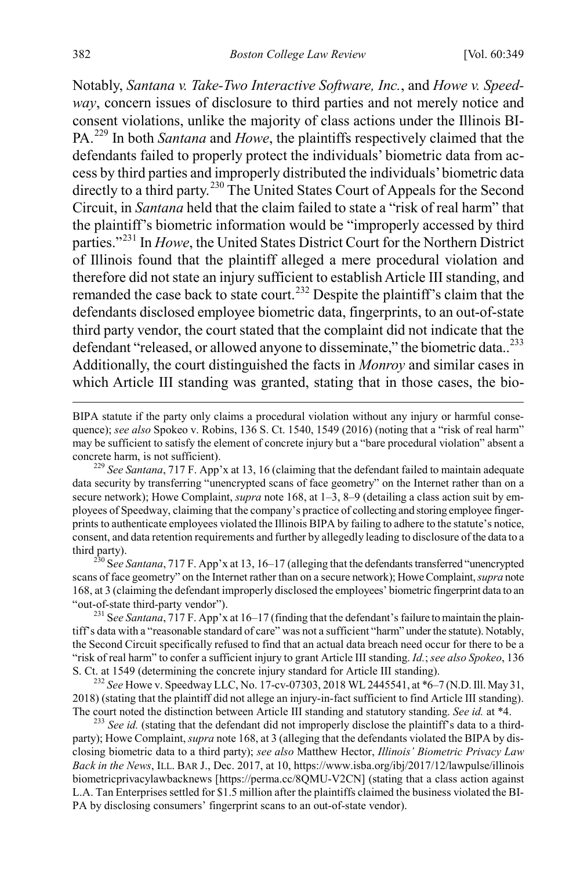Notably, *Santana v. Take-Two Interactive Software, Inc.*, and *Howe v. Speedway*, concern issues of disclosure to third parties and not merely notice and consent violations, unlike the majority of class actions under the Illinois BI-PA.[229](#page-34-0) In both *Santana* and *Howe*, the plaintiffs respectively claimed that the defendants failed to properly protect the individuals' biometric data from access by third parties and improperly distributed the individuals' biometric data directly to a third party.<sup>[230](#page-34-1)</sup> The United States Court of Appeals for the Second Circuit, in *Santana* held that the claim failed to state a "risk of real harm" that the plaintiff's biometric information would be "improperly accessed by third parties."[231](#page-34-2) In *Howe*, the United States District Court for the Northern District of Illinois found that the plaintiff alleged a mere procedural violation and therefore did not state an injury sufficient to establish Article III standing, and remanded the case back to state court.<sup>[232](#page-34-3)</sup> Despite the plaintiff's claim that the defendants disclosed employee biometric data, fingerprints, to an out-of-state third party vendor, the court stated that the complaint did not indicate that the defendant "released, or allowed anyone to disseminate," the biometric data..<sup>[233](#page-34-4)</sup> Additionally, the court distinguished the facts in *Monroy* and similar cases in which Article III standing was granted, stating that in those cases, the bio-

BIPA statute if the party only claims a procedural violation without any injury or harmful consequence); *see also* Spokeo v. Robins, 136 S. Ct. 1540, 1549 (2016) (noting that a "risk of real harm" may be sufficient to satisfy the element of concrete injury but a "bare procedural violation" absent a concrete harm, is not sufficient). <sup>229</sup> *See Santana*, 717 F. App'x at 13, 16 (claiming that the defendant failed to maintain adequate

<span id="page-34-0"></span>data security by transferring "unencrypted scans of face geometry" on the Internet rather than on a secure network); Howe Complaint, *supra* not[e 168,](#page-25-5) at 1–3, 8–9 (detailing a class action suit by employees of Speedway, claiming that the company's practice of collecting and storing employee fingerprints to authenticate employees violated the Illinois BIPA by failing to adhere to the statute's notice, consent, and data retention requirements and further by allegedly leading to disclosure of the data to a

<span id="page-34-1"></span>third party). 230 S*ee Santana*, 717 F. App'x at 13, 16–17 (alleging that the defendants transferred "unencrypted scans of face geometry" on the Internet rather than on a secure network); Howe Complaint, *supra* note [168,](#page-25-5) at 3 (claiming the defendant improperly disclosed the employees' biometric fingerprint data to an "out-of-state third-party vendor"). 231 S*ee Santana*, 717 F. App'x at 16–17 (finding that the defendant's failure to maintain the plain-

<span id="page-34-2"></span>tiff's data with a "reasonable standard of care" was not a sufficient "harm" under the statute). Notably, the Second Circuit specifically refused to find that an actual data breach need occur for there to be a "risk of real harm" to confer a sufficient injury to grant Article III standing. *Id.*; *see also Spokeo*, 136

<span id="page-34-3"></span>S. Ct. at 1549 (determining the concrete injury standard for Article III standing). <sup>232</sup> *See* Howe v. Speedway LLC, No. 17-cv-07303, 2018 WL 2445541, at \*6–7 (N.D. Ill. May 31, 2018) (stating that the plaintiff did not allege an injury-in-fact sufficient to find Article III standing). The court noted the distinction between Article III standing and statutory standing. *See id.* at \*4. <sup>233</sup> *See id.* (stating that the defendant did not improperly disclose the plaintiff's data to a third-

<span id="page-34-4"></span>party); Howe Complaint, *supra* not[e 168,](#page-25-5) at 3 (alleging that the defendants violated the BIPA by disclosing biometric data to a third party); *see also* Matthew Hector, *Illinois' Biometric Privacy Law Back in the News*, ILL. BAR J., Dec. 2017, at 10, https://www.isba.org/ibj/2017/12/lawpulse/illinois biometricprivacylawbacknews [https://perma.cc/8QMU-V2CN] (stating that a class action against L.A. Tan Enterprises settled for \$1.5 million after the plaintiffs claimed the business violated the BI-PA by disclosing consumers' fingerprint scans to an out-of-state vendor).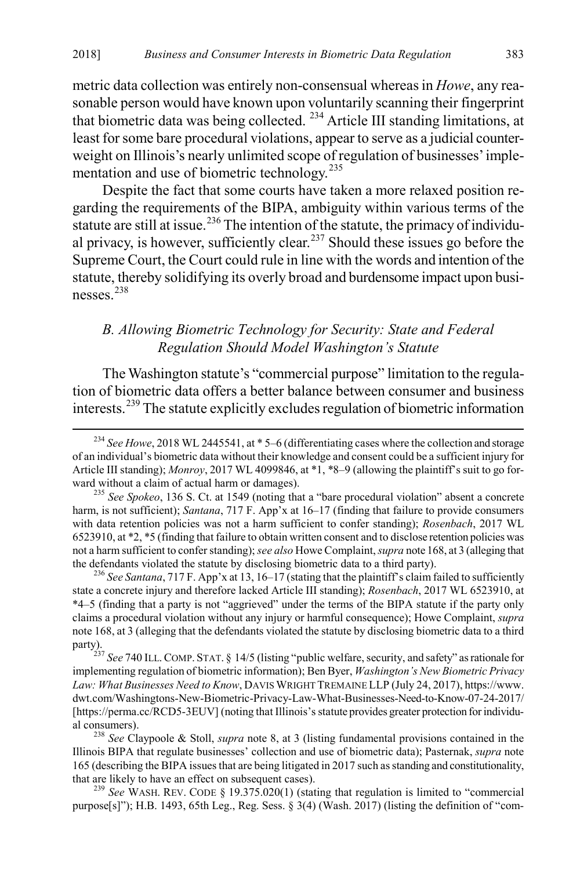metric data collection was entirely non-consensual whereas in *Howe*, any reasonable person would have known upon voluntarily scanning their fingerprint that biometric data was being collected. [234](#page-35-2) Article III standing limitations, at least for some bare procedural violations, appear to serve as a judicial counterweight on Illinois's nearly unlimited scope of regulation of businesses' imple-mentation and use of biometric technology.<sup>[235](#page-35-3)</sup>

Despite the fact that some courts have taken a more relaxed position regarding the requirements of the BIPA, ambiguity within various terms of the statute are still at issue.<sup>[236](#page-35-4)</sup> The intention of the statute, the primacy of individu-al privacy, is however, sufficiently clear.<sup>[237](#page-35-5)</sup> Should these issues go before the Supreme Court, the Court could rule in line with the words and intention of the statute, thereby solidifying its overly broad and burdensome impact upon businesses.[238](#page-35-6)

# <span id="page-35-8"></span><span id="page-35-0"></span>*B. Allowing Biometric Technology for Security: State and Federal Regulation Should Model Washington's Statute*

<span id="page-35-1"></span>The Washington statute's "commercial purpose" limitation to the regulation of biometric data offers a better balance between consumer and business interests.[239](#page-35-7) The statute explicitly excludes regulation of biometric information

<span id="page-35-4"></span>the defendants violated the statute by disclosing biometric data to a third party). <sup>236</sup> *See Santana*, 717 F. App'x at 13, 16–17 (stating that the plaintiff's claim failed to sufficiently state a concrete injury and therefore lacked Article III standing); *Rosenbach*, 2017 WL 6523910, at \*4–5 (finding that a party is not "aggrieved" under the terms of the BIPA statute if the party only claims a procedural violation without any injury or harmful consequence); Howe Complaint, *supra* not[e 168,](#page-25-5) at 3 (alleging that the defendants violated the statute by disclosing biometric data to a third

<span id="page-35-5"></span>party).<br><sup>237</sup> *See* 740 ILL. COMP. STAT. § 14/5 (listing "public welfare, security, and safety" as rationale for the party of *See 740* ILL. implementing regulation of biometric information); Ben Byer, *Washington's New Biometric Privacy Law: What Businesses Need to Know*, DAVIS WRIGHT TREMAINE LLP (July 24, 2017), https://www. dwt.com/Washingtons-New-Biometric-Privacy-Law-What-Businesses-Need-to-Know-07-24-2017/ [https://perma.cc/RCD5-3EUV] (noting that Illinois's statute provides greater protection for individual consumers). <sup>238</sup> *See* Claypoole & Stoll, *supra* note [8,](#page-2-7) at 3 (listing fundamental provisions contained in the

<span id="page-35-6"></span>Illinois BIPA that regulate businesses' collection and use of biometric data); Pasternak, *supra* note [165](#page-24-6) (describing the BIPA issues that are being litigated in 2017 such as standing and constitutionality, that are likely to have an effect on subsequent cases). <sup>239</sup> *See* WASH. REV. CODE § 19.375.020(1) (stating that regulation is limited to "commercial

<span id="page-35-7"></span>purpose $[s]$ "); H.B. 1493, 65th Leg., Reg. Sess.  $\S$  3(4) (Wash. 2017) (listing the definition of "com-

<span id="page-35-2"></span> <sup>234</sup> *See Howe*, 2018 WL 2445541, at \* 5–6 (differentiating cases where the collection and storage of an individual's biometric data without their knowledge and consent could be a sufficient injury for Article III standing); *Monroy*, 2017 WL 4099846, at \*1, \*8–9 (allowing the plaintiff's suit to go forward without a claim of actual harm or damages). <sup>235</sup> *See Spokeo*, 136 S. Ct. at 1549 (noting that a "bare procedural violation" absent a concrete

<span id="page-35-3"></span>harm, is not sufficient); *Santana*, 717 F. App'x at 16–17 (finding that failure to provide consumers with data retention policies was not a harm sufficient to confer standing); *Rosenbach*, 2017 WL 6523910, at \*2, \*5 (finding that failure to obtain written consent and to disclose retention policies was not a harm sufficient to confer standing); *see also* Howe Complaint, *supra* not[e 168,](#page-25-5) at 3 (alleging that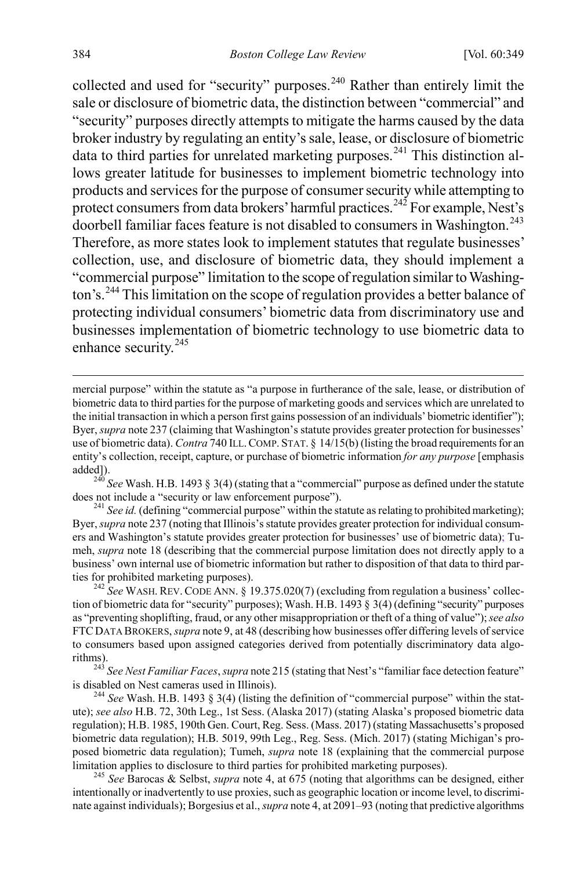collected and used for "security" purposes.<sup>[240](#page-36-0)</sup> Rather than entirely limit the sale or disclosure of biometric data, the distinction between "commercial" and "security" purposes directly attempts to mitigate the harms caused by the data broker industry by regulating an entity's sale, lease, or disclosure of biometric data to third parties for unrelated marketing purposes.<sup>[241](#page-36-1)</sup> This distinction allows greater latitude for businesses to implement biometric technology into products and services for the purpose of consumer security while attempting to protect consumers from data brokers' harmful practices.<sup>[242](#page-36-2)</sup> For example, Nest's doorbell familiar faces feature is not disabled to consumers in Washington.<sup>[243](#page-36-3)</sup> Therefore, as more states look to implement statutes that regulate businesses' collection, use, and disclosure of biometric data, they should implement a "commercial purpose" limitation to the scope of regulation similar to Washing-ton's.<sup>[244](#page-36-4)</sup> This limitation on the scope of regulation provides a better balance of protecting individual consumers' biometric data from discriminatory use and businesses implementation of biometric technology to use biometric data to enhance security.[245](#page-36-5)

mercial purpose" within the statute as "a purpose in furtherance of the sale, lease, or distribution of biometric data to third parties for the purpose of marketing goods and services which are unrelated to the initial transaction in which a person first gains possession of an individuals' biometric identifier"); Byer, *supra* not[e 237](#page-35-8) (claiming that Washington's statute provides greater protection for businesses' use of biometric data). *Contra* 740 ILL. COMP. STAT. § 14/15(b) (listing the broad requirements for an entity's collection, receipt, capture, or purchase of biometric information *for any purpose* [emphasis

<span id="page-36-0"></span>added]).<br><sup>240</sup> *See* Wash. H.B. 1493 § 3(4) (stating that a "commercial" purpose as defined under the statute does not include a "security or law enforcement purpose").

<span id="page-36-1"></span><sup>&</sup>lt;sup>241</sup> See id. (defining "commercial purpose" within the statute as relating to prohibited marketing); Byer, *supra* not[e 237](#page-35-8) (noting that Illinois's statute provides greater protection for individual consumers and Washington's statute provides greater protection for businesses' use of biometric data); Tumeh, *supra* not[e 18](#page-4-11) (describing that the commercial purpose limitation does not directly apply to a business' own internal use of biometric information but rather to disposition of that data to third parties for prohibited marketing purposes).<br><sup>242</sup> *See* WASH. REV. CODE ANN. § 19.375.020(7) (excluding from regulation a business' collec-

<span id="page-36-2"></span>tion of biometric data for "security" purposes); Wash. H.B. 1493 § 3(4) (defining "security" purposes as "preventing shoplifting, fraud, or any other misappropriation or theft of a thing of value");*see also* FTC DATA BROKERS, *supra* not[e 9,](#page-3-0) at 48 (describing how businesses offer differing levels of service to consumers based upon assigned categories derived from potentially discriminatory data algorithms). <sup>243</sup> *See Nest Familiar Faces*, *supra* not[e 215](#page-32-1) (stating that Nest's "familiar face detection feature"

<span id="page-36-3"></span>is disabled on Nest cameras used in Illinois). <sup>244</sup> *See* Wash. H.B. 1493 § 3(4) (listing the definition of "commercial purpose" within the stat-

<span id="page-36-4"></span>ute); *see also* H.B. 72, 30th Leg., 1st Sess. (Alaska 2017) (stating Alaska's proposed biometric data regulation); H.B. 1985, 190th Gen. Court, Reg. Sess. (Mass. 2017) (stating Massachusetts's proposed biometric data regulation); H.B. 5019, 99th Leg., Reg. Sess. (Mich. 2017) (stating Michigan's proposed biometric data regulation); Tumeh, *supra* note [18](#page-4-11) (explaining that the commercial purpose limitation applies to disclosure to third parties for prohibited marketing purposes). <sup>245</sup> *See* Barocas & Selbst, *supra* note [4,](#page-2-6) at 675 (noting that algorithms can be designed, either

<span id="page-36-5"></span>intentionally or inadvertently to use proxies, such as geographic location or income level, to discriminate against individuals); Borgesius et al., *supra* not[e 4,](#page-2-6) at 2091–93 (noting that predictive algorithms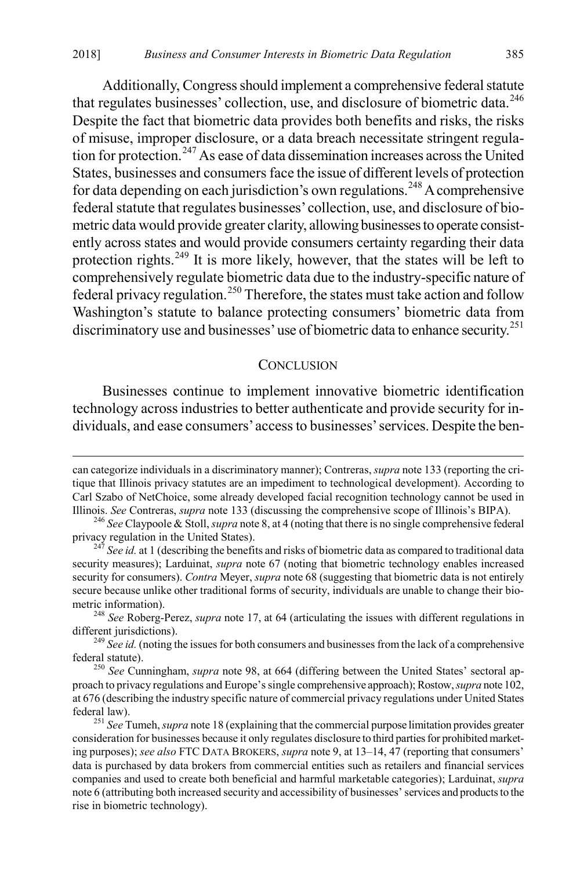Additionally, Congress should implement a comprehensive federal statute that regulates businesses' collection, use, and disclosure of biometric data.<sup>[246](#page-37-2)</sup> Despite the fact that biometric data provides both benefits and risks, the risks of misuse, improper disclosure, or a data breach necessitate stringent regulation for protection.[247](#page-37-3) As ease of data dissemination increases across the United States, businesses and consumers face the issue of different levels of protection for data depending on each jurisdiction's own regulations.<sup>[248](#page-37-4)</sup> A comprehensive federal statute that regulates businesses' collection, use, and disclosure of biometric data would provide greater clarity, allowing businesses to operate consistently across states and would provide consumers certainty regarding their data protection rights.[249](#page-37-5) It is more likely, however, that the states will be left to comprehensively regulate biometric data due to the industry-specific nature of federal privacy regulation.[250](#page-37-6) Therefore, the states must take action and follow Washington's statute to balance protecting consumers' biometric data from discriminatory use and businesses' use of biometric data to enhance security.<sup>[251](#page-37-7)</sup>

#### <span id="page-37-1"></span><span id="page-37-0"></span>**CONCLUSION**

Businesses continue to implement innovative biometric identification technology across industries to better authenticate and provide security for individuals, and ease consumers' access to businesses' services. Despite the ben-

can categorize individuals in a discriminatory manner); Contreras, *supra* not[e 133](#page-20-9) (reporting the critique that Illinois privacy statutes are an impediment to technological development). According to Carl Szabo of NetChoice, some already developed facial recognition technology cannot be used in

<span id="page-37-2"></span>Illinois. *See* Contreras, *supra* note [133](#page-20-9) (discussing the comprehensive scope of Illinois's BIPA). <sup>246</sup> *See* Claypoole & Stoll, *supra* not[e 8,](#page-2-7) at 4 (noting that there is no single comprehensive federal

<span id="page-37-3"></span><sup>&</sup>lt;sup>247</sup> *See id.* at 1 (describing the benefits and risks of biometric data as compared to traditional data security measures); Larduinat, *supra* note [67](#page-10-8) (noting that biometric technology enables increased security for consumers). *Contra* Meyer, *supra* not[e 68](#page-11-8) (suggesting that biometric data is not entirely secure because unlike other traditional forms of security, individuals are unable to change their biometric information). <sup>248</sup> *See* Roberg-Perez, *supra* note [17,](#page-4-1) at 64 (articulating the issues with different regulations in

<span id="page-37-4"></span>different jurisdictions). <sup>249</sup> *See id.* (noting the issues for both consumers and businesses from the lack of a comprehensive

<span id="page-37-5"></span>federal statute). <sup>250</sup> *See* Cunningham, *supra* note [98,](#page-15-1) at 664 (differing between the United States' sectoral ap-

<span id="page-37-6"></span>proach to privacy regulations and Europe's single comprehensive approach); Rostow, *supra* not[e 102,](#page-15-8) at 676 (describing the industry specific nature of commercial privacy regulations under United States

<span id="page-37-7"></span>federal law). <sup>251</sup> *See* Tumeh, *supra* not[e 18](#page-4-11) (explaining that the commercial purpose limitation provides greater consideration for businesses because it only regulates disclosure to third parties for prohibited marketing purposes); *see also* FTC DATA BROKERS, *supra* not[e 9,](#page-3-0) at 13–14, 47 (reporting that consumers' data is purchased by data brokers from commercial entities such as retailers and financial services companies and used to create both beneficial and harmful marketable categories); Larduinat, *supra* not[e 6](#page-2-0) (attributing both increased security and accessibility of businesses' services and products to the rise in biometric technology).